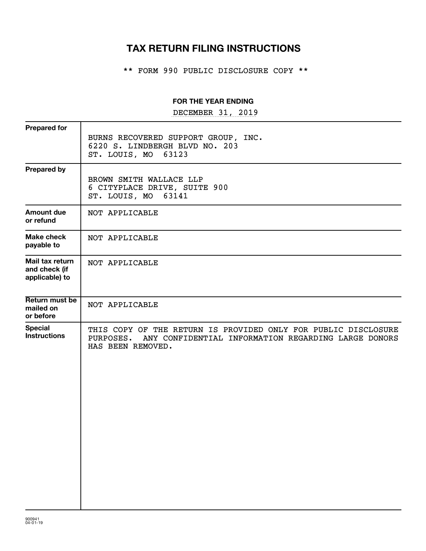# **TAX RETURN FILING INSTRUCTIONS**

\*\* FORM 990 PUBLIC DISCLOSURE COPY \*\*

#### **FOR THE YEAR ENDING**

DECEMBER 31, 2019

| <b>Prepared for</b>                                |                                                                                                                                                      |
|----------------------------------------------------|------------------------------------------------------------------------------------------------------------------------------------------------------|
|                                                    | BURNS RECOVERED SUPPORT GROUP, INC.<br>6220 S. LINDBERGH BLVD NO. 203<br>ST. LOUIS, MO 63123                                                         |
| <b>Prepared by</b>                                 | BROWN SMITH WALLACE LLP<br>6 CITYPLACE DRIVE, SUITE 900<br>ST. LOUIS, MO 63141                                                                       |
| Amount due<br>or refund                            | NOT APPLICABLE                                                                                                                                       |
| <b>Make check</b><br>payable to                    | NOT APPLICABLE                                                                                                                                       |
| Mail tax return<br>and check (if<br>applicable) to | NOT APPLICABLE                                                                                                                                       |
| Return must be<br>mailed on<br>or before           | NOT APPLICABLE                                                                                                                                       |
| <b>Special</b><br><b>Instructions</b>              | THIS COPY OF THE RETURN IS PROVIDED ONLY FOR PUBLIC DISCLOSURE<br>PURPOSES. ANY CONFIDENTIAL INFORMATION REGARDING LARGE DONORS<br>HAS BEEN REMOVED. |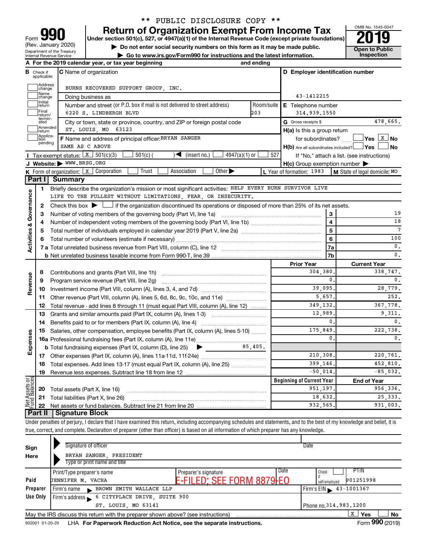| 990<br>Form                                                   |
|---------------------------------------------------------------|
| (Rev. January 2020)                                           |
| Department of the Treasury<br><b>Internal Revenue Service</b> |

# \*\* PUBLIC DISCLOSURE COPY \*\*

**your Section 501(c), 527, or 4947(a)(1) of the Internal Revenue Code (except private foundations) 2019** 

▶ Do not enter social security numbers on this form as it may be made public. <br>
inspection and the latest information. **Dependent in the latest information** and the latest information. **| Go to www.irs.gov/Form990 for instructions and the latest information. Inspection**



|                         |                         | A For the 2019 calendar year, or tax year beginning                                                                                       | and ending |                                                     |                                            |
|-------------------------|-------------------------|-------------------------------------------------------------------------------------------------------------------------------------------|------------|-----------------------------------------------------|--------------------------------------------|
| в                       | Check if<br>applicable: | <b>C</b> Name of organization                                                                                                             |            | D Employer identification number                    |                                            |
|                         | Address<br>change       | BURNS RECOVERED SUPPORT GROUP . INC.                                                                                                      |            |                                                     |                                            |
|                         | Name<br>change          | Doing business as                                                                                                                         |            | 43-1412215                                          |                                            |
|                         | Initial<br>return       | Number and street (or P.O. box if mail is not delivered to street address)                                                                | Room/suite | E Telephone number                                  |                                            |
|                         | Final<br>return/        | 6220 S. LINDBERGH BLVD                                                                                                                    | 203        | 314,939,1550                                        |                                            |
|                         | termin-<br>ated         | City or town, state or province, country, and ZIP or foreign postal code                                                                  |            | G Gross receipts \$                                 | 478,665.                                   |
|                         | Amended<br>return       | ST. LOUIS, MO 63123                                                                                                                       |            | $H(a)$ is this a group return                       |                                            |
|                         | Applica-<br>tion        | F Name and address of principal officer: BRYAN SANGER                                                                                     |            | for subordinates?                                   |                                            |
|                         | pending                 | SAME AS C ABOVE                                                                                                                           |            | $H(b)$ Are all subordinates included? $\Box$ Yes    | No                                         |
|                         |                         | Tax-exempt status: $x \mid 501(c)(3)$<br>$4947(a)(1)$ or<br>$501(c)$ (<br>$\sqrt{\phantom{a}}$ (insert no.)                               | 527        |                                                     | If "No," attach a list. (see instructions) |
|                         |                         | J Website: WWW.BRSG.ORG                                                                                                                   |            | $H(c)$ Group exemption number $\blacktriangleright$ |                                            |
|                         |                         | Trust<br>Association<br>Other $\blacktriangleright$<br><b>K</b> Form of organization: $\boxed{x}$ Corporation                             |            | L Year of formation: 1983                           | M State of legal domicile: MO              |
|                         |                         | Part I Summary                                                                                                                            |            |                                                     |                                            |
|                         | 1                       | Briefly describe the organization's mission or most significant activities: HELP EVERY BURN SURVIVOR LIVE                                 |            |                                                     |                                            |
|                         |                         | LIFE TO THE FULLEST WITHOUT LIMITATIONS, FEAR, OR INSECURITY.                                                                             |            |                                                     |                                            |
|                         | $\mathbf{2}$            | Check this box $\blacktriangleright \Box$ if the organization discontinued its operations or disposed of more than 25% of its net assets. |            |                                                     |                                            |
| Governance              | з                       | Number of voting members of the governing body (Part VI, line 1a)                                                                         |            | 3                                                   | 19                                         |
|                         | 4                       |                                                                                                                                           |            | $\overline{4}$                                      | 18                                         |
| <b>Activities &amp;</b> | 5                       | Total number of individuals employed in calendar year 2019 (Part V, line 2a) <i>mummumumumumum</i>                                        |            | $\overline{5}$                                      | 7                                          |
|                         | 6                       |                                                                                                                                           |            | 6                                                   | 100                                        |
|                         |                         |                                                                                                                                           |            | 7a                                                  | $\mathbf{0}$ .                             |
|                         |                         |                                                                                                                                           |            | 7b                                                  | 0.                                         |
|                         |                         |                                                                                                                                           |            | <b>Prior Year</b>                                   | <b>Current Year</b>                        |
|                         | 8                       |                                                                                                                                           |            | 304,380                                             | 338,747.                                   |
| Revenue                 | 9                       | Program service revenue (Part VIII, line 2g)                                                                                              |            | 0.                                                  | $\mathbf{0}$ .                             |
|                         | 10                      |                                                                                                                                           |            | 39,095.                                             | 28,779.                                    |
|                         | 11                      | Other revenue (Part VIII, column (A), lines 5, 6d, 8c, 9c, 10c, and 11e)                                                                  |            | 5,657.                                              | 252.                                       |
|                         | 12                      | Total revenue - add lines 8 through 11 (must equal Part VIII, column (A), line 12)                                                        |            | 349,132.                                            | 367,778.                                   |
|                         | 13                      | Grants and similar amounts paid (Part IX, column (A), lines 1-3)                                                                          |            | 12,989.                                             | 9.311.                                     |
|                         | 14                      |                                                                                                                                           |            | 0.                                                  | 0.                                         |
|                         | 15                      | Salaries, other compensation, employee benefits (Part IX, column (A), lines 5-10)                                                         |            | 175.849.                                            | 222,738.                                   |
| Expenses                |                         |                                                                                                                                           |            | 0.                                                  | 0.                                         |
|                         |                         | <b>b</b> Total fundraising expenses (Part IX, column (D), line 25)<br>$\blacktriangleright$ $\_\_$                                        | $85,405$ . |                                                     |                                            |
|                         |                         |                                                                                                                                           |            | 210,308.                                            | 220,761.                                   |
|                         | 18                      | Total expenses. Add lines 13-17 (must equal Part IX, column (A), line 25) <i></i>                                                         |            | 399.146.                                            | 452,810.                                   |
|                         | 19                      |                                                                                                                                           |            | $-50,014$ .                                         | $-85,032.$                                 |
| bes                     |                         |                                                                                                                                           |            | <b>Beginning of Current Year</b>                    | <b>End of Year</b>                         |
| Assets<br>Balanc        | 20                      | Total assets (Part X, line 16)                                                                                                            |            | 951.197.                                            | 956,336.                                   |
| Net<br>Fund             |                         | <b>21</b> Total liabilities (Part X, line 26)                                                                                             |            | 18,632.                                             | 25.333.                                    |
|                         |                         | Part II   Signature Block                                                                                                                 |            | 932, 565.                                           | 931.003.                                   |
|                         |                         |                                                                                                                                           |            |                                                     |                                            |

Under penalties of perjury, I declare that I have examined this return, including accompanying schedules and statements, and to the best of my knowledge and belief, it is true, correct, and complete. Declaration of preparer (other than officer) is based on all information of which preparer has any knowledge.

| Sign     | Signature of officer                                                                                                                                                                                                          |                                  | Date                          |
|----------|-------------------------------------------------------------------------------------------------------------------------------------------------------------------------------------------------------------------------------|----------------------------------|-------------------------------|
| Here     | BRYAN SANGER, PRESIDENT                                                                                                                                                                                                       |                                  |                               |
|          | Type or print name and title                                                                                                                                                                                                  |                                  |                               |
|          | Print/Type preparer's name                                                                                                                                                                                                    | Date<br>Preparer's signature     | PTIN<br>Check                 |
| Paid     | JENNIFER M. VACHA                                                                                                                                                                                                             | <b>E-FILED: SEE FORM 8879-EO</b> | P01251998<br>self-emploved    |
| Preparer | BROWN SMITH WALLACE LLP<br>Firm's name                                                                                                                                                                                        |                                  | $Firm's EIN = 43 - 1001367$   |
| Use Only | Firm's address 6 CITYPLACE DRIVE, SUITE 900                                                                                                                                                                                   |                                  |                               |
|          | ST. LOUIS, MO 63141                                                                                                                                                                                                           |                                  | Phone no. 314, 983, 1200      |
|          | May the IRS discuss this return with the preparer shown above? (see instructions)                                                                                                                                             |                                  | x<br>Yes<br>No                |
|          | . The state of the state of the state of the state of the state of the state of the state of the state of the state of the state of the state of the state of the state of the state of the state of the state of the state o |                                  | $\mathsf{L}$ 000 $\mathsf{L}$ |

932001 01-20-20 LHA For Paperwork Reduction Act Notice, see the separate instructions. Form 990 (2019)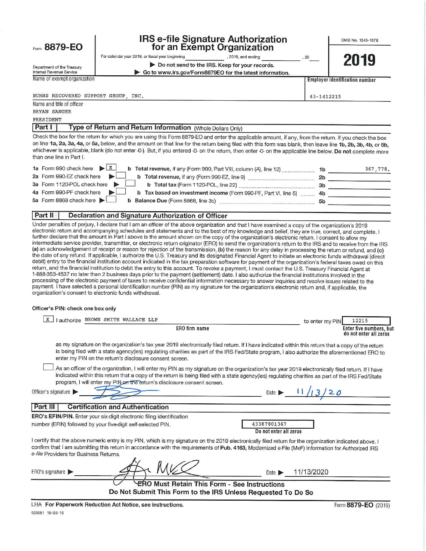## Form 8879-EO

Department of the Treasury

## **IRS e-file Signature Authorization** for an Exempt Organization

OMB No. 1545-1878

2019

| sı alı Excilipt Organizati |  |  |  |  |  |
|----------------------------|--|--|--|--|--|
|                            |  |  |  |  |  |

For calendar year 2019, or fiscal year beginning , 2019, and ending Do not send to the IRS. Keep for your records.

Go to www.irs.gov/Form8879EO for the latest information.

Internal Revenue Service Name of exempt organization

**Employer identification number** 

43-1412215

 $20$ 

BURNS RECOVERED SUPPORT GROUP. INC.

Name and title of officer BRYAN SANGER

PRESIDENT

Type of Return and Return Information (Whole Dollars Only) Part I

Check the box for the return for which you are using this Form 8879-EO and enter the applicable amount, if any, from the return. If you check the box on line 1a, 2a, 3a, 4a, or 5a, below, and the amount on that line for the return being filed with this form was blank, then leave line 1b, 2b, 3b, 4b, or 5b, whichever is applicable, blank (do not enter -0-). But, if you entered -0- on the return, then enter -0- on the applicable line below. Do not complete more than one line in Part I.

| 1a Form 990 check here $\triangleright$ $\begin{array}{c} x \\ x \end{array}$                    | 1b | 367.778. |
|--------------------------------------------------------------------------------------------------|----|----------|
| 2a Form 990-EZ check here<br>b Total revenue, if any (Form 990-EZ, line 9)                       | 2b |          |
| 3a Form 1120-POL check here                                                                      | 3b |          |
| 4a Form 990-PF check here<br>b Tax based on investment income (Form 990-PF, Part VI, line 5)  4b |    |          |
| 5a Form 8868 check here $\blacktriangleright$<br>b Balance Due (Form 8868, line 3c)              | 5b |          |

#### Part II Declaration and Signature Authorization of Officer

Under penalties of perjury, I declare that I am an officer of the above organization and that I have examined a copy of the organization's 2019 electronic return and accompanying schedules and statements and to the best of my knowledge and belief, they are true, correct, and complete. I further declare that the amount in Part I above is the amount shown on the copy of the organization's electronic return. I consent to allow my intermediate service provider, transmitter, or electronic return originator (ERO) to send the organization's return to the IRS and to receive from the IRS (a) an acknowledgement of receipt or reason for rejection of the transmission, (b) the reason for any delay in processing the return or refund, and (c) the date of any refund. If applicable, I authorize the U.S. Treasury and its designated Financial Agent to initiate an electronic funds withdrawal (direct debit) entry to the financial institution account indicated in the tax preparation software for payment of the organization's federal taxes owed on this return, and the financial institution to debit the entry to this account. To revoke a payment, I must contact the U.S. Treasury Financial Agent at 1-888-353-4537 no later than 2 business days prior to the payment (settlement) date. I also authorize the financial institutions involved in the processing of the electronic payment of taxes to receive confidential information necessary to answer inquiries and resolve issues related to the payment. I have selected a personal identification number (PIN) as my signature for the organization's electronic return and, if applicable, the organization's consent to electronic funds withdrawal.

#### Officer's PIN: check one box only

| X<br>I authorize BROWN SMITH WALLACE LLP                                                                                                                                                                                                                                                                                                                                         | 12215<br>to enter my PIN                          |
|----------------------------------------------------------------------------------------------------------------------------------------------------------------------------------------------------------------------------------------------------------------------------------------------------------------------------------------------------------------------------------|---------------------------------------------------|
| ERO firm name                                                                                                                                                                                                                                                                                                                                                                    | Enter five numbers, but<br>do not enter all zeros |
| as my signature on the organization's tax year 2019 electronically filed return. If I have indicated within this return that a copy of the return<br>is being filed with a state agency(ies) regulating charities as part of the IRS Fed/State program, I also authorize the aforementioned ERO to<br>enter my PIN on the return's disclosure consent screen.                    |                                                   |
| As an officer of the organization, I will enter my PIN as my signature on the organization's tax year 2019 electronically filed return. If I have<br>indicated within this return that a copy of the return is being filed with a state agency(ies) regulating charities as part of the IRS Fed/State<br>program, I will enter my PIN on the neturn's disclosure consent screen. |                                                   |
| Officer's signature                                                                                                                                                                                                                                                                                                                                                              | Date D                                            |
| <b>Certification and Authentication</b><br>Part III                                                                                                                                                                                                                                                                                                                              |                                                   |
| ERO's EFIN/PIN. Enter your six-digit electronic filing identification                                                                                                                                                                                                                                                                                                            |                                                   |
| number (EFIN) followed by your five-digit self-selected PIN.                                                                                                                                                                                                                                                                                                                     | 43387801367<br>Do not enter all zeros             |
| I certify that the above numeric entry is my PIN, which is my signature on the 2019 electronically filed return for the organization indicated above. I<br>confirm that I am submitting this return in accordance with the requirements of Pub. 4163, Modernized e-File (MeF) Information for Authorized IRS<br>e-file Providers for Business Returns.                           |                                                   |
| ERO's signature                                                                                                                                                                                                                                                                                                                                                                  | 11/13/2020<br>Date $\blacktriangleright$          |
| <b>ERO Must Retain This Form - See Instructions</b>                                                                                                                                                                                                                                                                                                                              |                                                   |
| Do Not Submit This Form to the IRS Unless Requested To Do So                                                                                                                                                                                                                                                                                                                     |                                                   |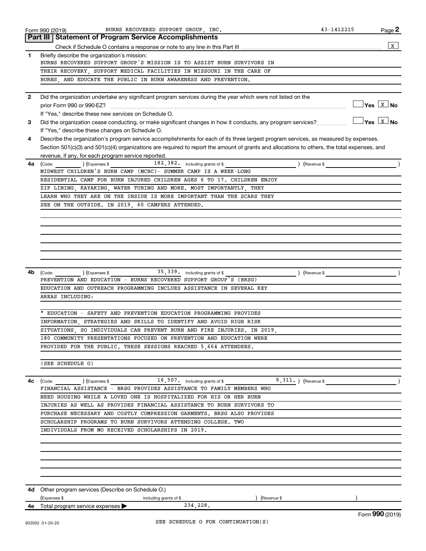|              | BURNS RECOVERED SUPPORT GROUP, INC.<br>Form 990 (2019)                                                                                         | 43-1412215    | Page 2                                                         |
|--------------|------------------------------------------------------------------------------------------------------------------------------------------------|---------------|----------------------------------------------------------------|
|              | <b>Part III Statement of Program Service Accomplishments</b>                                                                                   |               |                                                                |
|              |                                                                                                                                                |               | $\mathbf{x}$                                                   |
| 1.           | Briefly describe the organization's mission:                                                                                                   |               |                                                                |
|              | BURNS RECOVERED SUPPORT GROUP'S MISSION IS TO ASSIST BURN SURVIVORS IN                                                                         |               |                                                                |
|              | THEIR RECOVERY, SUPPORT MEDICAL FACILITIES IN MISSOURI IN THE CARE OF                                                                          |               |                                                                |
|              | BURNS, AND EDUCATE THE PUBLIC IN BURN AWARENESS AND PREVENTION.                                                                                |               |                                                                |
| $\mathbf{2}$ | Did the organization undertake any significant program services during the year which were not listed on the                                   |               |                                                                |
|              | prior Form 990 or 990-EZ?                                                                                                                      |               | $\sqrt{\mathsf{Yes}\ \boxed{\mathrm{X}}\ \mathsf{No}}$         |
|              | If "Yes," describe these new services on Schedule O.                                                                                           |               |                                                                |
| 3            | Did the organization cease conducting, or make significant changes in how it conducts, any program services?                                   |               | $\overline{\mathsf{Yes} \ \overline{\mathsf{X}}\ \mathsf{No}}$ |
|              | If "Yes," describe these changes on Schedule O.                                                                                                |               |                                                                |
| 4            | Describe the organization's program service accomplishments for each of its three largest program services, as measured by expenses.           |               |                                                                |
|              | Section 501(c)(3) and 501(c)(4) organizations are required to report the amount of grants and allocations to others, the total expenses, and   |               |                                                                |
|              | revenue, if any, for each program service reported.                                                                                            |               |                                                                |
| 4a           | 182, 382. including grants of \$<br>(Code: ) (Expenses \$                                                                                      | ) (Revenue \$ |                                                                |
|              | MIDWEST CHILDREN'S BURN CAMP (MCBC)- SUMMER CAMP IS A WEEK-LONG                                                                                |               |                                                                |
|              | RESIDENTIAL CAMP FOR BURN INJURED CHILDREN AGES 6 TO 17. CHILDREN ENJOY<br>ZIP LINING, KAYAKING, WATER TUBING AND MORE. MOST IMPORTANTLY, THEY |               |                                                                |
|              | LEARN WHO THEY ARE ON THE INSIDE IS MORE IMPORTANT THAN THE SCARS THEY                                                                         |               |                                                                |
|              | SEE ON THE OUTSIDE. IN 2019, 60 CAMPERS ATTENDED.                                                                                              |               |                                                                |
|              |                                                                                                                                                |               |                                                                |
|              |                                                                                                                                                |               |                                                                |
|              |                                                                                                                                                |               |                                                                |
|              |                                                                                                                                                |               |                                                                |
|              |                                                                                                                                                |               |                                                                |
|              |                                                                                                                                                |               |                                                                |
|              |                                                                                                                                                |               |                                                                |
| 4b           | $35,339$ including grants of \$<br>$\left($ Expenses \$<br>(Code:                                                                              | ) (Revenue \$ |                                                                |
|              | PREVENTION AND EDUCATION - BURNS RECOVERED SUPPORT GROUP'S (BRSG)                                                                              |               |                                                                |
|              | EDUCATION AND OUTREACH PROGRAMMING INCLUES ASSISTANCE IN SEVERAL KEY                                                                           |               |                                                                |
|              | AREAS INCLUDING:                                                                                                                               |               |                                                                |
|              |                                                                                                                                                |               |                                                                |
|              | EDUCATION - SAFETY AND PREVENTION EDUCATION PROGRAMMING PROVIDES                                                                               |               |                                                                |
|              | INFORMATION STRATEGIES AND SKILLS TO IDENTIFY AND AVOID HIGH RISK                                                                              |               |                                                                |
|              | SITUATIONS, SO INDIVIDUALS CAN PREVENT BURN AND FIRE INJURIES. IN 2019,                                                                        |               |                                                                |
|              | 180 COMMUNITY PRESENTATIONS FOCUSED ON PREVENTION AND EDUCATION WERE                                                                           |               |                                                                |
|              | PROVIDED FOR THE PUBLIC. THESE SESSIONS REACHED 5,664 ATTENDEES.                                                                               |               |                                                                |
|              |                                                                                                                                                |               |                                                                |
|              | (SEE SCHEDULE O)                                                                                                                               |               |                                                                |
|              |                                                                                                                                                |               |                                                                |
| 4с           | $(\text{Code:})$ $(\text{Expenses $})$ 16,507. including grants of \$9,311. $(\text{Reverse 9})$                                               |               |                                                                |
|              | FINANCIAL ASSISTANCE - BRSG PROVIDES ASSISTANCE TO FAMILY MEMBERS WHO                                                                          |               |                                                                |
|              | NEED HOUSING WHILE A LOVED ONE IS HOSPITALIZED FOR HIS OR HER BURN<br>INJURIES AS WELL AS PROVIDES FINANCIAL ASSISTANCE TO BURN SURVIVORS TO   |               |                                                                |
|              | PURCHASE NECESSARY AND COSTLY COMPRESSION GARMENTS. BRSG ALSO PROVIDES                                                                         |               |                                                                |
|              | SCHOLARSHIP PROGRAMS TO BURN SURVIVORS ATTENDING COLLEGE. TWO                                                                                  |               |                                                                |
|              | INDIVIDUALS FROM MO RECEIVED SCHOLARSHIPS IN 2019.                                                                                             |               |                                                                |
|              |                                                                                                                                                |               |                                                                |
|              |                                                                                                                                                |               |                                                                |
|              |                                                                                                                                                |               |                                                                |
|              |                                                                                                                                                |               |                                                                |
|              |                                                                                                                                                |               |                                                                |
|              |                                                                                                                                                |               |                                                                |
|              | <b>4d</b> Other program services (Describe on Schedule O.)                                                                                     |               |                                                                |
|              | (Expenses \$<br>) (Revenue \$<br>including grants of \$                                                                                        |               |                                                                |
|              | 234,228.<br>4e Total program service expenses >                                                                                                |               |                                                                |
|              |                                                                                                                                                |               |                                                                |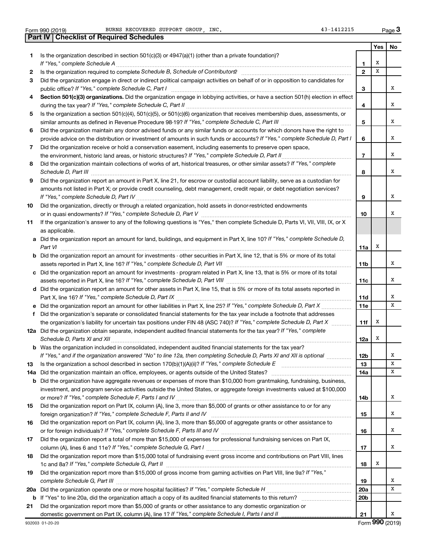Form 990 (2019) BURNS RECOVERED SUPPORT GROUP, INC. 43-1412215 Page

|    | <b>Part IV   Checklist of Required Schedules</b>                                                                                      |                 |     |    |
|----|---------------------------------------------------------------------------------------------------------------------------------------|-----------------|-----|----|
|    |                                                                                                                                       |                 | Yes | No |
| 1. | Is the organization described in section $501(c)(3)$ or $4947(a)(1)$ (other than a private foundation)?                               |                 |     |    |
|    |                                                                                                                                       | 1               | X   |    |
| 2  |                                                                                                                                       | $\mathbf{2}$    | x   |    |
| 3  | Did the organization engage in direct or indirect political campaign activities on behalf of or in opposition to candidates for       |                 |     |    |
|    |                                                                                                                                       | 3               |     | х  |
| 4  | Section 501(c)(3) organizations. Did the organization engage in lobbying activities, or have a section 501(h) election in effect      |                 |     |    |
|    |                                                                                                                                       | 4               |     | х  |
| 5  | Is the organization a section 501(c)(4), 501(c)(5), or 501(c)(6) organization that receives membership dues, assessments, or          |                 |     |    |
|    |                                                                                                                                       | 5               |     | x  |
| 6  | Did the organization maintain any donor advised funds or any similar funds or accounts for which donors have the right to             |                 |     |    |
|    | provide advice on the distribution or investment of amounts in such funds or accounts? If "Yes," complete Schedule D, Part I          | 6               |     | x  |
| 7  | Did the organization receive or hold a conservation easement, including easements to preserve open space,                             |                 |     |    |
|    |                                                                                                                                       | $\overline{7}$  |     | x  |
| 8  | Did the organization maintain collections of works of art, historical treasures, or other similar assets? If "Yes," complete          |                 |     |    |
|    |                                                                                                                                       | 8               |     | x  |
| 9  | Did the organization report an amount in Part X, line 21, for escrow or custodial account liability, serve as a custodian for         |                 |     |    |
|    | amounts not listed in Part X; or provide credit counseling, debt management, credit repair, or debt negotiation services?             |                 |     |    |
|    |                                                                                                                                       | 9               |     | x  |
| 10 | Did the organization, directly or through a related organization, hold assets in donor-restricted endowments                          |                 |     |    |
|    |                                                                                                                                       | 10              |     | x  |
| 11 | If the organization's answer to any of the following questions is "Yes," then complete Schedule D, Parts VI, VII, VIII, IX, or X      |                 |     |    |
|    | as applicable.                                                                                                                        |                 |     |    |
|    | a Did the organization report an amount for land, buildings, and equipment in Part X, line 10? If "Yes," complete Schedule D,         |                 |     |    |
|    | Part VI                                                                                                                               | 11a             | х   |    |
|    | <b>b</b> Did the organization report an amount for investments - other securities in Part X, line 12, that is 5% or more of its total |                 |     |    |
|    |                                                                                                                                       | <b>11b</b>      |     | x  |
|    | c Did the organization report an amount for investments - program related in Part X, line 13, that is 5% or more of its total         | 11c             |     | х  |
|    | d Did the organization report an amount for other assets in Part X, line 15, that is 5% or more of its total assets reported in       |                 |     |    |
|    |                                                                                                                                       | 11d             |     | х  |
|    | e Did the organization report an amount for other liabilities in Part X, line 25? If "Yes," complete Schedule D, Part X               | 11e             |     | x  |
| f  | Did the organization's separate or consolidated financial statements for the tax year include a footnote that addresses               |                 |     |    |
|    | the organization's liability for uncertain tax positions under FIN 48 (ASC 740)? If "Yes," complete Schedule D, Part X                | 11f             | х   |    |
|    | 12a Did the organization obtain separate, independent audited financial statements for the tax year? If "Yes," complete               |                 |     |    |
|    |                                                                                                                                       | 12a             | х   |    |
|    | <b>b</b> Was the organization included in consolidated, independent audited financial statements for the tax year?                    |                 |     |    |
|    | If "Yes," and if the organization answered "No" to line 12a, then completing Schedule D, Parts XI and XII is optional <i>manum</i>    | 12b             |     | х  |
| 13 |                                                                                                                                       | 13              |     | х  |
|    | 14a Did the organization maintain an office, employees, or agents outside of the United States?                                       | 14a             |     | х  |
|    | <b>b</b> Did the organization have aggregate revenues or expenses of more than \$10,000 from grantmaking, fundraising, business,      |                 |     |    |
|    | investment, and program service activities outside the United States, or aggregate foreign investments valued at \$100,000            |                 |     |    |
|    |                                                                                                                                       | 14b             |     | x  |
| 15 | Did the organization report on Part IX, column (A), line 3, more than \$5,000 of grants or other assistance to or for any             |                 |     |    |
|    |                                                                                                                                       | 15              |     | x  |
| 16 | Did the organization report on Part IX, column (A), line 3, more than \$5,000 of aggregate grants or other assistance to              |                 |     |    |
|    |                                                                                                                                       | 16              |     | х  |
| 17 | Did the organization report a total of more than \$15,000 of expenses for professional fundraising services on Part IX,               |                 |     | x  |
| 18 | Did the organization report more than \$15,000 total of fundraising event gross income and contributions on Part VIII, lines          | 17              |     |    |
|    |                                                                                                                                       | 18              | х   |    |
| 19 | Did the organization report more than \$15,000 of gross income from gaming activities on Part VIII, line 9a? If "Yes,"                |                 |     |    |
|    |                                                                                                                                       | 19              |     | х  |
|    |                                                                                                                                       | 20a             |     | х  |
|    |                                                                                                                                       | 20 <sub>b</sub> |     |    |
| 21 | Did the organization report more than \$5,000 of grants or other assistance to any domestic organization or                           |                 |     |    |
|    |                                                                                                                                       | 21              |     | x  |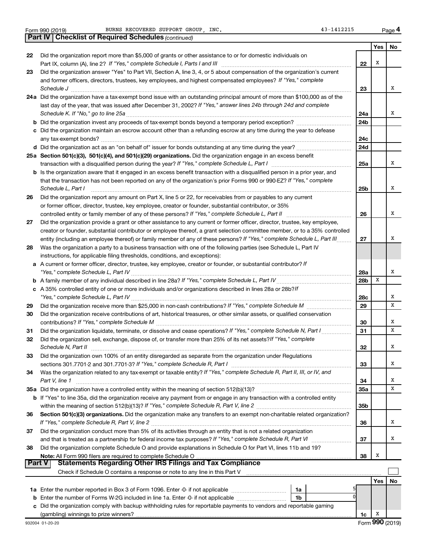**Part IV Checklist of Required Schedules**

*(continued)*

**4**

|    |                                                                                                                                                                                                                            |                 | Yes                         | No |
|----|----------------------------------------------------------------------------------------------------------------------------------------------------------------------------------------------------------------------------|-----------------|-----------------------------|----|
| 22 | Did the organization report more than \$5,000 of grants or other assistance to or for domestic individuals on                                                                                                              |                 |                             |    |
|    |                                                                                                                                                                                                                            | 22              | х                           |    |
| 23 | Did the organization answer "Yes" to Part VII, Section A, line 3, 4, or 5 about compensation of the organization's current                                                                                                 |                 |                             |    |
|    | and former officers, directors, trustees, key employees, and highest compensated employees? If "Yes," complete                                                                                                             |                 |                             |    |
|    | Schedule J                                                                                                                                                                                                                 | 23              |                             | x  |
|    | 24a Did the organization have a tax-exempt bond issue with an outstanding principal amount of more than \$100,000 as of the                                                                                                |                 |                             |    |
|    | last day of the year, that was issued after December 31, 2002? If "Yes," answer lines 24b through 24d and complete                                                                                                         |                 |                             |    |
|    |                                                                                                                                                                                                                            | 24a             |                             | X  |
|    |                                                                                                                                                                                                                            | 24b             |                             |    |
|    | c Did the organization maintain an escrow account other than a refunding escrow at any time during the year to defease                                                                                                     |                 |                             |    |
|    |                                                                                                                                                                                                                            | 24c             |                             |    |
|    |                                                                                                                                                                                                                            | 24d             |                             |    |
|    | 25a Section 501(c)(3), 501(c)(4), and 501(c)(29) organizations. Did the organization engage in an excess benefit                                                                                                           |                 |                             |    |
|    |                                                                                                                                                                                                                            | 25a             |                             | x  |
|    | <b>b</b> Is the organization aware that it engaged in an excess benefit transaction with a disqualified person in a prior year, and                                                                                        |                 |                             |    |
|    | that the transaction has not been reported on any of the organization's prior Forms 990 or 990-EZ? If "Yes," complete                                                                                                      |                 |                             |    |
|    | Schedule L, Part I                                                                                                                                                                                                         | 25b             |                             | x  |
| 26 | Did the organization report any amount on Part X, line 5 or 22, for receivables from or payables to any current                                                                                                            |                 |                             |    |
|    | or former officer, director, trustee, key employee, creator or founder, substantial contributor, or 35%                                                                                                                    |                 |                             |    |
|    | controlled entity or family member of any of these persons? If "Yes," complete Schedule L, Part II                                                                                                                         | 26              |                             | x  |
| 27 | Did the organization provide a grant or other assistance to any current or former officer, director, trustee, key employee,                                                                                                |                 |                             |    |
|    | creator or founder, substantial contributor or employee thereof, a grant selection committee member, or to a 35% controlled                                                                                                |                 |                             |    |
|    | entity (including an employee thereof) or family member of any of these persons? If "Yes," complete Schedule L, Part III.                                                                                                  | 27              |                             | x  |
| 28 | Was the organization a party to a business transaction with one of the following parties (see Schedule L, Part IV                                                                                                          |                 |                             |    |
|    | instructions, for applicable filing thresholds, conditions, and exceptions):                                                                                                                                               |                 |                             |    |
|    | a A current or former officer, director, trustee, key employee, creator or founder, or substantial contributor? If                                                                                                         |                 |                             |    |
|    |                                                                                                                                                                                                                            | 28a             |                             | x  |
|    |                                                                                                                                                                                                                            | 28 <sub>b</sub> | х                           |    |
|    | c A 35% controlled entity of one or more individuals and/or organizations described in lines 28a or 28b?/f                                                                                                                 |                 |                             |    |
|    |                                                                                                                                                                                                                            | 28c             |                             | X  |
| 29 |                                                                                                                                                                                                                            | 29              |                             | x  |
| 30 | Did the organization receive contributions of art, historical treasures, or other similar assets, or qualified conservation                                                                                                |                 |                             |    |
|    |                                                                                                                                                                                                                            | 30              |                             | x  |
| 31 | Did the organization liquidate, terminate, or dissolve and cease operations? If "Yes," complete Schedule N, Part I                                                                                                         | 31              |                             | х  |
| 32 | Did the organization sell, exchange, dispose of, or transfer more than 25% of its net assets? If "Yes," complete                                                                                                           |                 |                             |    |
|    |                                                                                                                                                                                                                            | 32              |                             | X  |
| 33 | Did the organization own 100% of an entity disregarded as separate from the organization under Regulations                                                                                                                 |                 |                             |    |
|    | sections 301.7701-2 and 301.7701-3? If "Yes," complete Schedule R, Part I                                                                                                                                                  | 33              |                             | X  |
| 34 | Was the organization related to any tax-exempt or taxable entity? If "Yes," complete Schedule R, Part II, III, or IV, and                                                                                                  |                 |                             | х  |
|    | Part V, line 1                                                                                                                                                                                                             | 34              |                             | x  |
|    | 35a Did the organization have a controlled entity within the meaning of section 512(b)(13)?<br>b If "Yes" to line 35a, did the organization receive any payment from or engage in any transaction with a controlled entity | 35a             |                             |    |
|    |                                                                                                                                                                                                                            | 35b             |                             |    |
| 36 | Section 501(c)(3) organizations. Did the organization make any transfers to an exempt non-charitable related organization?                                                                                                 |                 |                             |    |
|    |                                                                                                                                                                                                                            | 36              |                             | X  |
| 37 | Did the organization conduct more than 5% of its activities through an entity that is not a related organization                                                                                                           |                 |                             |    |
|    |                                                                                                                                                                                                                            | 37              |                             | x  |
| 38 | Did the organization complete Schedule O and provide explanations in Schedule O for Part VI, lines 11b and 19?                                                                                                             |                 |                             |    |
|    |                                                                                                                                                                                                                            | 38              | X                           |    |
|    | <b>Statements Regarding Other IRS Filings and Tax Compliance</b><br>Part V                                                                                                                                                 |                 |                             |    |
|    | Check if Schedule O contains a response or note to any line in this Part V [11] [12] Check if Schedule O contains a response or note to any line in this Part V                                                            |                 |                             |    |
|    |                                                                                                                                                                                                                            |                 | Yes                         | No |
|    | 1a                                                                                                                                                                                                                         |                 |                             |    |
|    | O<br>1 <sub>b</sub>                                                                                                                                                                                                        |                 |                             |    |
|    | c Did the organization comply with backup withholding rules for reportable payments to vendors and reportable gaming                                                                                                       |                 |                             |    |
|    |                                                                                                                                                                                                                            | 1c              | X                           |    |
|    |                                                                                                                                                                                                                            |                 | $E_{\alpha r m}$ QQN (2010) |    |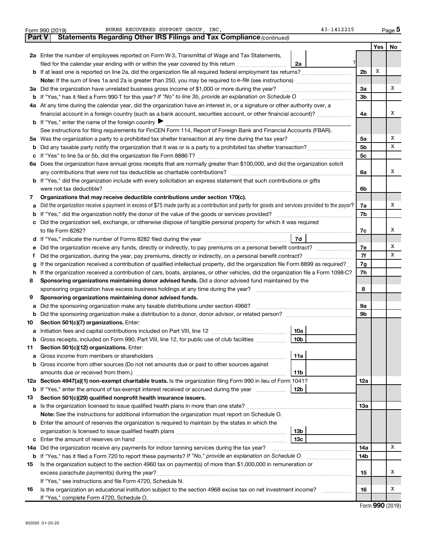|               | BURNS RECOVERED SUPPORT GROUP, INC.<br>43-1412215<br>Form 990 (2019)                                                                            |                |     | Page 5 |
|---------------|-------------------------------------------------------------------------------------------------------------------------------------------------|----------------|-----|--------|
| <b>Part V</b> | Statements Regarding Other IRS Filings and Tax Compliance (continued)                                                                           |                |     |        |
|               |                                                                                                                                                 |                | Yes | No     |
|               | 2a Enter the number of employees reported on Form W-3, Transmittal of Wage and Tax Statements,                                                  |                |     |        |
|               | filed for the calendar year ending with or within the year covered by this return <i>manumumumum</i><br>2a                                      |                |     |        |
|               | b If at least one is reported on line 2a, did the organization file all required federal employment tax returns?                                | 2 <sub>b</sub> | Х   |        |
|               |                                                                                                                                                 |                |     |        |
|               | 3a Did the organization have unrelated business gross income of \$1,000 or more during the year?                                                | За             |     | Χ      |
|               |                                                                                                                                                 | 3 <sub>b</sub> |     |        |
|               | 4a At any time during the calendar year, did the organization have an interest in, or a signature or other authority over, a                    |                |     |        |
|               | financial account in a foreign country (such as a bank account, securities account, or other financial account)?                                | 4a             |     | х      |
|               | <b>b</b> If "Yes," enter the name of the foreign country $\blacktriangleright$                                                                  |                |     |        |
|               | See instructions for filing requirements for FinCEN Form 114, Report of Foreign Bank and Financial Accounts (FBAR).                             |                |     |        |
|               |                                                                                                                                                 | 5a             |     | Χ      |
| b             |                                                                                                                                                 | 5 <sub>b</sub> |     | x      |
| с             |                                                                                                                                                 | 5c             |     |        |
|               | 6a Does the organization have annual gross receipts that are normally greater than \$100,000, and did the organization solicit                  |                |     |        |
|               |                                                                                                                                                 | 6a             |     | х      |
|               | <b>b</b> If "Yes," did the organization include with every solicitation an express statement that such contributions or gifts                   |                |     |        |
|               |                                                                                                                                                 | 6b             |     |        |
| 7             | Organizations that may receive deductible contributions under section 170(c).                                                                   |                |     |        |
| а             | Did the organization receive a payment in excess of \$75 made partly as a contribution and partly for goods and services provided to the payor? | 7a             |     | х      |
| b             |                                                                                                                                                 | 7b             |     |        |
| с             | Did the organization sell, exchange, or otherwise dispose of tangible personal property for which it was required                               |                |     |        |
|               |                                                                                                                                                 | 7c             |     | х      |
|               | 7d                                                                                                                                              |                |     |        |
| е             |                                                                                                                                                 | 7е             |     | Χ      |
| Ť             | Did the organization, during the year, pay premiums, directly or indirectly, on a personal benefit contract?                                    | 7f             |     | x      |
| g             | If the organization received a contribution of qualified intellectual property, did the organization file Form 8899 as required?                | 7g             |     |        |
| h             | If the organization received a contribution of cars, boats, airplanes, or other vehicles, did the organization file a Form 1098-C?              | 7h             |     |        |
| 8             | Sponsoring organizations maintaining donor advised funds. Did a donor advised fund maintained by the                                            |                |     |        |
|               |                                                                                                                                                 | 8              |     |        |
| 9             | Sponsoring organizations maintaining donor advised funds.                                                                                       |                |     |        |
| а             | Did the sponsoring organization make any taxable distributions under section 4966?                                                              | <b>9a</b>      |     |        |
| b             |                                                                                                                                                 | 9b             |     |        |
| 10            | Section 501(c)(7) organizations. Enter:                                                                                                         |                |     |        |
|               | 10a<br>a Initiation fees and capital contributions included on Part VIII, line 12 [111] [11] [12] [11] [12] [11] [12                            |                |     |        |
|               | $\sqrt{10b}$<br>Gross receipts, included on Form 990, Part VIII, line 12, for public use of club facilities                                     |                |     |        |
| 11            | Section 501(c)(12) organizations. Enter:                                                                                                        |                |     |        |
| а             | 11a                                                                                                                                             |                |     |        |
| b             | Gross income from other sources (Do not net amounts due or paid to other sources against                                                        |                |     |        |
|               | 11b                                                                                                                                             |                |     |        |
|               | 12a Section 4947(a)(1) non-exempt charitable trusts. Is the organization filing Form 990 in lieu of Form 1041?                                  | 12a            |     |        |
|               | 12b<br><b>b</b> If "Yes," enter the amount of tax-exempt interest received or accrued during the year                                           |                |     |        |
| 13            | Section 501(c)(29) qualified nonprofit health insurance issuers.                                                                                |                |     |        |
| а             | Is the organization licensed to issue qualified health plans in more than one state?                                                            | 1За            |     |        |
|               | Note: See the instructions for additional information the organization must report on Schedule O.                                               |                |     |        |
| b             | Enter the amount of reserves the organization is required to maintain by the states in which the                                                |                |     |        |
|               | 13 <sub>b</sub>                                                                                                                                 |                |     |        |
|               | 13 <sub>c</sub><br><b>c</b> Enter the amount of reserves on hand                                                                                |                |     |        |
|               | 14a Did the organization receive any payments for indoor tanning services during the tax year?                                                  | 14a            |     | x      |
|               | <b>b</b> If "Yes," has it filed a Form 720 to report these payments? If "No," provide an explanation on Schedule O                              | 14b            |     |        |
| 15            | Is the organization subject to the section 4960 tax on payment(s) of more than \$1,000,000 in remuneration or                                   |                |     |        |
|               | excess parachute payment(s) during the year?                                                                                                    | 15             |     | х      |
|               | If "Yes," see instructions and file Form 4720, Schedule N.                                                                                      |                |     |        |
| 16            | Is the organization an educational institution subject to the section 4968 excise tax on net investment income?                                 | 16             |     | х      |
|               | If "Yes," complete Form 4720, Schedule O.                                                                                                       |                |     |        |

Form (2019) **990**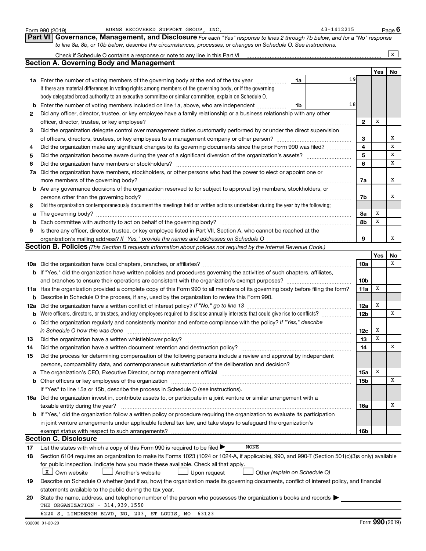|                | BURNS RECOVERED SUPPORT GROUP, INC.<br>Form 990 (2019)                                                                                                                                                                         |    | 43-1412215 |                         |            | Page 6 |
|----------------|--------------------------------------------------------------------------------------------------------------------------------------------------------------------------------------------------------------------------------|----|------------|-------------------------|------------|--------|
| <b>Part VI</b> | Governance, Management, and Disclosure For each "Yes" response to lines 2 through 7b below, and for a "No" response                                                                                                            |    |            |                         |            |        |
|                | to line 8a, 8b, or 10b below, describe the circumstances, processes, or changes on Schedule O. See instructions.                                                                                                               |    |            |                         |            |        |
|                | Check if Schedule O contains a response or note to any line in this Part VI                                                                                                                                                    |    |            |                         |            | x      |
|                | <b>Section A. Governing Body and Management</b>                                                                                                                                                                                |    |            |                         |            |        |
|                |                                                                                                                                                                                                                                |    |            |                         | Yes        | No     |
|                | <b>1a</b> Enter the number of voting members of the governing body at the end of the tax year                                                                                                                                  | 1a | 19         |                         |            |        |
|                | If there are material differences in voting rights among members of the governing body, or if the governing                                                                                                                    |    |            |                         |            |        |
|                | body delegated broad authority to an executive committee or similar committee, explain on Schedule O.                                                                                                                          |    |            |                         |            |        |
| b              | Enter the number of voting members included on line 1a, above, who are independent                                                                                                                                             | 1b | 18         |                         |            |        |
| 2              | Did any officer, director, trustee, or key employee have a family relationship or a business relationship with any other                                                                                                       |    |            |                         |            |        |
|                | officer, director, trustee, or key employee?                                                                                                                                                                                   |    |            | $\mathbf{2}$            | Х          |        |
| 3              | Did the organization delegate control over management duties customarily performed by or under the direct supervision                                                                                                          |    |            |                         |            |        |
|                | of officers, directors, trustees, or key employees to a management company or other person?                                                                                                                                    |    |            | 3                       |            | х      |
| 4              | Did the organization make any significant changes to its governing documents since the prior Form 990 was filed?                                                                                                               |    |            | $\overline{\mathbf{4}}$ |            | X      |
| 5              |                                                                                                                                                                                                                                |    |            | $\overline{5}$          |            | X      |
| 6              | Did the organization have members or stockholders?                                                                                                                                                                             |    |            | 6                       |            | X      |
| 7a             | Did the organization have members, stockholders, or other persons who had the power to elect or appoint one or                                                                                                                 |    |            |                         |            |        |
|                | more members of the governing body?                                                                                                                                                                                            |    |            | 7a                      |            | х      |
| b              | Are any governance decisions of the organization reserved to (or subject to approval by) members, stockholders, or                                                                                                             |    |            |                         |            |        |
|                | persons other than the governing body?                                                                                                                                                                                         |    |            | 7b                      |            | х      |
| 8              | Did the organization contemporaneously document the meetings held or written actions undertaken during the year by the following:                                                                                              |    |            |                         |            |        |
| а              |                                                                                                                                                                                                                                |    |            | 8а                      | х          |        |
| b              | Each committee with authority to act on behalf of the governing body?                                                                                                                                                          |    |            | 8b                      | х          |        |
| 9              | Is there any officer, director, trustee, or key employee listed in Part VII, Section A, who cannot be reached at the                                                                                                           |    |            |                         |            |        |
|                | organization's mailing address? If "Yes," provide the names and addresses on Schedule O                                                                                                                                        |    |            | 9                       |            | x      |
|                | Section B. Policies (This Section B requests information about policies not required by the Internal Revenue Code.)                                                                                                            |    |            |                         |            |        |
|                |                                                                                                                                                                                                                                |    |            |                         | <b>Yes</b> | No     |
|                |                                                                                                                                                                                                                                |    |            | 10a                     |            | x      |
|                | <b>b</b> If "Yes," did the organization have written policies and procedures governing the activities of such chapters, affiliates,                                                                                            |    |            |                         |            |        |
|                |                                                                                                                                                                                                                                |    |            | 10 <sub>b</sub>         |            |        |
|                | 11a Has the organization provided a complete copy of this Form 990 to all members of its governing body before filing the form?                                                                                                |    |            | 11a                     | X          |        |
| b              | Describe in Schedule O the process, if any, used by the organization to review this Form 990.                                                                                                                                  |    |            |                         |            |        |
| 12a            |                                                                                                                                                                                                                                |    |            | 12a                     | Х          |        |
| b              | Were officers, directors, or trustees, and key employees required to disclose annually interests that could give rise to conflicts?                                                                                            |    |            | 12 <sub>b</sub>         |            | х      |
| с              | Did the organization regularly and consistently monitor and enforce compliance with the policy? If "Yes," describe                                                                                                             |    |            |                         |            |        |
|                | in Schedule O how this was done                                                                                                                                                                                                |    |            | 12c                     | x          |        |
| 13             | Did the organization have a written whistleblower policy?                                                                                                                                                                      |    |            | 13                      | x          |        |
| 14             |                                                                                                                                                                                                                                |    |            | 14                      |            | х      |
| 15             | Did the process for determining compensation of the following persons include a review and approval by independent                                                                                                             |    |            |                         |            |        |
|                | persons, comparability data, and contemporaneous substantiation of the deliberation and decision?                                                                                                                              |    |            |                         |            |        |
| а              | The organization's CEO, Executive Director, or top management official manufacture content content of the organization's CEO, Executive Director, or top management official manufacture content of the original manufacture c |    |            | 15a                     | х          |        |
| b              |                                                                                                                                                                                                                                |    |            | 15 <sub>b</sub>         |            | х      |
|                | If "Yes" to line 15a or 15b, describe the process in Schedule O (see instructions).                                                                                                                                            |    |            |                         |            |        |
|                | 16a Did the organization invest in, contribute assets to, or participate in a joint venture or similar arrangement with a                                                                                                      |    |            |                         |            |        |
|                | taxable entity during the year?                                                                                                                                                                                                |    |            | 16a                     |            | х      |
|                | b If "Yes," did the organization follow a written policy or procedure requiring the organization to evaluate its participation                                                                                                 |    |            |                         |            |        |
|                | in joint venture arrangements under applicable federal tax law, and take steps to safeguard the organization's                                                                                                                 |    |            |                         |            |        |
|                | exempt status with respect to such arrangements?                                                                                                                                                                               |    |            | 16b                     |            |        |
|                | <b>Section C. Disclosure</b>                                                                                                                                                                                                   |    |            |                         |            |        |
| 17             | <b>NONE</b><br>List the states with which a copy of this Form 990 is required to be filed >                                                                                                                                    |    |            |                         |            |        |
| 18             | Section 6104 requires an organization to make its Forms 1023 (1024 or 1024-A, if applicable), 990, and 990-T (Section 501(c)(3)s only) available                                                                               |    |            |                         |            |        |
|                | for public inspection. Indicate how you made these available. Check all that apply.                                                                                                                                            |    |            |                         |            |        |
|                | X   Own website<br>Upon request<br>Other (explain on Schedule O)<br>Another's website                                                                                                                                          |    |            |                         |            |        |
| 19             | Describe on Schedule O whether (and if so, how) the organization made its governing documents, conflict of interest policy, and financial                                                                                      |    |            |                         |            |        |
|                | statements available to the public during the tax year.                                                                                                                                                                        |    |            |                         |            |        |
| 20             | State the name, address, and telephone number of the person who possesses the organization's books and records                                                                                                                 |    |            |                         |            |        |
|                | THE ORGANIZATION - 314.939.1550                                                                                                                                                                                                |    |            |                         |            |        |
|                | 6220 S. LINDBERGH BLVD, NO. 203, ST LOUIS, MO<br>63123                                                                                                                                                                         |    |            |                         |            |        |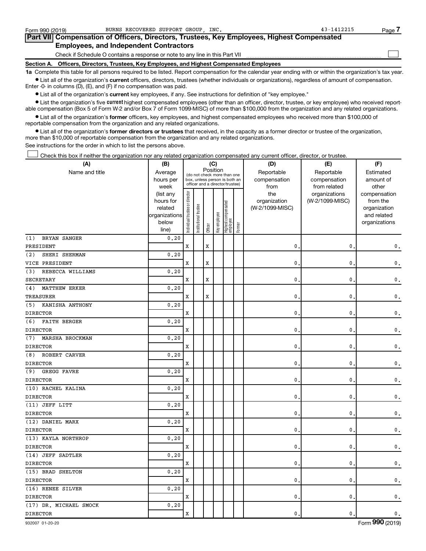| Form 990 (2019)                                                                            | BURNS RECOVERED SUPPORT GROUP INC.                                                         | 43-1412215 | <u>Page 7</u> |  |  |  |  |  |  |  |
|--------------------------------------------------------------------------------------------|--------------------------------------------------------------------------------------------|------------|---------------|--|--|--|--|--|--|--|
|                                                                                            | Part VII Compensation of Officers, Directors, Trustees, Key Employees, Highest Compensated |            |               |  |  |  |  |  |  |  |
| <b>Employees, and Independent Contractors</b>                                              |                                                                                            |            |               |  |  |  |  |  |  |  |
|                                                                                            | Check if Schedule O contains a response or note to any line in this Part VII               |            |               |  |  |  |  |  |  |  |
| Section A. Officers, Directors, Trustees, Key Employees, and Highest Compensated Employees |                                                                                            |            |               |  |  |  |  |  |  |  |
|                                                                                            |                                                                                            |            |               |  |  |  |  |  |  |  |

**1a**  Complete this table for all persons required to be listed. Report compensation for the calendar year ending with or within the organization's tax year.  $\bullet$  List all of the organization's current officers, directors, trustees (whether individuals or organizations), regardless of amount of compensation.

Enter -0- in columns (D), (E), and (F) if no compensation was paid.

**•** List all of the organization's current key employees, if any. See instructions for definition of "key employee."

• List the organization's five *current* highest compensated employees (other than an officer, director, trustee, or key employee) who received reportable compensation (Box 5 of Form W-2 and/or Box 7 of Form 1099-MISC) of more than \$100,000 from the organization and any related organizations.

 $\bullet$  List all of the organization's former officers, key employees, and highest compensated employees who received more than \$100,000 of reportable compensation from the organization and any related organizations.

**•** List all of the organization's former directors or trustees that received, in the capacity as a former director or trustee of the organization, more than \$10,000 of reportable compensation from the organization and any related organizations.

See instructions for the order in which to list the persons above.

Check this box if neither the organization nor any related organization compensated any current officer, director, or trustee. †

| (A)                         | (B)<br>(C)             |                                |                       |             |              |                                                                  |        | (D)                 | (E)                              | (F)                      |
|-----------------------------|------------------------|--------------------------------|-----------------------|-------------|--------------|------------------------------------------------------------------|--------|---------------------|----------------------------------|--------------------------|
| Name and title              | Average                |                                |                       | Position    |              | (do not check more than one                                      |        | Reportable          | Reportable                       | Estimated                |
|                             | hours per              |                                |                       |             |              | box, unless person is both an<br>officer and a director/trustee) |        | compensation        | compensation                     | amount of                |
|                             | week                   |                                |                       |             |              |                                                                  |        | from                | from related                     | other                    |
|                             | (list any<br>hours for |                                |                       |             |              |                                                                  |        | the<br>organization | organizations<br>(W-2/1099-MISC) | compensation<br>from the |
|                             | related                |                                |                       |             |              |                                                                  |        | (W-2/1099-MISC)     |                                  | organization             |
|                             | organizations          |                                |                       |             |              |                                                                  |        |                     |                                  | and related              |
|                             | below                  | Individual trustee or director | Institutional trustee |             | Key employee | Highest compensated<br>employee                                  |        |                     |                                  | organizations            |
|                             | line)                  |                                |                       | Officer     |              |                                                                  | Former |                     |                                  |                          |
| BRYAN SANGER<br>(1)         | 0.20                   |                                |                       |             |              |                                                                  |        |                     |                                  |                          |
| PRESIDENT                   |                        | х                              |                       | $\mathbf x$ |              |                                                                  |        | 0.                  | 0                                | 0.                       |
| (2)<br>SHERI SHERMAN        | 0, 20                  |                                |                       |             |              |                                                                  |        |                     |                                  |                          |
| VICE PRESIDENT              |                        | X                              |                       | Х           |              |                                                                  |        | $\mathbf{0}$        | 0                                | 0.                       |
| REBECCA WILLIAMS<br>(3)     | 0.20                   |                                |                       |             |              |                                                                  |        |                     |                                  |                          |
| <b>SECRETARY</b>            |                        | X                              |                       | X           |              |                                                                  |        | $\mathbf{0}$ .      | 0                                | 0.                       |
| (4)<br><b>MATTHEW ERKER</b> | 0.20                   |                                |                       |             |              |                                                                  |        |                     |                                  |                          |
| TREASURER                   |                        | X                              |                       | X           |              |                                                                  |        | $\mathbf{0}$ .      | 0                                | 0.                       |
| KANISHA ANTHONY<br>(5)      | 0.20                   |                                |                       |             |              |                                                                  |        |                     |                                  |                          |
| <b>DIRECTOR</b>             |                        | X                              |                       |             |              |                                                                  |        | $\mathbf{0}$ .      | 0                                | 0.                       |
| <b>FAITH BERGER</b><br>(6)  | 0.20                   |                                |                       |             |              |                                                                  |        |                     |                                  |                          |
| <b>DIRECTOR</b>             |                        | X                              |                       |             |              |                                                                  |        | $\mathbf{0}$        | 0                                | 0.                       |
| MARSHA BROCKMAN<br>(7)      | 0.20                   |                                |                       |             |              |                                                                  |        |                     |                                  |                          |
| <b>DIRECTOR</b>             |                        | X                              |                       |             |              |                                                                  |        | $\mathbf{0}$ .      | 0                                | 0.                       |
| ROBERT CARVER<br>(8)        | 0.20                   |                                |                       |             |              |                                                                  |        |                     |                                  |                          |
| <b>DIRECTOR</b>             |                        | X                              |                       |             |              |                                                                  |        | $\mathbf{0}$ .      | 0                                | 0.                       |
| <b>GREGG FAVRE</b><br>(9)   | 0.20                   |                                |                       |             |              |                                                                  |        |                     |                                  |                          |
| <b>DIRECTOR</b>             |                        | X                              |                       |             |              |                                                                  |        | $\mathbf{0}$ .      | 0                                | 0.                       |
| (10) RACHEL KALINA          | 0.20                   |                                |                       |             |              |                                                                  |        |                     |                                  |                          |
| <b>DIRECTOR</b>             |                        | X                              |                       |             |              |                                                                  |        | $\mathbf{0}$ .      | 0                                | 0.                       |
| (11) JEFF LITT              | 0.20                   |                                |                       |             |              |                                                                  |        |                     |                                  |                          |
| <b>DIRECTOR</b>             |                        | $\mathbf X$                    |                       |             |              |                                                                  |        | $\mathbf{0}$ .      | 0                                | 0.                       |
| (12) DANIEL MARX            | 0.20                   |                                |                       |             |              |                                                                  |        |                     |                                  |                          |
| <b>DIRECTOR</b>             |                        | $\mathbf X$                    |                       |             |              |                                                                  |        | $\mathbf{0}$ .      | 0                                | 0.                       |
| (13) KAYLA NORTHROP         | 0.20                   |                                |                       |             |              |                                                                  |        |                     |                                  |                          |
| <b>DIRECTOR</b>             |                        | $\mathbf x$                    |                       |             |              |                                                                  |        | 0.                  | 0                                | 0.                       |
| (14) JEFF SADTLER           | 0, 20                  |                                |                       |             |              |                                                                  |        |                     |                                  |                          |
| <b>DIRECTOR</b>             |                        | $\mathbf X$                    |                       |             |              |                                                                  |        | $\mathbf{0}$ .      | 0                                | 0.                       |
| (15) BRAD SHELTON           | 0, 20                  |                                |                       |             |              |                                                                  |        |                     |                                  |                          |
| <b>DIRECTOR</b>             |                        | $\mathbf x$                    |                       |             |              |                                                                  |        | 0.                  | 0                                | 0.                       |
| (16) RENEE SILVER           | 0.20                   |                                |                       |             |              |                                                                  |        |                     |                                  |                          |
| <b>DIRECTOR</b>             |                        | $\mathbf x$                    |                       |             |              |                                                                  |        | $\mathbf 0$ .       | 0                                | 0.                       |
| (17) DR. MICHAEL SMOCK      | 0, 20                  |                                |                       |             |              |                                                                  |        |                     |                                  |                          |
| <b>DIRECTOR</b>             |                        | $\mathbf X$                    |                       |             |              |                                                                  |        | 0.                  | $\mathbf 0$                      | 0.                       |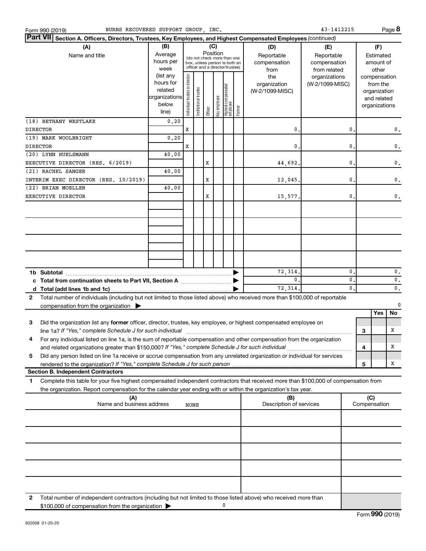|                 | BURNS RECOVERED SUPPORT GROUP, INC.<br>Form 990 (2019)                                                                                                                                                                                                 |                                                                      |                                |                       |          |              |                                                                                                 |        |                                                | 43-1412215                                       |                |                     |                                                                                   | Page 8        |
|-----------------|--------------------------------------------------------------------------------------------------------------------------------------------------------------------------------------------------------------------------------------------------------|----------------------------------------------------------------------|--------------------------------|-----------------------|----------|--------------|-------------------------------------------------------------------------------------------------|--------|------------------------------------------------|--------------------------------------------------|----------------|---------------------|-----------------------------------------------------------------------------------|---------------|
| <b>Part VII</b> | Section A. Officers, Directors, Trustees, Key Employees, and Highest Compensated Employees (continued)                                                                                                                                                 |                                                                      |                                |                       |          |              |                                                                                                 |        |                                                |                                                  |                |                     |                                                                                   |               |
|                 | (A)<br>Name and title                                                                                                                                                                                                                                  | (B)<br>Average<br>hours per<br>week                                  |                                |                       | Position | (C)          | (do not check more than one<br>box, unless person is both an<br>officer and a director/trustee) |        | (D)<br>Reportable<br>compensation              | (E)<br>Reportable<br>compensation                |                |                     | (F)<br>Estimated<br>amount of                                                     |               |
|                 |                                                                                                                                                                                                                                                        | (list any<br>hours for<br>related<br>organizations<br>below<br>line) | Individual trustee or director | Institutional trustee | Officer  | Key employee | Highest compensated<br>employee                                                                 | Former | from<br>the<br>organization<br>(W-2/1099-MISC) | from related<br>organizations<br>(W-2/1099-MISC) |                |                     | other<br>compensation<br>from the<br>organization<br>and related<br>organizations |               |
|                 | (18) BETHANY WESTLAKE                                                                                                                                                                                                                                  | 0.20                                                                 |                                |                       |          |              |                                                                                                 |        |                                                |                                                  |                |                     |                                                                                   |               |
| <b>DIRECTOR</b> |                                                                                                                                                                                                                                                        |                                                                      | X                              |                       |          |              |                                                                                                 |        | 0.                                             |                                                  | 0              |                     |                                                                                   | 0.            |
| <b>DIRECTOR</b> | (19) MARK WOOLBRIGHT                                                                                                                                                                                                                                   | 0, 20                                                                | X                              |                       |          |              |                                                                                                 |        | 0.                                             |                                                  | 0              |                     |                                                                                   | $\mathbf 0$ . |
|                 | (20) LYNN HUELSMANN                                                                                                                                                                                                                                    | 40.00                                                                |                                |                       |          |              |                                                                                                 |        |                                                |                                                  |                |                     |                                                                                   |               |
|                 | EXECUTIVE DIRECTOR (RES. 6/2019)                                                                                                                                                                                                                       |                                                                      |                                |                       | Х        |              |                                                                                                 |        | 44,692.                                        |                                                  | 0              |                     |                                                                                   | $\mathbf 0$ . |
|                 | (21) RACHEL SANGER                                                                                                                                                                                                                                     | 40.00                                                                |                                |                       |          |              |                                                                                                 |        |                                                |                                                  |                |                     |                                                                                   |               |
|                 | INTERIM EXEC DIRECTOR (RES. 10/2019)                                                                                                                                                                                                                   |                                                                      |                                |                       | X        |              |                                                                                                 |        | 12,045.                                        |                                                  | 0              |                     |                                                                                   | $\mathbf 0$ . |
|                 | (22) BRIAN MOELLER                                                                                                                                                                                                                                     | 40.00                                                                |                                |                       |          |              |                                                                                                 |        |                                                |                                                  |                |                     |                                                                                   |               |
|                 | EXECUTIVE DIRECTOR                                                                                                                                                                                                                                     |                                                                      |                                |                       | X        |              |                                                                                                 |        | 15,577.                                        |                                                  | $\mathbf{0}$ . |                     |                                                                                   | $\mathbf 0$ . |
|                 |                                                                                                                                                                                                                                                        |                                                                      |                                |                       |          |              |                                                                                                 |        |                                                |                                                  |                |                     |                                                                                   |               |
|                 |                                                                                                                                                                                                                                                        |                                                                      |                                |                       |          |              |                                                                                                 |        |                                                |                                                  |                |                     |                                                                                   |               |
|                 |                                                                                                                                                                                                                                                        |                                                                      |                                |                       |          |              |                                                                                                 |        |                                                |                                                  |                |                     |                                                                                   |               |
|                 | 1b Subtotal                                                                                                                                                                                                                                            |                                                                      |                                |                       |          |              |                                                                                                 |        | 72,314.                                        |                                                  | $\mathbf{0}$   |                     |                                                                                   | 0.            |
|                 |                                                                                                                                                                                                                                                        |                                                                      |                                |                       |          |              |                                                                                                 |        | 0.                                             |                                                  | $\mathbf{0}$   |                     |                                                                                   | 0.            |
|                 |                                                                                                                                                                                                                                                        |                                                                      |                                |                       |          |              |                                                                                                 |        | 72,314.                                        |                                                  | $\mathbf{0}$ . |                     |                                                                                   | 0.            |
| $\mathbf{2}$    | Total number of individuals (including but not limited to those listed above) who received more than \$100,000 of reportable                                                                                                                           |                                                                      |                                |                       |          |              |                                                                                                 |        |                                                |                                                  |                |                     |                                                                                   | $\mathbf 0$   |
|                 | compensation from the organization $\blacktriangleright$                                                                                                                                                                                               |                                                                      |                                |                       |          |              |                                                                                                 |        |                                                |                                                  |                |                     | <b>Yes</b>                                                                        | No            |
| 3               | Did the organization list any former officer, director, trustee, key employee, or highest compensated employee on<br>line 1a? If "Yes," complete Schedule J for such individual [11] manufacture manufacture in the set of the set o                   |                                                                      |                                |                       |          |              |                                                                                                 |        |                                                |                                                  |                | з                   |                                                                                   | x             |
|                 | For any individual listed on line 1a, is the sum of reportable compensation and other compensation from the organization<br>and related organizations greater than \$150,000? If "Yes," complete Schedule J for such individual                        |                                                                      |                                |                       |          |              |                                                                                                 |        |                                                |                                                  |                | 4                   |                                                                                   | х             |
| 5               | Did any person listed on line 1a receive or accrue compensation from any unrelated organization or individual for services                                                                                                                             |                                                                      |                                |                       |          |              |                                                                                                 |        |                                                |                                                  |                |                     |                                                                                   |               |
|                 | rendered to the organization? If "Yes," complete Schedule J for such person<br><b>Section B. Independent Contractors</b>                                                                                                                               |                                                                      |                                |                       |          |              |                                                                                                 |        |                                                |                                                  |                | 5                   |                                                                                   | х             |
| 1               | Complete this table for your five highest compensated independent contractors that received more than \$100,000 of compensation from<br>the organization. Report compensation for the calendar year ending with or within the organization's tax year. |                                                                      |                                |                       |          |              |                                                                                                 |        |                                                |                                                  |                |                     |                                                                                   |               |
|                 | (A)<br>Name and business address                                                                                                                                                                                                                       |                                                                      | NONE                           |                       |          |              |                                                                                                 |        | (B)<br>Description of services                 |                                                  |                | (C)<br>Compensation |                                                                                   |               |
|                 |                                                                                                                                                                                                                                                        |                                                                      |                                |                       |          |              |                                                                                                 |        |                                                |                                                  |                |                     |                                                                                   |               |
|                 |                                                                                                                                                                                                                                                        |                                                                      |                                |                       |          |              |                                                                                                 |        |                                                |                                                  |                |                     |                                                                                   |               |
|                 |                                                                                                                                                                                                                                                        |                                                                      |                                |                       |          |              |                                                                                                 |        |                                                |                                                  |                |                     |                                                                                   |               |
|                 |                                                                                                                                                                                                                                                        |                                                                      |                                |                       |          |              |                                                                                                 |        |                                                |                                                  |                |                     |                                                                                   |               |
|                 |                                                                                                                                                                                                                                                        |                                                                      |                                |                       |          |              |                                                                                                 |        |                                                |                                                  |                |                     |                                                                                   |               |
| 2               | Total number of independent contractors (including but not limited to those listed above) who received more than<br>\$100,000 of compensation from the organization                                                                                    |                                                                      |                                |                       |          |              | 0                                                                                               |        |                                                |                                                  |                |                     |                                                                                   |               |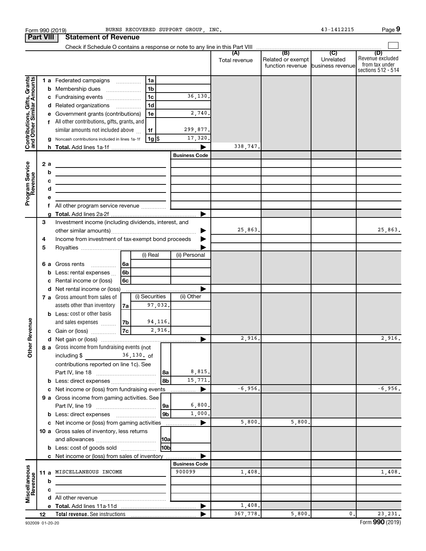|                                                           |                  | Form 990 (2019)                                                                |                                                        |                 | BURNS RECOVERED SUPPORT GROUP, INC. |                      |                                                                | 43-1412215       | Page 9                                                          |
|-----------------------------------------------------------|------------------|--------------------------------------------------------------------------------|--------------------------------------------------------|-----------------|-------------------------------------|----------------------|----------------------------------------------------------------|------------------|-----------------------------------------------------------------|
|                                                           | <b>Part VIII</b> | <b>Statement of Revenue</b>                                                    |                                                        |                 |                                     |                      |                                                                |                  |                                                                 |
|                                                           |                  |                                                                                |                                                        |                 |                                     |                      |                                                                |                  |                                                                 |
|                                                           |                  |                                                                                |                                                        |                 |                                     | (A)<br>Total revenue | (B)<br>Related or exempt<br>function revenue business revenuel | (C)<br>Unrelated | (D)<br>Revenue excluded<br>from tax under<br>sections 512 - 514 |
|                                                           |                  | 1 a Federated campaigns                                                        | 1a                                                     |                 |                                     |                      |                                                                |                  |                                                                 |
|                                                           |                  | Membership dues<br>b                                                           | 1 <sub>b</sub><br>$\ldots \ldots \ldots \ldots \ldots$ |                 |                                     |                      |                                                                |                  |                                                                 |
|                                                           |                  | c Fundraising events                                                           | 1 <sub>c</sub>                                         |                 | 36,130.                             |                      |                                                                |                  |                                                                 |
| Contributions, Gifts, Grants<br>and Other Similar Amounts |                  | d Related organizations                                                        | 1 <sub>d</sub>                                         |                 |                                     |                      |                                                                |                  |                                                                 |
|                                                           |                  | Government grants (contributions)<br>е                                         | 1e                                                     |                 | 2,740.                              |                      |                                                                |                  |                                                                 |
|                                                           |                  | f All other contributions, gifts, grants, and                                  |                                                        |                 |                                     |                      |                                                                |                  |                                                                 |
|                                                           |                  | similar amounts not included above                                             | 1f                                                     |                 | 299,877.                            |                      |                                                                |                  |                                                                 |
|                                                           |                  | Noncash contributions included in lines 1a-1f                                  |                                                        | 1g  \$          | 17,320.                             |                      |                                                                |                  |                                                                 |
|                                                           |                  |                                                                                |                                                        |                 |                                     | 338,747.             |                                                                |                  |                                                                 |
|                                                           |                  |                                                                                |                                                        |                 | <b>Business Code</b>                |                      |                                                                |                  |                                                                 |
|                                                           | 2 a              |                                                                                |                                                        |                 |                                     |                      |                                                                |                  |                                                                 |
|                                                           | b                |                                                                                |                                                        |                 |                                     |                      |                                                                |                  |                                                                 |
|                                                           | c                | the control of the control of the control of the control of the control of     |                                                        |                 |                                     |                      |                                                                |                  |                                                                 |
|                                                           | d                | the control of the control of the control of the control of the control of     |                                                        |                 |                                     |                      |                                                                |                  |                                                                 |
| Program Service<br>Revenue                                | е                |                                                                                |                                                        |                 |                                     |                      |                                                                |                  |                                                                 |
|                                                           |                  |                                                                                |                                                        |                 |                                     |                      |                                                                |                  |                                                                 |
|                                                           | 3                | Investment income (including dividends, interest, and                          |                                                        |                 |                                     |                      |                                                                |                  |                                                                 |
|                                                           |                  |                                                                                |                                                        |                 |                                     | 25,863.              |                                                                |                  | 25,863.                                                         |
|                                                           | 4                | Income from investment of tax-exempt bond proceeds                             |                                                        |                 |                                     |                      |                                                                |                  |                                                                 |
|                                                           | 5                |                                                                                |                                                        |                 |                                     |                      |                                                                |                  |                                                                 |
|                                                           |                  |                                                                                | (i) Real                                               |                 | (ii) Personal                       |                      |                                                                |                  |                                                                 |
|                                                           | 6а               | Gross rents                                                                    | 6a                                                     |                 |                                     |                      |                                                                |                  |                                                                 |
|                                                           | b                | Less: rental expenses                                                          | 6 <sub>b</sub>                                         |                 |                                     |                      |                                                                |                  |                                                                 |
|                                                           | c                | Rental income or (loss)                                                        | 6 <sub>c</sub>                                         |                 |                                     |                      |                                                                |                  |                                                                 |
|                                                           |                  | Net rental income or (loss)<br>d                                               |                                                        |                 |                                     |                      |                                                                |                  |                                                                 |
|                                                           |                  | 7 a Gross amount from sales of                                                 |                                                        | (i) Securities  | (ii) Other                          |                      |                                                                |                  |                                                                 |
|                                                           |                  | assets other than inventory                                                    | 7а                                                     | 97,032.         |                                     |                      |                                                                |                  |                                                                 |
|                                                           |                  | <b>b</b> Less: cost or other basis                                             |                                                        |                 |                                     |                      |                                                                |                  |                                                                 |
| evenue                                                    |                  | and sales expenses                                                             | 7b                                                     | 94,116.         |                                     |                      |                                                                |                  |                                                                 |
|                                                           |                  | c Gain or (loss)                                                               | 7c                                                     | 2,916.          |                                     |                      |                                                                |                  |                                                                 |
| Other R                                                   |                  |                                                                                |                                                        |                 |                                     | 2,916.               |                                                                |                  | 2,916.                                                          |
|                                                           |                  | 8 a Gross income from fundraising events (not<br>including \$<br>$36,130$ , of |                                                        |                 |                                     |                      |                                                                |                  |                                                                 |
|                                                           |                  | contributions reported on line 1c). See                                        |                                                        |                 |                                     |                      |                                                                |                  |                                                                 |
|                                                           |                  | Part IV, line 18                                                               |                                                        | 8a              | 8,815.                              |                      |                                                                |                  |                                                                 |
|                                                           |                  |                                                                                |                                                        | 8b              | 15,771.                             |                      |                                                                |                  |                                                                 |
|                                                           |                  | Net income or (loss) from fundraising events<br>c                              |                                                        |                 | ▶                                   | $-6,956.$            |                                                                |                  | $-6,956.$                                                       |
|                                                           |                  | 9 a Gross income from gaming activities. See                                   |                                                        |                 |                                     |                      |                                                                |                  |                                                                 |
|                                                           |                  |                                                                                |                                                        | 9a              | 6,800.                              |                      |                                                                |                  |                                                                 |
|                                                           |                  |                                                                                |                                                        | 9 <sub>b</sub>  | 1,000.                              |                      |                                                                |                  |                                                                 |
|                                                           |                  | c Net income or (loss) from gaming activities                                  |                                                        |                 | ▶                                   | 5,800.               | 5,800.                                                         |                  |                                                                 |
|                                                           |                  | 10 a Gross sales of inventory, less returns                                    |                                                        |                 |                                     |                      |                                                                |                  |                                                                 |
|                                                           |                  |                                                                                |                                                        | 10a             |                                     |                      |                                                                |                  |                                                                 |
|                                                           |                  | <b>b</b> Less: cost of goods sold                                              |                                                        | 10 <sub>b</sub> |                                     |                      |                                                                |                  |                                                                 |
|                                                           |                  | c Net income or (loss) from sales of inventory                                 |                                                        |                 |                                     |                      |                                                                |                  |                                                                 |
|                                                           |                  |                                                                                |                                                        |                 | <b>Business Code</b>                |                      |                                                                |                  |                                                                 |
| Miscellaneous<br>Revenue                                  | 11 a             | MISCELLANEOUS INCOME                                                           |                                                        |                 | 900099                              | 1,408.               |                                                                |                  | 1,408.                                                          |
|                                                           | b                |                                                                                |                                                        |                 |                                     |                      |                                                                |                  |                                                                 |
|                                                           | c                |                                                                                |                                                        |                 |                                     |                      |                                                                |                  |                                                                 |
|                                                           |                  |                                                                                |                                                        |                 |                                     | 1,408.               |                                                                |                  |                                                                 |
|                                                           | 12               | Total revenue. See instructions                                                |                                                        |                 |                                     | 367,778.             | 5,800.                                                         | $\mathbf{0}$ .   | 23, 231.                                                        |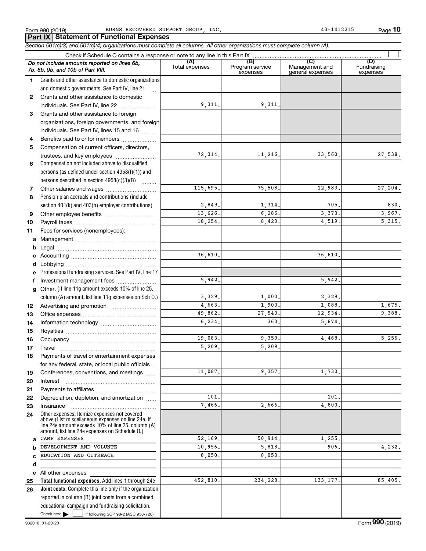**10**

 $\Box$ 

**Total functional expenses.**  Add lines 1 through 24e **Joint costs.** Complete this line only if the organization **(A) (B) (C) (D)** Fundraising **1 2 3** Grants and other assistance to foreign **4 5 6 7 8 9 10 11 a** Management ~~~~~~~~~~~~~~~~ **b c d e f g 12 13 14 15 16 17 18 19 20 21 22 23 24 a b c d e 25 26** *Section 501(c)(3) and 501(c)(4) organizations must complete all columns. All other organizations must complete column (A).* Grants and other assistance to domestic organizations and domestic governments. See Part IV, line 21 Compensation not included above to disqualified persons (as defined under section 4958(f)(1)) and persons described in section  $4958(c)(3)(B)$   $\ldots$ Pension plan accruals and contributions (include section 401(k) and 403(b) employer contributions) Professional fundraising services. See Part IV, line 17 Other. (If line 11g amount exceeds 10% of line 25, column (A) amount, list line 11g expenses on Sch O.) Other expenses. Itemize expenses not covered above (List miscellaneous expenses on line 24e. If line 24e amount exceeds 10% of line 25, column (A) amount, list line 24e expenses on Schedule O.) reported in column (B) joint costs from a combined Form 990 (2019) BURNS RECOVERED SUPPORT GROUP, INC. And the magnitude of the state of the Page Check if Schedule O contains a response or note to any line in this Part IX Total expenses Program service expenses Management and general expenses expenses .<br>... Grants and other assistance to domestic individuals. See Part IV, line 22 ~~~~~~~ organizations, foreign governments, and foreign individuals. See Part IV, lines 15 and 16  $\ldots$ Benefits paid to or for members ................... Compensation of current officers, directors, trustees, and key employees ........................ Other salaries and wages ~~~~~~~~~~ Other employee benefits ~~~~~~~~~~ Payroll taxes ~~~~~~~~~~~~~~~~ Fees for services (nonemployees): Legal ~~~~~~~~~~~~~~~~~~~~ Accounting ~~~~~~~~~~~~~~~~~ Lobbying ~~~~~~~~~~~~~~~~~~ Investment management fees ........................ Advertising and promotion ........................... Office expenses ~~~~~~~~~~~~~~~ Information technology ~~~~~~~~~~~ Royalties ~~~~~~~~~~~~~~~~~~ Occupancy ~~~~~~~~~~~~~~~~~ Travel ~~~~~~~~~~~~~~~~~~~ Payments of travel or entertainment expenses for any federal, state, or local public officials ... Conferences, conventions, and meetings Interest ~~~~~~~~~~~~~~~~~~ Payments to affiliates ~~~~~~~~~~~~ Depreciation, depletion, and amortization ...... Insurance ~~~~~~~~~~~~~~~~~ All other expenses *Do not include amounts reported on lines 6b, 7b, 8b, 9b, and 10b of Part VIII.* **Part IX Statement of Functional Expenses** 9,311. 9,311. 72,314. 11,216. 33,560. 27,538. 115,695. 75,508. 12,983. 27,204. 2,849. 1,314. 705. 830. 13,626. 6,286. 3,373. 3,967. 18,254. 8,420. 4,519. 5,315. 36,610. 36,610. 5,942. 5,942. 3,329. 1,000. 2,329. 4,663. 1,900. 1,088. 1,675. 49,862. 27,540. 12,934. 9,388. 6,234. 360. 5,874. 19,083. 9,359. 4,468. 5,256. 5,209. 5,209. 11,087. 9,357. 1,730. 101. 101. 7,466. 2,666. 4,800. CAMP EXPENSES 1.255 DEVELOPMENT AND VOLUNTE 10,956. 5,818. 906. 4,232. EDUCATION AND OUTREACH 8,050. 8,050. 452,810. 234,228. 133,177. 85,405.

Check here  $\blacktriangleright$  |

Check here  $\begin{array}{c} \begin{array}{|c} \hline \end{array} \end{array}$  if following SOP 98-2 (ASC 958-720)

educational campaign and fundraising solicitation.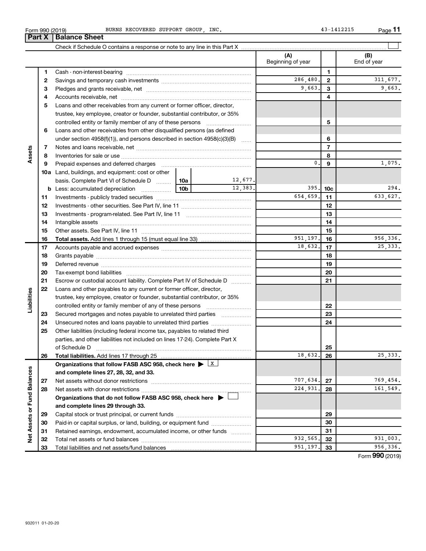**31 32 33**

**Net Assets or Fund Balances**

Net Assets or Fund Balances

| BURNS RECOVERED SUPPORT GROUP, INC |  |  |  |
|------------------------------------|--|--|--|
|------------------------------------|--|--|--|

| LΛ | Dalallue Sileet                                                                                                    |  |         |                          |                 |                    |
|----|--------------------------------------------------------------------------------------------------------------------|--|---------|--------------------------|-----------------|--------------------|
|    |                                                                                                                    |  |         |                          |                 |                    |
|    |                                                                                                                    |  |         | (A)<br>Beginning of year |                 | (B)<br>End of year |
| 1  |                                                                                                                    |  |         |                          | 1               |                    |
| 2  |                                                                                                                    |  |         | 286,480.                 | $\mathbf{2}$    | 311,677.           |
| З  |                                                                                                                    |  |         | 9,663.                   | 3               | 9,663.             |
| 4  |                                                                                                                    |  |         |                          | 4               |                    |
| 5  | Loans and other receivables from any current or former officer, director,                                          |  |         |                          |                 |                    |
|    | trustee, key employee, creator or founder, substantial contributor, or 35%                                         |  |         |                          |                 |                    |
|    | controlled entity or family member of any of these persons                                                         |  |         |                          | 5               |                    |
| 6  | Loans and other receivables from other disqualified persons (as defined                                            |  |         |                          |                 |                    |
|    | under section 4958(f)(1)), and persons described in section 4958(c)(3)(B)                                          |  |         |                          | 6               |                    |
| 7  |                                                                                                                    |  |         |                          | $\overline{7}$  |                    |
| 8  |                                                                                                                    |  |         |                          | 8               |                    |
| 9  | Prepaid expenses and deferred charges [111] [11] prepaid expenses and deferred charges [11] [11] minimum materials |  |         | 0.                       | 9               | 1,075.             |
|    | <b>10a</b> Land, buildings, and equipment: cost or other                                                           |  |         |                          |                 |                    |
|    | basis. Complete Part VI of Schedule D    10a                                                                       |  | 12,677. |                          |                 |                    |
| b  |                                                                                                                    |  | 12,383. | 395.                     | 10 <sub>c</sub> | 294.               |
| 11 |                                                                                                                    |  |         | 654,659.                 | 11              | 633,627.           |
| 12 |                                                                                                                    |  |         |                          | 12              |                    |
| 13 |                                                                                                                    |  |         |                          | 13              |                    |
| 14 |                                                                                                                    |  |         |                          | 14              |                    |
| 15 |                                                                                                                    |  |         |                          | 15              |                    |
| 16 |                                                                                                                    |  |         | 951,197.                 | 16              | 956,336.           |
| 17 |                                                                                                                    |  |         | 18,632.                  | 17              | 25, 333.           |
| 18 |                                                                                                                    |  |         |                          | 18              |                    |
| 19 |                                                                                                                    |  |         |                          | 19              |                    |
| 20 |                                                                                                                    |  |         |                          | 20              |                    |
| 21 | Escrow or custodial account liability. Complete Part IV of Schedule D                                              |  |         |                          | 21              |                    |
| 22 | Loans and other payables to any current or former officer, director,                                               |  |         |                          |                 |                    |
|    | trustee, key employee, creator or founder, substantial contributor, or 35%                                         |  |         |                          |                 |                    |
|    |                                                                                                                    |  |         |                          | 22              |                    |
| 23 | Secured mortgages and notes payable to unrelated third parties                                                     |  |         |                          | 23              |                    |
| 24 | Unsecured notes and loans payable to unrelated third parties                                                       |  |         |                          | 24              |                    |
| 25 | Other liabilities (including federal income tax, payables to related third                                         |  |         |                          |                 |                    |
|    | parties, and other liabilities not included on lines 17-24). Complete Part X                                       |  |         |                          |                 |                    |
|    | of Schedule D                                                                                                      |  |         |                          | 25              |                    |
| 26 |                                                                                                                    |  |         | 18,632.                  | 26              | 25, 333.           |
|    | Organizations that follow FASB ASC 958, check here $\blacktriangleright \lfloor x \rfloor$                         |  |         |                          |                 |                    |
|    | and complete lines 27, 28, 32, and 33.                                                                             |  |         |                          |                 |                    |
| 27 | Net assets without donor restrictions                                                                              |  |         | 707,634.                 | 27              | 769,454.           |
| 28 |                                                                                                                    |  |         | 224,931.                 | 28              | 161,549.           |
|    | Organizations that do not follow FASB ASC 958, check here $\blacktriangleright$                                    |  |         |                          |                 |                    |
|    | and complete lines 29 through 33.                                                                                  |  |         |                          |                 |                    |
| 29 |                                                                                                                    |  |         |                          | 29              |                    |
| 30 | Paid-in or capital surplus, or land, building, or equipment fund                                                   |  |         | 30                       |                 |                    |

BURNS RECOVERED SUPPORT GROUP, INC. 43-1412215

Form (2019) **990**

**31 32 33**

932,565. 32 931,003. 951,197. 33 956,336.

#### Form 990 (2019) Page

Paid-in or capital surplus, or land, building, or equipment fund ....................... Retained earnings, endowment, accumulated income, or other funds ............

Total net assets or fund balances ~~~~~~~~~~~~~~~~~~~~~~

Total liabilities and net assets/fund balances

**Part X Balance Sheet** 

| Form 990 (2019 |  |  |
|----------------|--|--|
|                |  |  |

**Assets**

**Liabilities**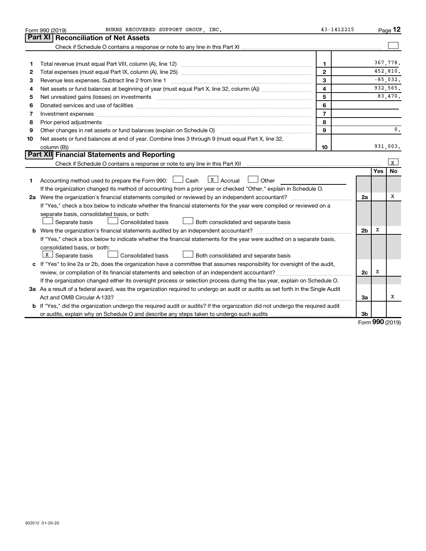|                                                                                                                                 | BURNS RECOVERED SUPPORT GROUP, INC.<br>Form 990 (2019)                                                                        | 43-1412215     |                |     | Page 12        |  |  |
|---------------------------------------------------------------------------------------------------------------------------------|-------------------------------------------------------------------------------------------------------------------------------|----------------|----------------|-----|----------------|--|--|
|                                                                                                                                 | Part XI   Reconciliation of Net Assets                                                                                        |                |                |     |                |  |  |
|                                                                                                                                 |                                                                                                                               |                |                |     |                |  |  |
|                                                                                                                                 |                                                                                                                               |                |                |     |                |  |  |
| 1                                                                                                                               |                                                                                                                               | $\mathbf{1}$   |                |     | 367.778.       |  |  |
| 2                                                                                                                               |                                                                                                                               | $\mathbf{2}$   |                |     | 452,810.       |  |  |
| З                                                                                                                               | Revenue less expenses. Subtract line 2 from line 1                                                                            | 3              |                |     | $-85.032.$     |  |  |
| 4                                                                                                                               |                                                                                                                               | 4              |                |     | 932,565.       |  |  |
| 5                                                                                                                               | Net unrealized gains (losses) on investments [111] www.martime.community.community.community.community.communi                | 5              |                |     | 83,470.        |  |  |
| 6                                                                                                                               |                                                                                                                               | 6              |                |     |                |  |  |
| 7                                                                                                                               |                                                                                                                               | $\overline{7}$ |                |     |                |  |  |
| 8                                                                                                                               | 8<br>Prior period adjustments www.communication.communication.communication.com/news-managements                              |                |                |     |                |  |  |
| 9                                                                                                                               | Other changes in net assets or fund balances (explain on Schedule O) [11] [2000] [2000] [2000] [2000] [2000] [                | 9              |                |     | $\mathbf{0}$ . |  |  |
| 10                                                                                                                              | Net assets or fund balances at end of year. Combine lines 3 through 9 (must equal Part X, line 32,                            |                |                |     |                |  |  |
|                                                                                                                                 |                                                                                                                               | 10             |                |     | 931,003.       |  |  |
|                                                                                                                                 | Part XII Financial Statements and Reporting                                                                                   |                |                |     |                |  |  |
|                                                                                                                                 |                                                                                                                               |                |                |     | $\mathbf{x}$   |  |  |
|                                                                                                                                 |                                                                                                                               |                |                | Yes | <b>No</b>      |  |  |
| 1.                                                                                                                              | $\lfloor x \rfloor$ Accrual<br>Accounting method used to prepare the Form 990: [130] Cash<br>Other                            |                |                |     |                |  |  |
|                                                                                                                                 | If the organization changed its method of accounting from a prior year or checked "Other," explain in Schedule O.             |                |                |     |                |  |  |
|                                                                                                                                 |                                                                                                                               |                | 2a             |     | x              |  |  |
|                                                                                                                                 | If "Yes," check a box below to indicate whether the financial statements for the year were compiled or reviewed on a          |                |                |     |                |  |  |
|                                                                                                                                 | separate basis, consolidated basis, or both:                                                                                  |                |                |     |                |  |  |
|                                                                                                                                 | Separate basis<br>Consolidated basis<br>Both consolidated and separate basis                                                  |                |                |     |                |  |  |
|                                                                                                                                 |                                                                                                                               |                | 2 <sub>b</sub> | х   |                |  |  |
|                                                                                                                                 | If "Yes," check a box below to indicate whether the financial statements for the year were audited on a separate basis,       |                |                |     |                |  |  |
|                                                                                                                                 | consolidated basis, or both:                                                                                                  |                |                |     |                |  |  |
|                                                                                                                                 | $X$ Separate basis<br><b>Consolidated basis</b><br>Both consolidated and separate basis                                       |                |                |     |                |  |  |
|                                                                                                                                 | c If "Yes" to line 2a or 2b, does the organization have a committee that assumes responsibility for oversight of the audit,   |                |                |     |                |  |  |
|                                                                                                                                 |                                                                                                                               |                | 2c             | х   |                |  |  |
|                                                                                                                                 | If the organization changed either its oversight process or selection process during the tax year, explain on Schedule O.     |                |                |     |                |  |  |
| 3a As a result of a federal award, was the organization required to undergo an audit or audits as set forth in the Single Audit |                                                                                                                               |                |                |     |                |  |  |
|                                                                                                                                 |                                                                                                                               |                | За             |     | X              |  |  |
|                                                                                                                                 | b If "Yes," did the organization undergo the required audit or audits? If the organization did not undergo the required audit |                |                |     |                |  |  |
|                                                                                                                                 |                                                                                                                               |                | 3b             |     |                |  |  |

Form (2019) **990**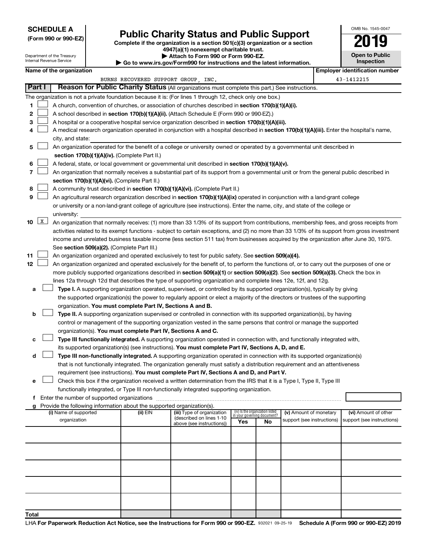#### **SCHEDULE A**

# **Public Charity Status and Public Support 2019**

| (Form 990 or 990-EZ) |              |                                                        | Public Charley Status and Public Support<br>Complete if the organization is a section $501(c)(3)$ organization or a section<br>4947(a)(1) nonexempt charitable trust. | 019                                   |
|----------------------|--------------|--------------------------------------------------------|-----------------------------------------------------------------------------------------------------------------------------------------------------------------------|---------------------------------------|
|                      |              | Department of the Treasury<br>Internal Revenue Service | Attach to Form 990 or Form 990-EZ.<br>Go to www.irs.gov/Form990 for instructions and the latest information.                                                          | <b>Open to Public</b><br>Inspection   |
|                      |              | Name of the organization                               |                                                                                                                                                                       | <b>Employer identification number</b> |
|                      |              |                                                        | BURNS RECOVERED SUPPORT GROUP, INC.                                                                                                                                   | 43-1412215                            |
| Part I               |              |                                                        | Reason for Public Charity Status (All organizations must complete this part.) See instructions.                                                                       |                                       |
|                      |              |                                                        | The organization is not a private foundation because it is: (For lines 1 through 12, check only one box.)                                                             |                                       |
| 1                    |              |                                                        | A church, convention of churches, or association of churches described in section 170(b)(1)(A)(i).                                                                    |                                       |
| $\mathbf{2}$         |              |                                                        | A school described in section 170(b)(1)(A)(ii). (Attach Schedule E (Form 990 or 990-EZ).)                                                                             |                                       |
| 3                    |              |                                                        | A hospital or a cooperative hospital service organization described in section 170(b)(1)(A)(iii).                                                                     |                                       |
| 4                    |              |                                                        | A medical research organization operated in conjunction with a hospital described in section 170(b)(1)(A)(iii). Enter the hospital's name,                            |                                       |
|                      |              | city, and state:                                       |                                                                                                                                                                       |                                       |
| 5                    |              |                                                        | An organization operated for the benefit of a college or university owned or operated by a governmental unit described in                                             |                                       |
|                      |              |                                                        | section 170(b)(1)(A)(iv). (Complete Part II.)                                                                                                                         |                                       |
| 6                    |              |                                                        | A federal, state, or local government or governmental unit described in section $170(b)(1)(A)(v)$ .                                                                   |                                       |
| 7                    |              |                                                        | An organization that normally receives a substantial part of its support from a governmental unit or from the general public described in                             |                                       |
|                      |              |                                                        | section 170(b)(1)(A)(vi). (Complete Part II.)                                                                                                                         |                                       |
| 8                    |              |                                                        | A community trust described in section 170(b)(1)(A)(vi). (Complete Part II.)                                                                                          |                                       |
| 9                    |              |                                                        | An agricultural research organization described in <b>section 170(b)(1)(A)(ix)</b> operated in conjunction with a land-grant college                                  |                                       |
|                      |              |                                                        | or university or a non-land-grant college of agriculture (see instructions). Enter the name, city, and state of the college or                                        |                                       |
|                      |              | university:                                            |                                                                                                                                                                       |                                       |
| 10                   | $\mathbf{x}$ |                                                        | An organization that normally receives: (1) more than 33 1/3% of its support from contributions, membership fees, and gross receipts from                             |                                       |
|                      |              |                                                        | activities related to its exempt functions - subject to certain exceptions, and (2) no more than 33 1/3% of its support from gross investment                         |                                       |
|                      |              |                                                        | income and unrelated business taxable income (less section 511 tax) from businesses acquired by the organization after June 30, 1975.                                 |                                       |
| 11                   |              |                                                        | See section 509(a)(2). (Complete Part III.)<br>An organization organized and operated exclusively to test for public safety. See section 509(a)(4).                   |                                       |
| 12                   |              |                                                        | An organization organized and operated exclusively for the benefit of, to perform the functions of, or to carry out the purposes of one or                            |                                       |
|                      |              |                                                        | more publicly supported organizations described in section 509(a)(1) or section 509(a)(2). See section 509(a)(3). Check the box in                                    |                                       |
|                      |              |                                                        | lines 12a through 12d that describes the type of supporting organization and complete lines 12e, 12f, and 12g.                                                        |                                       |
| a                    |              |                                                        | Type I. A supporting organization operated, supervised, or controlled by its supported organization(s), typically by giving                                           |                                       |
|                      |              |                                                        | the supported organization(s) the power to regularly appoint or elect a majority of the directors or trustees of the supporting                                       |                                       |
|                      |              |                                                        | organization. You must complete Part IV, Sections A and B.                                                                                                            |                                       |
| b                    |              |                                                        | Type II. A supporting organization supervised or controlled in connection with its supported organization(s), by having                                               |                                       |
|                      |              |                                                        | control or management of the supporting organization vested in the same persons that control or manage the supported                                                  |                                       |
|                      |              |                                                        | organization(s). You must complete Part IV, Sections A and C.                                                                                                         |                                       |
| с                    |              |                                                        | Type III functionally integrated. A supporting organization operated in connection with, and functionally integrated with,                                            |                                       |
|                      |              |                                                        | its supported organization(s) (see instructions). You must complete Part IV, Sections A, D, and E.                                                                    |                                       |
| d                    |              |                                                        | Type III non-functionally integrated. A supporting organization operated in connection with its supported organization(s)                                             |                                       |
|                      |              |                                                        | that is not functionally integrated. The organization generally must satisfy a distribution requirement and an attentiveness                                          |                                       |
|                      |              |                                                        | requirement (see instructions). You must complete Part IV, Sections A and D, and Part V.                                                                              |                                       |

OMB No. 1545-0047

**e** Check this box if the organization received a written determination from the IRS that it is a Type I, Type II, Type III functionally integrated, or Type III non-functionally integrated supporting organization.  $\Box$ 

**f** Enter the number of supported organizations ~~~~~~~~~~~~~~~~~~~~~~~~~~~~~~~~~~~~~

| Provide the following information about the supported organization(s).<br>g |          |                                                                                     |                                                                       |    |                                                                                 |                      |
|-----------------------------------------------------------------------------|----------|-------------------------------------------------------------------------------------|-----------------------------------------------------------------------|----|---------------------------------------------------------------------------------|----------------------|
| (i) Name of supported<br>organization                                       | (ii) EIN | (iii) Type of organization<br>(described on lines 1-10<br>above (see instructions)) | (iv) Is the organization listed<br>in your governing document?<br>Yes | No | (v) Amount of monetary<br>support (see instructions) support (see instructions) | (vi) Amount of other |
|                                                                             |          |                                                                                     |                                                                       |    |                                                                                 |                      |
|                                                                             |          |                                                                                     |                                                                       |    |                                                                                 |                      |
|                                                                             |          |                                                                                     |                                                                       |    |                                                                                 |                      |
|                                                                             |          |                                                                                     |                                                                       |    |                                                                                 |                      |
|                                                                             |          |                                                                                     |                                                                       |    |                                                                                 |                      |
| Total                                                                       |          |                                                                                     |                                                                       |    |                                                                                 |                      |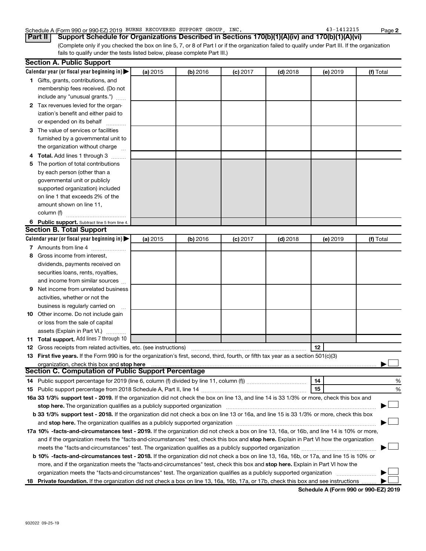#### Schedule A (Form 990 or 990-EZ) 2019 BURNS RECOVERED SUPPORT GROUP, INC. 43-1412215 Page

(Complete only if you checked the box on line 5, 7, or 8 of Part I or if the organization failed to qualify under Part III. If the organization fails to qualify under the tests listed below, please complete Part III.) **Part II Support Schedule for Organizations Described in Sections 170(b)(1)(A)(iv) and 170(b)(1)(A)(vi)**

|    | <b>Section A. Public Support</b>                                                                                                           |          |          |            |            |          |           |
|----|--------------------------------------------------------------------------------------------------------------------------------------------|----------|----------|------------|------------|----------|-----------|
|    | Calendar year (or fiscal year beginning in)                                                                                                | (a) 2015 | (b) 2016 | $(c)$ 2017 | $(d)$ 2018 | (e) 2019 | (f) Total |
|    | 1 Gifts, grants, contributions, and                                                                                                        |          |          |            |            |          |           |
|    | membership fees received. (Do not                                                                                                          |          |          |            |            |          |           |
|    | include any "unusual grants.")                                                                                                             |          |          |            |            |          |           |
|    | 2 Tax revenues levied for the organ-                                                                                                       |          |          |            |            |          |           |
|    | ization's benefit and either paid to                                                                                                       |          |          |            |            |          |           |
|    | or expended on its behalf                                                                                                                  |          |          |            |            |          |           |
|    | 3 The value of services or facilities                                                                                                      |          |          |            |            |          |           |
|    | furnished by a governmental unit to                                                                                                        |          |          |            |            |          |           |
|    | the organization without charge                                                                                                            |          |          |            |            |          |           |
|    | 4 Total. Add lines 1 through 3                                                                                                             |          |          |            |            |          |           |
| 5. | The portion of total contributions                                                                                                         |          |          |            |            |          |           |
|    | by each person (other than a                                                                                                               |          |          |            |            |          |           |
|    | governmental unit or publicly                                                                                                              |          |          |            |            |          |           |
|    | supported organization) included                                                                                                           |          |          |            |            |          |           |
|    | on line 1 that exceeds 2% of the                                                                                                           |          |          |            |            |          |           |
|    | amount shown on line 11,                                                                                                                   |          |          |            |            |          |           |
|    | column (f)                                                                                                                                 |          |          |            |            |          |           |
|    | 6 Public support. Subtract line 5 from line 4.                                                                                             |          |          |            |            |          |           |
|    | <b>Section B. Total Support</b>                                                                                                            |          |          |            |            |          |           |
|    | Calendar year (or fiscal year beginning in)                                                                                                | (a) 2015 | (b) 2016 | $(c)$ 2017 | $(d)$ 2018 | (e) 2019 | (f) Total |
|    | 7 Amounts from line 4                                                                                                                      |          |          |            |            |          |           |
| 8  | Gross income from interest,                                                                                                                |          |          |            |            |          |           |
|    | dividends, payments received on                                                                                                            |          |          |            |            |          |           |
|    | securities loans, rents, royalties,                                                                                                        |          |          |            |            |          |           |
|    | and income from similar sources                                                                                                            |          |          |            |            |          |           |
| 9. | Net income from unrelated business                                                                                                         |          |          |            |            |          |           |
|    | activities, whether or not the                                                                                                             |          |          |            |            |          |           |
|    | business is regularly carried on                                                                                                           |          |          |            |            |          |           |
|    | 10 Other income. Do not include gain                                                                                                       |          |          |            |            |          |           |
|    | or loss from the sale of capital                                                                                                           |          |          |            |            |          |           |
|    | assets (Explain in Part VI.)                                                                                                               |          |          |            |            |          |           |
|    | 11 Total support. Add lines 7 through 10                                                                                                   |          |          |            |            |          |           |
|    | <b>12</b> Gross receipts from related activities, etc. (see instructions)                                                                  |          |          |            |            | 12       |           |
|    | 13 First five years. If the Form 990 is for the organization's first, second, third, fourth, or fifth tax year as a section 501(c)(3)      |          |          |            |            |          |           |
|    | organization, check this box and stop here                                                                                                 |          |          |            |            |          |           |
|    | <b>Section C. Computation of Public Support Percentage</b>                                                                                 |          |          |            |            |          |           |
|    |                                                                                                                                            |          |          |            |            | 14       | %         |
|    |                                                                                                                                            |          |          |            |            | 15       | %         |
|    | 16a 33 1/3% support test - 2019. If the organization did not check the box on line 13, and line 14 is 33 1/3% or more, check this box and  |          |          |            |            |          |           |
|    | stop here. The organization qualifies as a publicly supported organization manufaction manufacture or the organization                     |          |          |            |            |          |           |
|    | b 33 1/3% support test - 2018. If the organization did not check a box on line 13 or 16a, and line 15 is 33 1/3% or more, check this box   |          |          |            |            |          |           |
|    |                                                                                                                                            |          |          |            |            |          |           |
|    | 17a 10% -facts-and-circumstances test - 2019. If the organization did not check a box on line 13, 16a, or 16b, and line 14 is 10% or more, |          |          |            |            |          |           |
|    | and if the organization meets the "facts-and-circumstances" test, check this box and stop here. Explain in Part VI how the organization    |          |          |            |            |          |           |
|    |                                                                                                                                            |          |          |            |            |          |           |
|    | b 10% -facts-and-circumstances test - 2018. If the organization did not check a box on line 13, 16a, 16b, or 17a, and line 15 is 10% or    |          |          |            |            |          |           |
|    | more, and if the organization meets the "facts-and-circumstances" test, check this box and stop here. Explain in Part VI how the           |          |          |            |            |          |           |
|    | organization meets the "facts-and-circumstances" test. The organization qualifies as a publicly supported organization                     |          |          |            |            |          |           |
|    | 18 Private foundation. If the organization did not check a box on line 13, 16a, 16b, 17a, or 17b, check this box and see instructions      |          |          |            |            |          |           |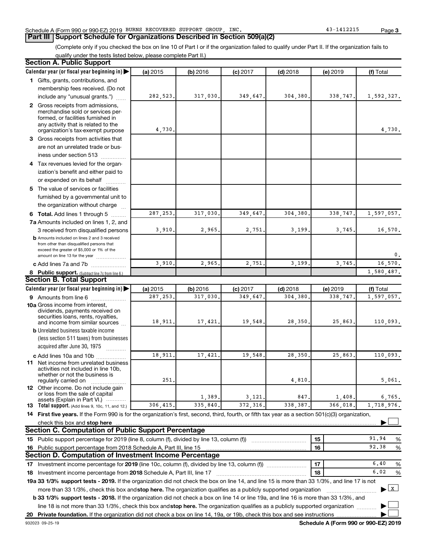#### Schedule A (Form 990 or 990-EZ) 2019 BURNS RECOVERED SUPPORT GROUP, INC. 43-1412215 Page

**Part III Support Schedule for Organizations Described in Section 509(a)(2)** 

(Complete only if you checked the box on line 10 of Part I or if the organization failed to qualify under Part II. If the organization fails to qualify under the tests listed below, please complete Part II.)

| <b>Section A. Public Support</b>                                                                                                                                                                                        |           |          |            |            |          |              |
|-------------------------------------------------------------------------------------------------------------------------------------------------------------------------------------------------------------------------|-----------|----------|------------|------------|----------|--------------|
| Calendar year (or fiscal year beginning in)                                                                                                                                                                             | (a) 2015  | (b) 2016 | $(c)$ 2017 | $(d)$ 2018 | (e) 2019 | (f) Total    |
| 1 Gifts, grants, contributions, and                                                                                                                                                                                     |           |          |            |            |          |              |
| membership fees received. (Do not                                                                                                                                                                                       |           |          |            |            |          |              |
| include any "unusual grants.")                                                                                                                                                                                          | 282,523.  | 317,030. | 349,647    | 304,380    | 338,747. | 1,592,327.   |
| 2 Gross receipts from admissions,                                                                                                                                                                                       |           |          |            |            |          |              |
| merchandise sold or services per-                                                                                                                                                                                       |           |          |            |            |          |              |
| formed, or facilities furnished in<br>any activity that is related to the                                                                                                                                               |           |          |            |            |          |              |
| organization's tax-exempt purpose                                                                                                                                                                                       | 4,730     |          |            |            |          | 4,730.       |
| 3 Gross receipts from activities that                                                                                                                                                                                   |           |          |            |            |          |              |
| are not an unrelated trade or bus-                                                                                                                                                                                      |           |          |            |            |          |              |
| iness under section 513                                                                                                                                                                                                 |           |          |            |            |          |              |
| 4 Tax revenues levied for the organ-                                                                                                                                                                                    |           |          |            |            |          |              |
| ization's benefit and either paid to                                                                                                                                                                                    |           |          |            |            |          |              |
| or expended on its behalf                                                                                                                                                                                               |           |          |            |            |          |              |
| 5 The value of services or facilities                                                                                                                                                                                   |           |          |            |            |          |              |
| furnished by a governmental unit to                                                                                                                                                                                     |           |          |            |            |          |              |
| the organization without charge                                                                                                                                                                                         |           |          |            |            |          |              |
| 6 Total. Add lines 1 through 5                                                                                                                                                                                          | 287, 253. | 317,030  | 349,647    | 304,380    | 338,747  | 1,597,057.   |
| 7a Amounts included on lines 1, 2, and                                                                                                                                                                                  |           |          |            |            |          |              |
| 3 received from disqualified persons                                                                                                                                                                                    | 3,910.    | 2,965    | 2,751      | 3,199      | 3,745    | 16,570.      |
| <b>b</b> Amounts included on lines 2 and 3 received                                                                                                                                                                     |           |          |            |            |          |              |
| from other than disqualified persons that                                                                                                                                                                               |           |          |            |            |          |              |
| exceed the greater of \$5,000 or 1% of the<br>amount on line 13 for the year                                                                                                                                            |           |          |            |            |          | 0.           |
| c Add lines 7a and 7b                                                                                                                                                                                                   | 3,910     | 2,965    | 2,751      | 3,199      | 3,745    | 16,570.      |
| 8 Public support. (Subtract line 7c from line 6.)                                                                                                                                                                       |           |          |            |            |          | 1,580,487.   |
| <b>Section B. Total Support</b>                                                                                                                                                                                         |           |          |            |            |          |              |
| Calendar year (or fiscal year beginning in)                                                                                                                                                                             | (a) 2015  | (b) 2016 | $(c)$ 2017 | $(d)$ 2018 | (e) 2019 | (f) Total    |
| 9 Amounts from line 6                                                                                                                                                                                                   | 287, 253. | 317,030  | 349,647    | 304,380    | 338,747  | 1,597,057.   |
| <b>10a</b> Gross income from interest,                                                                                                                                                                                  |           |          |            |            |          |              |
| dividends, payments received on                                                                                                                                                                                         |           |          |            |            |          |              |
| securities loans, rents, royalties,<br>and income from similar sources                                                                                                                                                  | 18,911.   | 17,421   | 19,548     | 28,350     | 25,863.  | 110,093.     |
| <b>b</b> Unrelated business taxable income                                                                                                                                                                              |           |          |            |            |          |              |
| (less section 511 taxes) from businesses                                                                                                                                                                                |           |          |            |            |          |              |
| acquired after June 30, 1975                                                                                                                                                                                            |           |          |            |            |          |              |
| c Add lines 10a and 10b                                                                                                                                                                                                 | 18,911    | 17,421   | 19,548     | 28,350     | 25,863   | 110,093.     |
| 11 Net income from unrelated business                                                                                                                                                                                   |           |          |            |            |          |              |
| activities not included in line 10b,                                                                                                                                                                                    |           |          |            |            |          |              |
| whether or not the business is<br>regularly carried on                                                                                                                                                                  | 251       |          |            | 4,810      |          | 5,061.       |
| <b>12</b> Other income. Do not include gain                                                                                                                                                                             |           |          |            |            |          |              |
| or loss from the sale of capital                                                                                                                                                                                        |           | 1,389.   | 3,121      | 847        | 1,408    | 6,765.       |
| assets (Explain in Part VI.)<br><b>13</b> Total support. (Add lines 9, 10c, 11, and 12.)                                                                                                                                | 306,415.  | 335,840  | 372, 316   | 338,387.   | 366,018  | 1,718,976.   |
| 14 First five years. If the Form 990 is for the organization's first, second, third, fourth, or fifth tax year as a section 501(c)(3) organization,                                                                     |           |          |            |            |          |              |
| check this box and stop here                                                                                                                                                                                            |           |          |            |            |          |              |
| <b>Section C. Computation of Public Support Percentage</b>                                                                                                                                                              |           |          |            |            |          |              |
| 15 Public support percentage for 2019 (line 8, column (f), divided by line 13, column (f))                                                                                                                              |           |          |            |            | 15       | 91.94<br>%   |
| 16 Public support percentage from 2018 Schedule A, Part III, line 15                                                                                                                                                    |           |          |            |            | 16       | 92.38<br>%   |
| Section D. Computation of Investment Income Percentage                                                                                                                                                                  |           |          |            |            |          |              |
| 17 Investment income percentage for 2019 (line 10c, column (f), divided by line 13, column (f)                                                                                                                          |           |          |            |            | 17       | 6.40<br>%    |
|                                                                                                                                                                                                                         |           |          |            |            | 18       | 6.02<br>%    |
| 18 Investment income percentage from 2018 Schedule A, Part III, line 17<br>19a 33 1/3% support tests - 2019. If the organization did not check the box on line 14, and line 15 is more than 33 1/3%, and line 17 is not |           |          |            |            |          |              |
|                                                                                                                                                                                                                         |           |          |            |            |          | $\mathbf{x}$ |
| more than 33 1/3%, check this box and stop here. The organization qualifies as a publicly supported organization                                                                                                        |           |          |            |            |          | ▶            |
| <b>b 33 1/3% support tests - 2018.</b> If the organization did not check a box on line 14 or line 19a, and line 16 is more than 33 1/3%, and                                                                            |           |          |            |            |          |              |
| line 18 is not more than 33 1/3%, check this box and stop here. The organization qualifies as a publicly supported organization                                                                                         |           |          |            |            |          |              |
|                                                                                                                                                                                                                         |           |          |            |            |          |              |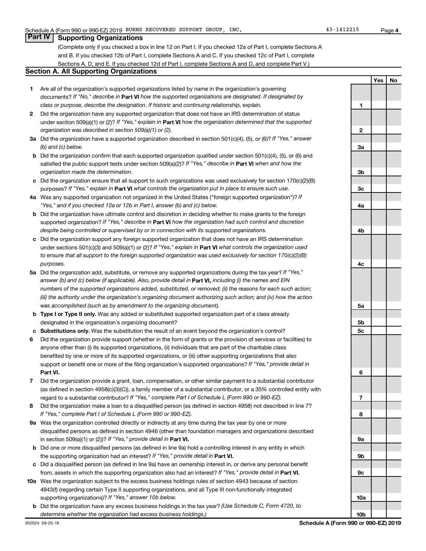**4**

**Yes No**

#### **Part IV Supporting Organizations**

(Complete only if you checked a box in line 12 on Part I. If you checked 12a of Part I, complete Sections A and B. If you checked 12b of Part I, complete Sections A and C. If you checked 12c of Part I, complete Sections A, D, and E. If you checked 12d of Part I, complete Sections A and D, and complete Part V.)

#### **Section A. All Supporting Organizations**

- **1** Are all of the organization's supported organizations listed by name in the organization's governing documents? If "No," describe in Part VI how the supported organizations are designated. If designated by *class or purpose, describe the designation. If historic and continuing relationship, explain.*
- **2** Did the organization have any supported organization that does not have an IRS determination of status under section 509(a)(1) or (2)? If "Yes," explain in Part **VI** how the organization determined that the supported *organization was described in section 509(a)(1) or (2).*
- **3a** Did the organization have a supported organization described in section 501(c)(4), (5), or (6)? If "Yes," answer *(b) and (c) below.*
- **b** Did the organization confirm that each supported organization qualified under section 501(c)(4), (5), or (6) and satisfied the public support tests under section 509(a)(2)? If "Yes," describe in Part VI when and how the *organization made the determination.*
- **c** Did the organization ensure that all support to such organizations was used exclusively for section 170(c)(2)(B) purposes? If "Yes," explain in Part VI what controls the organization put in place to ensure such use.
- **4 a** *If* Was any supported organization not organized in the United States ("foreign supported organization")? *"Yes," and if you checked 12a or 12b in Part I, answer (b) and (c) below.*
- **b** Did the organization have ultimate control and discretion in deciding whether to make grants to the foreign supported organization? If "Yes," describe in Part VI how the organization had such control and discretion *despite being controlled or supervised by or in connection with its supported organizations.*
- **c** Did the organization support any foreign supported organization that does not have an IRS determination under sections 501(c)(3) and 509(a)(1) or (2)? If "Yes," explain in Part VI what controls the organization used *to ensure that all support to the foreign supported organization was used exclusively for section 170(c)(2)(B) purposes.*
- **5a** Did the organization add, substitute, or remove any supported organizations during the tax year? If "Yes," answer (b) and (c) below (if applicable). Also, provide detail in **Part VI,** including (i) the names and EIN *numbers of the supported organizations added, substituted, or removed; (ii) the reasons for each such action; (iii) the authority under the organization's organizing document authorizing such action; and (iv) how the action was accomplished (such as by amendment to the organizing document).*
- **b Type I or Type II only.** Was any added or substituted supported organization part of a class already designated in the organization's organizing document?
- **c Substitutions only.**  Was the substitution the result of an event beyond the organization's control?
- **6** Did the organization provide support (whether in the form of grants or the provision of services or facilities) to **Part VI.** support or benefit one or more of the filing organization's supported organizations? If "Yes," provide detail in anyone other than (i) its supported organizations, (ii) individuals that are part of the charitable class benefited by one or more of its supported organizations, or (iii) other supporting organizations that also
- **7** Did the organization provide a grant, loan, compensation, or other similar payment to a substantial contributor regard to a substantial contributor? If "Yes," complete Part I of Schedule L (Form 990 or 990-EZ). (as defined in section 4958(c)(3)(C)), a family member of a substantial contributor, or a 35% controlled entity with
- **8** Did the organization make a loan to a disqualified person (as defined in section 4958) not described in line 7? *If "Yes," complete Part I of Schedule L (Form 990 or 990-EZ).*
- **9 a** Was the organization controlled directly or indirectly at any time during the tax year by one or more in section 509(a)(1) or (2))? If "Yes," provide detail in **Part VI.** disqualified persons as defined in section 4946 (other than foundation managers and organizations described
- **b** Did one or more disqualified persons (as defined in line 9a) hold a controlling interest in any entity in which the supporting organization had an interest? If "Yes," provide detail in Part VI.
- **c** Did a disqualified person (as defined in line 9a) have an ownership interest in, or derive any personal benefit from, assets in which the supporting organization also had an interest? If "Yes," provide detail in Part VI.
- **10 a** Was the organization subject to the excess business holdings rules of section 4943 because of section supporting organizations)? If "Yes," answer 10b below. 4943(f) (regarding certain Type II supporting organizations, and all Type III non-functionally integrated
- **b** Did the organization have any excess business holdings in the tax year? (Use Schedule C, Form 4720, to *determine whether the organization had excess business holdings.)*

**1 2 3a 3b 3c 4a 4b 4c 5a 5b 5c 6 7 8 9a 9b 9c 10a**

**10b**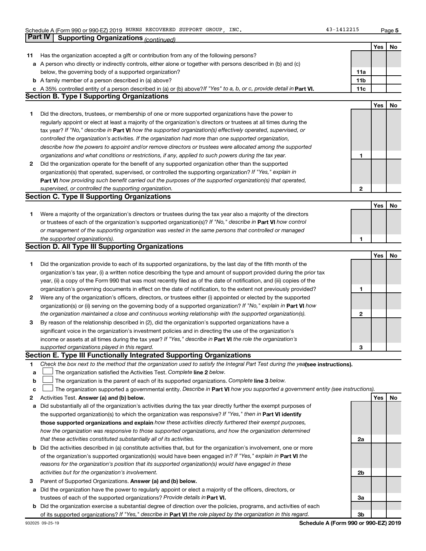**5**

|    | Part IV<br><b>Supporting Organizations (continued)</b>                                                                          |                 |     |    |
|----|---------------------------------------------------------------------------------------------------------------------------------|-----------------|-----|----|
|    |                                                                                                                                 |                 | Yes | No |
| 11 | Has the organization accepted a gift or contribution from any of the following persons?                                         |                 |     |    |
|    | a A person who directly or indirectly controls, either alone or together with persons described in (b) and (c)                  |                 |     |    |
|    | below, the governing body of a supported organization?                                                                          | 11a             |     |    |
|    | <b>b</b> A family member of a person described in (a) above?                                                                    | 11 <sub>b</sub> |     |    |
|    | c A 35% controlled entity of a person described in (a) or (b) above? If "Yes" to a, b, or c, provide detail in Part VI.         | 11c             |     |    |
|    | <b>Section B. Type I Supporting Organizations</b>                                                                               |                 |     |    |
|    |                                                                                                                                 |                 | Yes | No |
| 1. | Did the directors, trustees, or membership of one or more supported organizations have the power to                             |                 |     |    |
|    | regularly appoint or elect at least a majority of the organization's directors or trustees at all times during the              |                 |     |    |
|    | tax year? If "No," describe in Part VI how the supported organization(s) effectively operated, supervised, or                   |                 |     |    |
|    | controlled the organization's activities. If the organization had more than one supported organization,                         |                 |     |    |
|    |                                                                                                                                 |                 |     |    |
|    | describe how the powers to appoint and/or remove directors or trustees were allocated among the supported                       |                 |     |    |
|    | organizations and what conditions or restrictions, if any, applied to such powers during the tax year.                          | 1               |     |    |
| 2  | Did the organization operate for the benefit of any supported organization other than the supported                             |                 |     |    |
|    | organization(s) that operated, supervised, or controlled the supporting organization? If "Yes," explain in                      |                 |     |    |
|    | Part VI how providing such benefit carried out the purposes of the supported organization(s) that operated,                     |                 |     |    |
|    | supervised, or controlled the supporting organization.                                                                          | $\mathbf{2}$    |     |    |
|    | <b>Section C. Type II Supporting Organizations</b>                                                                              |                 |     |    |
|    |                                                                                                                                 |                 | Yes | No |
| 1. | Were a majority of the organization's directors or trustees during the tax year also a majority of the directors                |                 |     |    |
|    | or trustees of each of the organization's supported organization(s)? If "No," describe in Part VI how control                   |                 |     |    |
|    | or management of the supporting organization was vested in the same persons that controlled or managed                          |                 |     |    |
|    | the supported organization(s).                                                                                                  | 1               |     |    |
|    | <b>Section D. All Type III Supporting Organizations</b>                                                                         |                 |     |    |
|    |                                                                                                                                 |                 | Yes | No |
| 1. | Did the organization provide to each of its supported organizations, by the last day of the fifth month of the                  |                 |     |    |
|    | organization's tax year, (i) a written notice describing the type and amount of support provided during the prior tax           |                 |     |    |
|    | year, (ii) a copy of the Form 990 that was most recently filed as of the date of notification, and (iii) copies of the          |                 |     |    |
|    | organization's governing documents in effect on the date of notification, to the extent not previously provided?                | 1               |     |    |
| 2  | Were any of the organization's officers, directors, or trustees either (i) appointed or elected by the supported                |                 |     |    |
|    | organization(s) or (ii) serving on the governing body of a supported organization? If "No," explain in Part VI how              |                 |     |    |
|    | the organization maintained a close and continuous working relationship with the supported organization(s).                     | 2               |     |    |
| 3  | By reason of the relationship described in (2), did the organization's supported organizations have a                           |                 |     |    |
|    | significant voice in the organization's investment policies and in directing the use of the organization's                      |                 |     |    |
|    | income or assets at all times during the tax year? If "Yes," describe in Part VI the role the organization's                    |                 |     |    |
|    | supported organizations played in this regard.                                                                                  | з               |     |    |
|    | Section E. Type III Functionally Integrated Supporting Organizations                                                            |                 |     |    |
| 1  | Check the box next to the method that the organization used to satisfy the Integral Part Test during the yealsee instructions). |                 |     |    |
| а  | The organization satisfied the Activities Test. Complete line 2 below.                                                          |                 |     |    |
| b  | The organization is the parent of each of its supported organizations. Complete line 3 below.                                   |                 |     |    |
| с  | The organization supported a governmental entity. Describe in Part VI how you supported a government entity (see instructions). |                 |     |    |
| 2  | Activities Test. Answer (a) and (b) below.                                                                                      |                 | Yes | No |
| а  | Did substantially all of the organization's activities during the tax year directly further the exempt purposes of              |                 |     |    |
|    | the supported organization(s) to which the organization was responsive? If "Yes," then in Part VI identify                      |                 |     |    |
|    | those supported organizations and explain how these activities directly furthered their exempt purposes,                        |                 |     |    |
|    | how the organization was responsive to those supported organizations, and how the organization determined                       |                 |     |    |
|    | that these activities constituted substantially all of its activities.                                                          | 2a              |     |    |
| b  | Did the activities described in (a) constitute activities that, but for the organization's involvement, one or more             |                 |     |    |
|    | of the organization's supported organization(s) would have been engaged in? If "Yes," explain in Part VI the                    |                 |     |    |
|    | reasons for the organization's position that its supported organization(s) would have engaged in these                          |                 |     |    |
|    | activities but for the organization's involvement.                                                                              | 2b              |     |    |
| 3  | Parent of Supported Organizations. Answer (a) and (b) below.                                                                    |                 |     |    |
| а  | Did the organization have the power to regularly appoint or elect a majority of the officers, directors, or                     |                 |     |    |
|    | trustees of each of the supported organizations? Provide details in Part VI.                                                    | За              |     |    |
|    | <b>b</b> Did the organization exercise a substantial degree of direction over the policies, programs, and activities of each    |                 |     |    |
|    | of its supported organizations? If "Yes," describe in Part VI the role played by the organization in this regard.               | Зb              |     |    |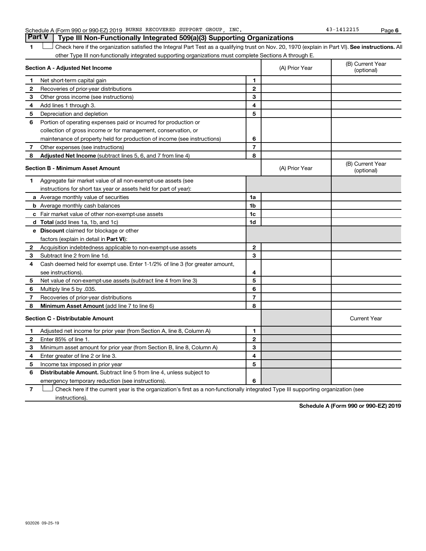| Schedule A (Form 990 or 990-EZ) 2019 | ) BURNS RECOVERED SUPPORT | GROUP | INC | Page |
|--------------------------------------|---------------------------|-------|-----|------|
|                                      |                           |       |     |      |

1 **Letter See instructions.** All Check here if the organization satisfied the Integral Part Test as a qualifying trust on Nov. 20, 1970 (explain in Part VI). See instructions. All other Type III non-functionally integrated supporting organizations must complete Sections A through E.

|   | Section A - Adjusted Net Income                                              |                | (A) Prior Year | (B) Current Year<br>(optional) |
|---|------------------------------------------------------------------------------|----------------|----------------|--------------------------------|
| 1 | Net short-term capital gain                                                  | 1              |                |                                |
| 2 | Recoveries of prior-year distributions                                       | $\mathbf{2}$   |                |                                |
| З | Other gross income (see instructions)                                        | 3              |                |                                |
| 4 | Add lines 1 through 3.                                                       | 4              |                |                                |
| 5 | Depreciation and depletion                                                   | 5              |                |                                |
| 6 | Portion of operating expenses paid or incurred for production or             |                |                |                                |
|   | collection of gross income or for management, conservation, or               |                |                |                                |
|   | maintenance of property held for production of income (see instructions)     | 6              |                |                                |
| 7 | Other expenses (see instructions)                                            | $\overline{7}$ |                |                                |
| 8 | Adjusted Net Income (subtract lines 5, 6, and 7 from line 4)                 | 8              |                |                                |
|   | <b>Section B - Minimum Asset Amount</b>                                      |                | (A) Prior Year | (B) Current Year<br>(optional) |
| 1 | Aggregate fair market value of all non-exempt-use assets (see                |                |                |                                |
|   | instructions for short tax year or assets held for part of year):            |                |                |                                |
|   | a Average monthly value of securities                                        | 1a             |                |                                |
|   | <b>b</b> Average monthly cash balances                                       | 1b             |                |                                |
|   | c Fair market value of other non-exempt-use assets                           | 1c             |                |                                |
|   | <b>d</b> Total (add lines 1a, 1b, and 1c)                                    | 1d             |                |                                |
|   | <b>e</b> Discount claimed for blockage or other                              |                |                |                                |
|   | factors (explain in detail in Part VI):                                      |                |                |                                |
| 2 | Acquisition indebtedness applicable to non-exempt-use assets                 | $\mathbf{2}$   |                |                                |
| З | Subtract line 2 from line 1d.                                                | 3              |                |                                |
| 4 | Cash deemed held for exempt use. Enter 1-1/2% of line 3 (for greater amount, |                |                |                                |
|   | see instructions).                                                           | 4              |                |                                |
| 5 | Net value of non-exempt-use assets (subtract line 4 from line 3)             | 5              |                |                                |
| 6 | Multiply line 5 by .035.                                                     | 6              |                |                                |
| 7 | Recoveries of prior-year distributions                                       | $\overline{7}$ |                |                                |
| 8 | Minimum Asset Amount (add line 7 to line 6)                                  | 8              |                |                                |
|   | <b>Section C - Distributable Amount</b>                                      |                |                | <b>Current Year</b>            |
| 1 | Adjusted net income for prior year (from Section A, line 8, Column A)        | 1              |                |                                |
| 2 | Enter 85% of line 1.                                                         | $\mathbf{2}$   |                |                                |
| 3 | Minimum asset amount for prior year (from Section B, line 8, Column A)       | 3              |                |                                |
| 4 | Enter greater of line 2 or line 3.                                           | 4              |                |                                |
| 5 | Income tax imposed in prior year                                             | 5              |                |                                |
| 6 | <b>Distributable Amount.</b> Subtract line 5 from line 4, unless subject to  |                |                |                                |
|   | emergency temporary reduction (see instructions).                            | 6              |                |                                |

**7** Check here if the current year is the organization's first as a non-functionally integrated Type III supporting organization (see † instructions).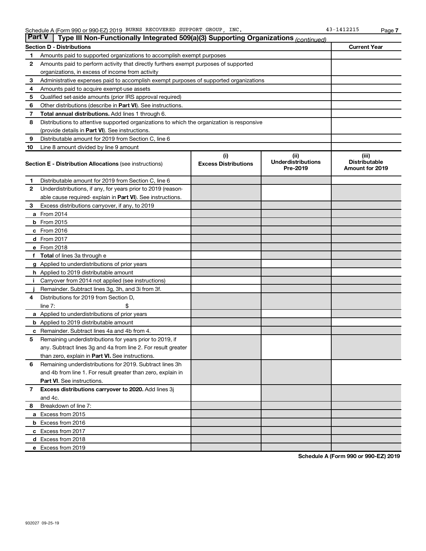| <b>Part V</b> | Type III Non-Functionally Integrated 509(a)(3) Supporting Organizations (continued)        |                             |                                       |                                                |
|---------------|--------------------------------------------------------------------------------------------|-----------------------------|---------------------------------------|------------------------------------------------|
|               | <b>Section D - Distributions</b>                                                           |                             |                                       | <b>Current Year</b>                            |
| 1             | Amounts paid to supported organizations to accomplish exempt purposes                      |                             |                                       |                                                |
| 2             | Amounts paid to perform activity that directly furthers exempt purposes of supported       |                             |                                       |                                                |
|               | organizations, in excess of income from activity                                           |                             |                                       |                                                |
| 3             | Administrative expenses paid to accomplish exempt purposes of supported organizations      |                             |                                       |                                                |
| 4             | Amounts paid to acquire exempt-use assets                                                  |                             |                                       |                                                |
| 5             | Qualified set-aside amounts (prior IRS approval required)                                  |                             |                                       |                                                |
| 6             | Other distributions (describe in <b>Part VI</b> ). See instructions.                       |                             |                                       |                                                |
| 7             | Total annual distributions. Add lines 1 through 6.                                         |                             |                                       |                                                |
| 8             | Distributions to attentive supported organizations to which the organization is responsive |                             |                                       |                                                |
|               | (provide details in Part VI). See instructions.                                            |                             |                                       |                                                |
| 9             | Distributable amount for 2019 from Section C, line 6                                       |                             |                                       |                                                |
| 10            | Line 8 amount divided by line 9 amount                                                     |                             |                                       |                                                |
|               |                                                                                            | (i)                         | (ii)                                  | (iii)                                          |
|               | <b>Section E - Distribution Allocations (see instructions)</b>                             | <b>Excess Distributions</b> | <b>Underdistributions</b><br>Pre-2019 | <b>Distributable</b><br><b>Amount for 2019</b> |
| 1             | Distributable amount for 2019 from Section C, line 6                                       |                             |                                       |                                                |
| $\mathbf{2}$  | Underdistributions, if any, for years prior to 2019 (reason-                               |                             |                                       |                                                |
|               | able cause required-explain in Part VI). See instructions.                                 |                             |                                       |                                                |
| 3             | Excess distributions carryover, if any, to 2019                                            |                             |                                       |                                                |
|               | a From 2014                                                                                |                             |                                       |                                                |
|               | $b$ From 2015                                                                              |                             |                                       |                                                |
|               | c From 2016                                                                                |                             |                                       |                                                |
|               | d From 2017                                                                                |                             |                                       |                                                |
|               | e From 2018                                                                                |                             |                                       |                                                |
|               | <b>Total</b> of lines 3a through e                                                         |                             |                                       |                                                |
|               | <b>g</b> Applied to underdistributions of prior years                                      |                             |                                       |                                                |
|               | <b>h</b> Applied to 2019 distributable amount                                              |                             |                                       |                                                |
|               | Carryover from 2014 not applied (see instructions)                                         |                             |                                       |                                                |
|               | Remainder. Subtract lines 3g, 3h, and 3i from 3f.                                          |                             |                                       |                                                |
| 4             | Distributions for 2019 from Section D,                                                     |                             |                                       |                                                |
|               | line $7:$                                                                                  |                             |                                       |                                                |
|               | <b>a</b> Applied to underdistributions of prior years                                      |                             |                                       |                                                |
|               | <b>b</b> Applied to 2019 distributable amount                                              |                             |                                       |                                                |
| с             | Remainder. Subtract lines 4a and 4b from 4.                                                |                             |                                       |                                                |
| 5             | Remaining underdistributions for years prior to 2019, if                                   |                             |                                       |                                                |
|               | any. Subtract lines 3g and 4a from line 2. For result greater                              |                             |                                       |                                                |
|               | than zero, explain in Part VI. See instructions.                                           |                             |                                       |                                                |
| 6             | Remaining underdistributions for 2019. Subtract lines 3h                                   |                             |                                       |                                                |
|               | and 4b from line 1. For result greater than zero, explain in                               |                             |                                       |                                                |
|               | <b>Part VI.</b> See instructions.                                                          |                             |                                       |                                                |
| $\mathbf{7}$  | Excess distributions carryover to 2020. Add lines 3j                                       |                             |                                       |                                                |
|               | and 4c.                                                                                    |                             |                                       |                                                |
| 8             | Breakdown of line 7:                                                                       |                             |                                       |                                                |
|               | a Excess from 2015                                                                         |                             |                                       |                                                |
|               | <b>b</b> Excess from 2016                                                                  |                             |                                       |                                                |
|               | c Excess from 2017                                                                         |                             |                                       |                                                |
|               | d Excess from 2018                                                                         |                             |                                       |                                                |
|               | e Excess from 2019                                                                         |                             |                                       |                                                |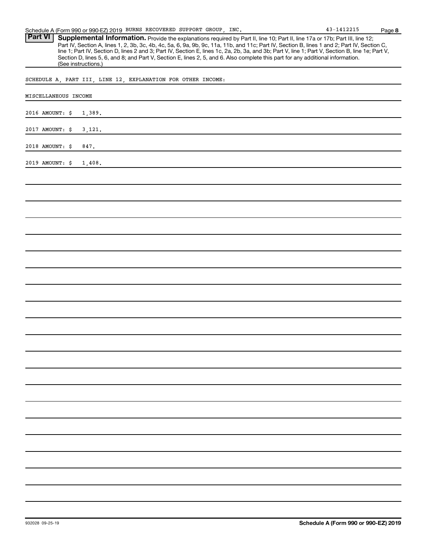Part VI | Supplemental Information. Provide the explanations required by Part II, line 10; Part II, line 17a or 17b; Part III, line 12; Part IV, Section A, lines 1, 2, 3b, 3c, 4b, 4c, 5a, 6, 9a, 9b, 9c, 11a, 11b, and 11c; Part IV, Section B, lines 1 and 2; Part IV, Section C, line 1; Part IV, Section D, lines 2 and 3; Part IV, Section E, lines 1c, 2a, 2b, 3a, and 3b; Part V, line 1; Part V, Section B, line 1e; Part V, Section D, lines 5, 6, and 8; and Part V, Section E, lines 2, 5, and 6. Also complete this part for any additional information. (See instructions.)

SCHEDULE A, PART III, LINE 12, EXPLANATION FOR OTHER INCOME:

| MISCELLANEOUS INCOME      |
|---------------------------|
| 2016 AMOUNT: \$<br>1,389. |
| 2017 AMOUNT: \$<br>3,121. |
| 2018 AMOUNT: \$<br>847.   |
| 2019 AMOUNT: \$<br>1,408. |
|                           |
|                           |
|                           |
|                           |
|                           |
|                           |
|                           |
|                           |
|                           |
|                           |
|                           |
|                           |
|                           |
|                           |
|                           |
|                           |
|                           |
|                           |
|                           |
|                           |
|                           |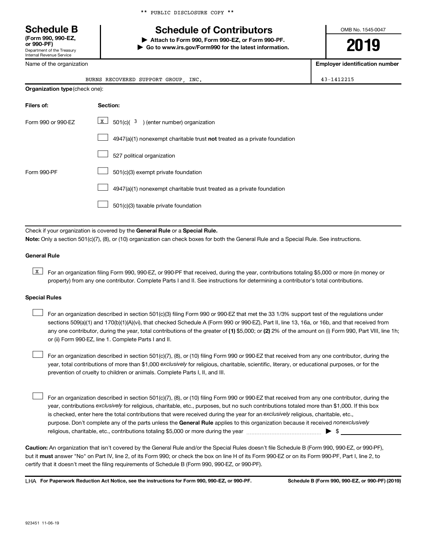\*\* PUBLIC DISCLOSURE COPY \*\*

# **Schedule B Schedule of Contributors**

**or 990-PF) | Attach to Form 990, Form 990-EZ, or Form 990-PF. | Go to www.irs.gov/Form990 for the latest information.** OMB No. 1545-0047

**2019**

**Employer identification number**

| (Form 990, 990-EZ,<br>or 990-PF)                       |  |
|--------------------------------------------------------|--|
| Department of the Treasury<br>Internal Revenue Service |  |

Name of the organization

|                                       | BURNS RECOVERED SUPPORT GROUP, INC.                                       | 43-1412215 |
|---------------------------------------|---------------------------------------------------------------------------|------------|
| <b>Organization type (check one):</b> |                                                                           |            |
| Filers of:                            | Section:                                                                  |            |
| Form 990 or 990-EZ                    | $\vert x \vert$<br>$501(c)(3)$ (enter number) organization                |            |
|                                       | 4947(a)(1) nonexempt charitable trust not treated as a private foundation |            |
|                                       | 527 political organization                                                |            |
| Form 990-PF                           | 501(c)(3) exempt private foundation                                       |            |
|                                       | 4947(a)(1) nonexempt charitable trust treated as a private foundation     |            |
|                                       | 501(c)(3) taxable private foundation                                      |            |
|                                       |                                                                           |            |

Check if your organization is covered by the General Rule or a Special Rule. **Note:**  Only a section 501(c)(7), (8), or (10) organization can check boxes for both the General Rule and a Special Rule. See instructions.

#### **General Rule**

**K** For an organization filing Form 990, 990-EZ, or 990-PF that received, during the year, contributions totaling \$5,000 or more (in money or property) from any one contributor. Complete Parts I and II. See instructions for determining a contributor's total contributions.

#### **Special Rules**

any one contributor, during the year, total contributions of the greater of (1) \$5,000; or (2) 2% of the amount on (i) Form 990, Part VIII, line 1h; For an organization described in section 501(c)(3) filing Form 990 or 990-EZ that met the 33 1/3% support test of the regulations under sections 509(a)(1) and 170(b)(1)(A)(vi), that checked Schedule A (Form 990 or 990-EZ), Part II, line 13, 16a, or 16b, and that received from or (ii) Form 990-EZ, line 1. Complete Parts I and II.  $\Box$ 

year, total contributions of more than \$1,000 *exclusively* for religious, charitable, scientific, literary, or educational purposes, or for the For an organization described in section 501(c)(7), (8), or (10) filing Form 990 or 990-EZ that received from any one contributor, during the prevention of cruelty to children or animals. Complete Parts I, II, and III.  $\Box$ 

purpose. Don't complete any of the parts unless the General Rule applies to this organization because it received nonexclusively year, contributions exclusively for religious, charitable, etc., purposes, but no such contributions totaled more than \$1,000. If this box is checked, enter here the total contributions that were received during the year for an exclusively religious, charitable, etc., For an organization described in section 501(c)(7), (8), or (10) filing Form 990 or 990-EZ that received from any one contributor, during the religious, charitable, etc., contributions totaling \$5,000 or more during the year  $~\ldots\ldots\ldots\ldots\ldots\ldots\ldots\ldots\ldots\blacktriangleright~$ \$  $\Box$ 

**Caution:**  An organization that isn't covered by the General Rule and/or the Special Rules doesn't file Schedule B (Form 990, 990-EZ, or 990-PF),  **must** but it answer "No" on Part IV, line 2, of its Form 990; or check the box on line H of its Form 990-EZ or on its Form 990-PF, Part I, line 2, to certify that it doesn't meet the filing requirements of Schedule B (Form 990, 990-EZ, or 990-PF).

**For Paperwork Reduction Act Notice, see the instructions for Form 990, 990-EZ, or 990-PF. Schedule B (Form 990, 990-EZ, or 990-PF) (2019)** LHA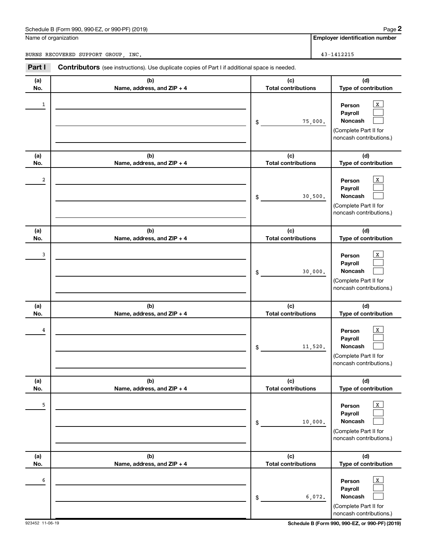#### Schedule B (Form 990, 990-EZ, or 990-PF) (2019)

Name of organization

BURNS RECOVERED SUPPORT GROUP, INC. 43-1412215

**Employer identification number**

| Part I     | <b>Contributors</b> (see instructions). Use duplicate copies of Part I if additional space is needed. |                                             |                                                                                                                          |
|------------|-------------------------------------------------------------------------------------------------------|---------------------------------------------|--------------------------------------------------------------------------------------------------------------------------|
| (a)<br>No. | (b)<br>Name, address, and ZIP + 4                                                                     | (c)<br><b>Total contributions</b>           | (d)<br>Type of contribution                                                                                              |
| 1          |                                                                                                       | 75,000.<br>\$                               | $\mathbf{x}$<br>Person<br>Payroll<br>Noncash<br>(Complete Part II for<br>noncash contributions.)                         |
| (a)<br>No. | (b)<br>Name, address, and ZIP + 4                                                                     | (c)<br><b>Total contributions</b>           | (d)<br>Type of contribution                                                                                              |
| 2          |                                                                                                       | 30,500.<br>\$                               | $\mathbf{x}$<br>Person<br>Payroll<br>Noncash<br>(Complete Part II for<br>noncash contributions.)                         |
| (a)<br>No. | (b)<br>Name, address, and ZIP + 4                                                                     | (c)<br><b>Total contributions</b>           | (d)<br>Type of contribution                                                                                              |
| 3          |                                                                                                       | 30,000.<br>\$                               | $\mathbf{X}$<br>Person<br>Payroll<br>Noncash<br>(Complete Part II for<br>noncash contributions.)                         |
| (a)        | (b)                                                                                                   | (c)                                         | (d)                                                                                                                      |
| No.<br>4   | Name, address, and ZIP + 4                                                                            | <b>Total contributions</b><br>11,520.<br>\$ | Type of contribution<br>$\mathbf{X}$<br>Person<br>Payroll<br>Noncash<br>(Complete Part II for<br>noncash contributions.) |
| (a)<br>No. | (b)<br>Name, address, and ZIP + 4                                                                     | (c)<br><b>Total contributions</b>           | (d)<br>Type of contribution                                                                                              |
| 5          |                                                                                                       | 10,000.<br>\$                               | $\mathbf{x}$<br>Person<br>Payroll<br>Noncash<br>(Complete Part II for<br>noncash contributions.)                         |
| (a)<br>No. | (b)<br>Name, address, and ZIP + 4                                                                     | (c)<br><b>Total contributions</b>           | (d)<br>Type of contribution                                                                                              |
| 6          |                                                                                                       | 6,072.<br>\$                                | $\mathbf{x}$<br>Person<br>Payroll<br>Noncash<br>(Complete Part II for<br>noncash contributions.)                         |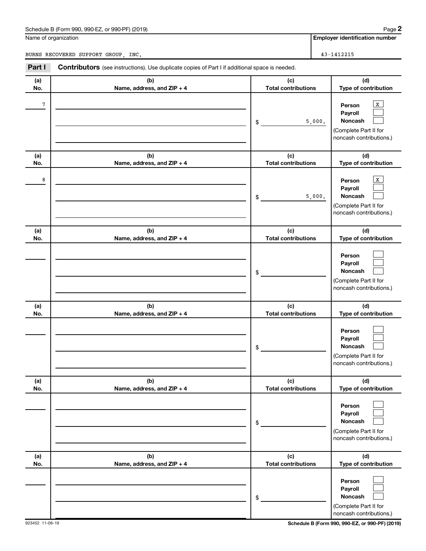#### Schedule B (Form 990, 990-EZ, or 990-PF) (2019)

Name of organization

BURNS RECOVERED SUPPORT GROUP, INC. 43-1412215

**Employer identification number**

| Part I     | <b>Contributors</b> (see instructions). Use duplicate copies of Part I if additional space is needed. |                                   |                                                                                                          |
|------------|-------------------------------------------------------------------------------------------------------|-----------------------------------|----------------------------------------------------------------------------------------------------------|
| (a)<br>No. | (b)<br>Name, address, and ZIP + 4                                                                     | (c)<br><b>Total contributions</b> | (d)<br>Type of contribution                                                                              |
| 7          |                                                                                                       | 5,000.<br>\$                      | $\mathbf{x}$<br>Person<br>Payroll<br>Noncash<br>(Complete Part II for<br>noncash contributions.)         |
| (a)<br>No. | (b)<br>Name, address, and ZIP + 4                                                                     | (c)<br><b>Total contributions</b> | (d)<br>Type of contribution                                                                              |
| 8          |                                                                                                       | 5,000.<br>\$                      | $\mathbf{x}$<br>Person<br>Payroll<br>Noncash<br>(Complete Part II for<br>noncash contributions.)         |
| (a)<br>No. | (b)<br>Name, address, and ZIP + 4                                                                     | (c)<br><b>Total contributions</b> | (d)<br>Type of contribution                                                                              |
|            |                                                                                                       | \$                                | Person<br>Payroll<br>Noncash<br>(Complete Part II for<br>noncash contributions.)                         |
| (a)        | (b)                                                                                                   | (c)                               | (d)                                                                                                      |
| No.        | Name, address, and ZIP + 4                                                                            | <b>Total contributions</b><br>\$  | Type of contribution<br>Person<br>Payroll<br>Noncash<br>(Complete Part II for<br>noncash contributions.) |
| (a)<br>No. | (b)<br>Name, address, and ZIP + 4                                                                     | (c)<br><b>Total contributions</b> | (d)<br>Type of contribution                                                                              |
|            |                                                                                                       | \$                                | Person<br>Payroll<br>Noncash<br>(Complete Part II for<br>noncash contributions.)                         |
| (a)<br>No. | (b)<br>Name, address, and ZIP + 4                                                                     | (c)<br><b>Total contributions</b> | (d)<br>Type of contribution                                                                              |
|            |                                                                                                       | \$                                | Person<br>Payroll<br>Noncash<br>(Complete Part II for<br>noncash contributions.)                         |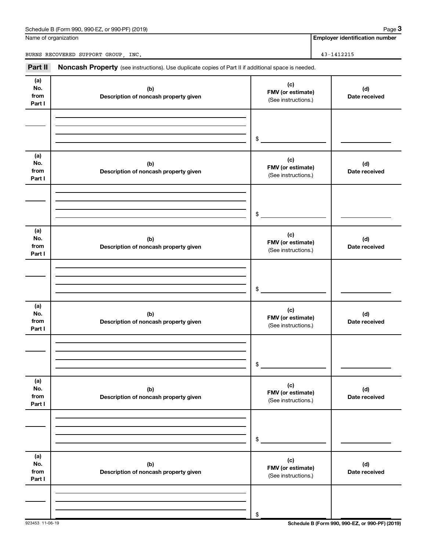| Schedule B (Form 990, 990-EZ, or 990-PF) (2019) | Paɑe |
|-------------------------------------------------|------|
|-------------------------------------------------|------|

Name of organization

**Employer identification number**

BURNS RECOVERED SUPPORT GROUP, INC. 43-1412215

Part II Noncash Property (see instructions). Use duplicate copies of Part II if additional space is needed.

| (a)<br>No.<br>from<br>Part I | (b)<br>Description of noncash property given | (c)<br>FMV (or estimate)<br>(See instructions.) | (d)<br>Date received |
|------------------------------|----------------------------------------------|-------------------------------------------------|----------------------|
|                              |                                              |                                                 |                      |
|                              |                                              |                                                 |                      |
|                              |                                              | $$^{\circ}$                                     |                      |
| (a)<br>No.<br>from<br>Part I | (b)<br>Description of noncash property given | (c)<br>FMV (or estimate)<br>(See instructions.) | (d)<br>Date received |
|                              |                                              |                                                 |                      |
|                              |                                              |                                                 |                      |
|                              |                                              | $$\tilde{\phantom{a}}$$                         |                      |
| (a)<br>No.<br>from<br>Part I | (b)<br>Description of noncash property given | (c)<br>FMV (or estimate)<br>(See instructions.) | (d)<br>Date received |
|                              |                                              |                                                 |                      |
|                              |                                              |                                                 |                      |
|                              |                                              | $$\mathbb{S}$$                                  |                      |
| (a)<br>No.<br>from<br>Part I | (b)<br>Description of noncash property given | (c)<br>FMV (or estimate)<br>(See instructions.) | (d)<br>Date received |
|                              |                                              |                                                 |                      |
|                              |                                              |                                                 |                      |
|                              |                                              | \$                                              |                      |
| (a)<br>No.<br>from<br>Part I | (b)<br>Description of noncash property given | (c)<br>FMV (or estimate)<br>(See instructions.) | (d)<br>Date received |
|                              |                                              |                                                 |                      |
|                              |                                              |                                                 |                      |
|                              |                                              | \$                                              |                      |
| (a)<br>No.<br>from<br>Part I | (b)<br>Description of noncash property given | (c)<br>FMV (or estimate)<br>(See instructions.) | (d)<br>Date received |
|                              |                                              |                                                 |                      |
|                              |                                              |                                                 |                      |
|                              |                                              | \$                                              |                      |

923453 11-06-19 **Schedule B (Form 990, 990-EZ, or 990-PF) (2019)**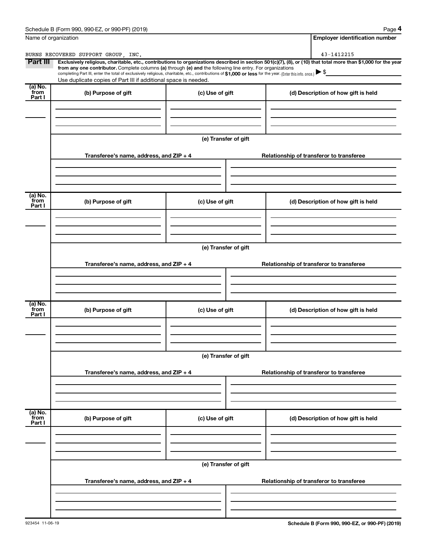| Schedule B (Form 990,<br>(2019)<br>or 990-PF)<br>990-EZ<br>Page |
|-----------------------------------------------------------------|
|-----------------------------------------------------------------|

**4**

|                           | Name of organization                                                                                                                                                                                                                                                                                                                                               |                      | <b>Employer identification number</b>                                                                                                                          |  |  |  |  |
|---------------------------|--------------------------------------------------------------------------------------------------------------------------------------------------------------------------------------------------------------------------------------------------------------------------------------------------------------------------------------------------------------------|----------------------|----------------------------------------------------------------------------------------------------------------------------------------------------------------|--|--|--|--|
|                           | BURNS RECOVERED SUPPORT GROUP . INC.                                                                                                                                                                                                                                                                                                                               |                      | 43-1412215                                                                                                                                                     |  |  |  |  |
| Part III                  | from any one contributor. Complete columns (a) through (e) and the following line entry. For organizations<br>completing Part III, enter the total of exclusively religious, charitable, etc., contributions of \$1,000 or less for the year. (Enter this info. once.) $\blacktriangleright$ \$<br>Use duplicate copies of Part III if additional space is needed. |                      | Exclusively religious, charitable, etc., contributions to organizations described in section 501(c)(7), (8), or (10) that total more than \$1,000 for the year |  |  |  |  |
| (a) No.<br>from<br>Part I | (b) Purpose of gift                                                                                                                                                                                                                                                                                                                                                | (c) Use of gift      | (d) Description of how gift is held                                                                                                                            |  |  |  |  |
|                           |                                                                                                                                                                                                                                                                                                                                                                    |                      |                                                                                                                                                                |  |  |  |  |
|                           |                                                                                                                                                                                                                                                                                                                                                                    | (e) Transfer of gift |                                                                                                                                                                |  |  |  |  |
|                           | Transferee's name, address, and ZIP + 4                                                                                                                                                                                                                                                                                                                            |                      | Relationship of transferor to transferee                                                                                                                       |  |  |  |  |
| (a) No.                   |                                                                                                                                                                                                                                                                                                                                                                    |                      |                                                                                                                                                                |  |  |  |  |
| from<br>Part I            | (b) Purpose of gift                                                                                                                                                                                                                                                                                                                                                | (c) Use of gift      | (d) Description of how gift is held                                                                                                                            |  |  |  |  |
|                           |                                                                                                                                                                                                                                                                                                                                                                    | (e) Transfer of gift |                                                                                                                                                                |  |  |  |  |
|                           | Transferee's name, address, and ZIP + 4                                                                                                                                                                                                                                                                                                                            |                      | Relationship of transferor to transferee                                                                                                                       |  |  |  |  |
|                           |                                                                                                                                                                                                                                                                                                                                                                    |                      |                                                                                                                                                                |  |  |  |  |
| (a) No.<br>from<br>Part I | (b) Purpose of gift                                                                                                                                                                                                                                                                                                                                                | (c) Use of gift      | (d) Description of how gift is held                                                                                                                            |  |  |  |  |
|                           |                                                                                                                                                                                                                                                                                                                                                                    |                      |                                                                                                                                                                |  |  |  |  |
|                           | Transferee's name, address, and ZIP + 4                                                                                                                                                                                                                                                                                                                            | (e) Transfer of gift | Relationship of transferor to transferee                                                                                                                       |  |  |  |  |
|                           |                                                                                                                                                                                                                                                                                                                                                                    |                      |                                                                                                                                                                |  |  |  |  |
| (a) No.<br>from<br>Part I | (b) Purpose of gift                                                                                                                                                                                                                                                                                                                                                | (c) Use of gift      | (d) Description of how gift is held                                                                                                                            |  |  |  |  |
|                           |                                                                                                                                                                                                                                                                                                                                                                    |                      |                                                                                                                                                                |  |  |  |  |
|                           | (e) Transfer of gift                                                                                                                                                                                                                                                                                                                                               |                      |                                                                                                                                                                |  |  |  |  |
|                           | Transferee's name, address, and ZIP + 4                                                                                                                                                                                                                                                                                                                            |                      | Relationship of transferor to transferee                                                                                                                       |  |  |  |  |
|                           |                                                                                                                                                                                                                                                                                                                                                                    |                      |                                                                                                                                                                |  |  |  |  |
|                           |                                                                                                                                                                                                                                                                                                                                                                    |                      |                                                                                                                                                                |  |  |  |  |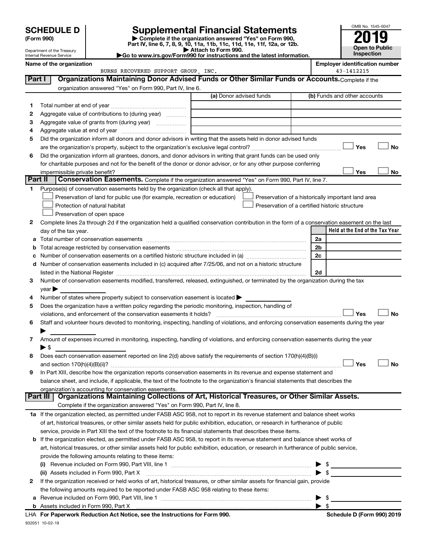Department of the Treasury Internal Revenue Service

| (Form 990) |  |
|------------|--|
|------------|--|

932051 10-02-19

# **SCHEDULE D Supplemental Financial Statements**<br> **Form 990 2019**<br> **Part IV** line 6.7.8.9.10, 11a, 11b, 11d, 11d, 11d, 11d, 11d, 12a, 0r, 12b

**(Form 990) | Complete if the organization answered "Yes" on Form 990, Part IV, line 6, 7, 8, 9, 10, 11a, 11b, 11c, 11d, 11e, 11f, 12a, or 12b.**

**| Attach to Form 990. |Go to www.irs.gov/Form990 for instructions and the latest information.**



|  | Name of the organization |  |
|--|--------------------------|--|
|--|--------------------------|--|

BURNS RECOVERED SUPPORT GROUP, INC.

**Employer identification number**<br>43-1412215

| Part I  | Organizations Maintaining Donor Advised Funds or Other Similar Funds or Accounts. Complete if the                                                                                                                              |                         |                                                    |
|---------|--------------------------------------------------------------------------------------------------------------------------------------------------------------------------------------------------------------------------------|-------------------------|----------------------------------------------------|
|         | organization answered "Yes" on Form 990, Part IV, line 6.                                                                                                                                                                      | (a) Donor advised funds | (b) Funds and other accounts                       |
| 1.      |                                                                                                                                                                                                                                |                         |                                                    |
| 2       | Aggregate value of contributions to (during year)                                                                                                                                                                              |                         |                                                    |
| з       | Aggregate value of grants from (during year)                                                                                                                                                                                   |                         |                                                    |
| 4       |                                                                                                                                                                                                                                |                         |                                                    |
| 5       | Did the organization inform all donors and donor advisors in writing that the assets held in donor advised funds                                                                                                               |                         |                                                    |
|         |                                                                                                                                                                                                                                |                         | Yes<br>No                                          |
| 6       | Did the organization inform all grantees, donors, and donor advisors in writing that grant funds can be used only                                                                                                              |                         |                                                    |
|         | for charitable purposes and not for the benefit of the donor or donor advisor, or for any other purpose conferring                                                                                                             |                         |                                                    |
|         |                                                                                                                                                                                                                                |                         | Yes<br>No                                          |
| Part II | Conservation Easements. Complete if the organization answered "Yes" on Form 990, Part IV, line 7.                                                                                                                              |                         |                                                    |
| 1       | Purpose(s) of conservation easements held by the organization (check all that apply).                                                                                                                                          |                         |                                                    |
|         | Preservation of land for public use (for example, recreation or education)                                                                                                                                                     |                         | Preservation of a historically important land area |
|         | Protection of natural habitat                                                                                                                                                                                                  |                         | Preservation of a certified historic structure     |
|         | Preservation of open space                                                                                                                                                                                                     |                         |                                                    |
| 2       | Complete lines 2a through 2d if the organization held a qualified conservation contribution in the form of a conservation easement on the last                                                                                 |                         |                                                    |
|         | day of the tax year.                                                                                                                                                                                                           |                         | Held at the End of the Tax Year                    |
| а       |                                                                                                                                                                                                                                |                         | 2a                                                 |
| b       |                                                                                                                                                                                                                                |                         | 2 <sub>b</sub>                                     |
| с       |                                                                                                                                                                                                                                |                         | 2c                                                 |
| d       | Number of conservation easements included in (c) acquired after 7/25/06, and not on a historic structure                                                                                                                       |                         |                                                    |
|         | listed in the National Register [1111] listed in the National Register [111] listed in the National Register [111] listed in the National Register [11] listed in the National Register [11] listed in the National Register [ |                         | 2d                                                 |
| 3       | Number of conservation easements modified, transferred, released, extinguished, or terminated by the organization during the tax                                                                                               |                         |                                                    |
|         | $year \triangleright$                                                                                                                                                                                                          |                         |                                                    |
| 4       | Number of states where property subject to conservation easement is located >                                                                                                                                                  |                         |                                                    |
| 5       | Does the organization have a written policy regarding the periodic monitoring, inspection, handling of                                                                                                                         |                         |                                                    |
|         | violations, and enforcement of the conservation easements it holds?                                                                                                                                                            |                         | Yes<br><b>No</b>                                   |
| 6       | Staff and volunteer hours devoted to monitoring, inspecting, handling of violations, and enforcing conservation easements during the year                                                                                      |                         |                                                    |
|         |                                                                                                                                                                                                                                |                         |                                                    |
| 7       | Amount of expenses incurred in monitoring, inspecting, handling of violations, and enforcing conservation easements during the year                                                                                            |                         |                                                    |
|         | $\blacktriangleright$ \$                                                                                                                                                                                                       |                         |                                                    |
| 8       | Does each conservation easement reported on line 2(d) above satisfy the requirements of section 170(h)(4)(B)(i)                                                                                                                |                         |                                                    |
|         |                                                                                                                                                                                                                                |                         | Yes<br>No                                          |
| 9       | In Part XIII, describe how the organization reports conservation easements in its revenue and expense statement and                                                                                                            |                         |                                                    |
|         | balance sheet, and include, if applicable, the text of the footnote to the organization's financial statements that describes the                                                                                              |                         |                                                    |
|         | organization's accounting for conservation easements.                                                                                                                                                                          |                         |                                                    |
|         | Organizations Maintaining Collections of Art, Historical Treasures, or Other Similar Assets.<br>Part III                                                                                                                       |                         |                                                    |
|         | Complete if the organization answered "Yes" on Form 990, Part IV, line 8.                                                                                                                                                      |                         |                                                    |
|         | 1a If the organization elected, as permitted under FASB ASC 958, not to report in its revenue statement and balance sheet works                                                                                                |                         |                                                    |
|         | of art, historical treasures, or other similar assets held for public exhibition, education, or research in furtherance of public                                                                                              |                         |                                                    |
|         | service, provide in Part XIII the text of the footnote to its financial statements that describes these items.                                                                                                                 |                         |                                                    |
| b       | If the organization elected, as permitted under FASB ASC 958, to report in its revenue statement and balance sheet works of                                                                                                    |                         |                                                    |
|         | art, historical treasures, or other similar assets held for public exhibition, education, or research in furtherance of public service,                                                                                        |                         |                                                    |
|         | provide the following amounts relating to these items:                                                                                                                                                                         |                         |                                                    |
|         |                                                                                                                                                                                                                                |                         | $\frac{1}{2}$<br>▶                                 |
|         | (ii) Assets included in Form 990, Part X                                                                                                                                                                                       |                         | $\blacktriangleright$ \$                           |
| 2       | If the organization received or held works of art, historical treasures, or other similar assets for financial gain, provide                                                                                                   |                         |                                                    |
|         | the following amounts required to be reported under FASB ASC 958 relating to these items:                                                                                                                                      |                         |                                                    |
| а       |                                                                                                                                                                                                                                |                         | \$<br>▶                                            |
|         |                                                                                                                                                                                                                                |                         |                                                    |
|         | LHA For Paperwork Reduction Act Notice, see the Instructions for Form 990.                                                                                                                                                     |                         | Schedule D (Form 990) 2019                         |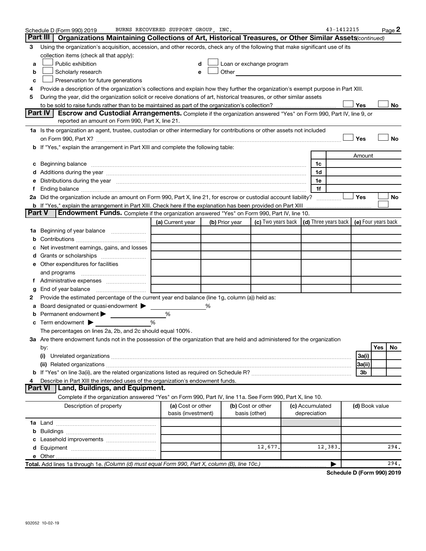|    | Schedule D (Form 990) 2019                                                                                                                                                                                                     | BURNS RECOVERED SUPPORT GROUP, INC.     |                |                                                                                                                                                                                                                               |                                 | 43-1412215 |                | Page 2    |
|----|--------------------------------------------------------------------------------------------------------------------------------------------------------------------------------------------------------------------------------|-----------------------------------------|----------------|-------------------------------------------------------------------------------------------------------------------------------------------------------------------------------------------------------------------------------|---------------------------------|------------|----------------|-----------|
|    | Part III<br>Organizations Maintaining Collections of Art, Historical Treasures, or Other Similar Assets (continued)                                                                                                            |                                         |                |                                                                                                                                                                                                                               |                                 |            |                |           |
| З  | Using the organization's acquisition, accession, and other records, check any of the following that make significant use of its                                                                                                |                                         |                |                                                                                                                                                                                                                               |                                 |            |                |           |
|    | collection items (check all that apply):                                                                                                                                                                                       |                                         |                |                                                                                                                                                                                                                               |                                 |            |                |           |
| a  | Public exhibition                                                                                                                                                                                                              | d                                       |                | Loan or exchange program                                                                                                                                                                                                      |                                 |            |                |           |
| b  | Scholarly research                                                                                                                                                                                                             | е                                       |                | Other and the contract of the contract of the contract of the contract of the contract of the contract of the contract of the contract of the contract of the contract of the contract of the contract of the contract of the |                                 |            |                |           |
| c  | Preservation for future generations                                                                                                                                                                                            |                                         |                |                                                                                                                                                                                                                               |                                 |            |                |           |
| 4  | Provide a description of the organization's collections and explain how they further the organization's exempt purpose in Part XIII.                                                                                           |                                         |                |                                                                                                                                                                                                                               |                                 |            |                |           |
| 5  | During the year, did the organization solicit or receive donations of art, historical treasures, or other similar assets                                                                                                       |                                         |                |                                                                                                                                                                                                                               |                                 |            |                |           |
|    |                                                                                                                                                                                                                                |                                         |                |                                                                                                                                                                                                                               |                                 |            | Yes            | No        |
|    | Part IV<br><b>Escrow and Custodial Arrangements.</b> Complete if the organization answered "Yes" on Form 990, Part IV, line 9, or                                                                                              |                                         |                |                                                                                                                                                                                                                               |                                 |            |                |           |
|    | reported an amount on Form 990, Part X, line 21.                                                                                                                                                                               |                                         |                |                                                                                                                                                                                                                               |                                 |            |                |           |
|    | 1a Is the organization an agent, trustee, custodian or other intermediary for contributions or other assets not included                                                                                                       |                                         |                |                                                                                                                                                                                                                               |                                 |            |                |           |
|    | on Form 990, Part X? [11] matter contracts and contracts and contracts are contracted as a form 990, Part X?                                                                                                                   |                                         |                |                                                                                                                                                                                                                               |                                 |            | Yes            | <b>No</b> |
|    | b If "Yes," explain the arrangement in Part XIII and complete the following table:                                                                                                                                             |                                         |                |                                                                                                                                                                                                                               |                                 |            |                |           |
|    |                                                                                                                                                                                                                                |                                         |                |                                                                                                                                                                                                                               |                                 |            | Amount         |           |
|    | c Beginning balance measurements and the contract of Beginning balance measurements are all the contract of the contract of the contract of the contract of the contract of the contract of the contract of the contract of th |                                         |                |                                                                                                                                                                                                                               | 1c                              |            |                |           |
|    |                                                                                                                                                                                                                                |                                         |                |                                                                                                                                                                                                                               | 1d                              |            |                |           |
| е  | Distributions during the year manufactured and an account of the year manufactured and the year manufactured and the year manufactured and the year manufactured and the year manufactured and the year manufactured and the y |                                         |                |                                                                                                                                                                                                                               | 1е                              |            |                |           |
| f  |                                                                                                                                                                                                                                |                                         |                |                                                                                                                                                                                                                               | 1f                              |            |                |           |
|    | 2a Did the organization include an amount on Form 990, Part X, line 21, for escrow or custodial account liability?                                                                                                             |                                         |                |                                                                                                                                                                                                                               |                                 |            | Yes            | No        |
|    | b If "Yes," explain the arrangement in Part XIII. Check here if the explanation has been provided on Part XIII                                                                                                                 |                                         |                |                                                                                                                                                                                                                               |                                 |            |                |           |
|    | <b>Part V</b><br><b>Endowment Funds.</b> Complete if the organization answered "Yes" on Form 990, Part IV, line 10.                                                                                                            |                                         |                |                                                                                                                                                                                                                               |                                 |            |                |           |
|    |                                                                                                                                                                                                                                | (a) Current year                        | (b) Prior year | (c) Two years back $\vert$ (d) Three years back $\vert$ (e) Four years back                                                                                                                                                   |                                 |            |                |           |
| 1а | Beginning of year balance                                                                                                                                                                                                      |                                         |                |                                                                                                                                                                                                                               |                                 |            |                |           |
|    |                                                                                                                                                                                                                                |                                         |                |                                                                                                                                                                                                                               |                                 |            |                |           |
|    | Net investment earnings, gains, and losses                                                                                                                                                                                     |                                         |                |                                                                                                                                                                                                                               |                                 |            |                |           |
|    |                                                                                                                                                                                                                                |                                         |                |                                                                                                                                                                                                                               |                                 |            |                |           |
|    | e Other expenditures for facilities                                                                                                                                                                                            |                                         |                |                                                                                                                                                                                                                               |                                 |            |                |           |
|    |                                                                                                                                                                                                                                |                                         |                |                                                                                                                                                                                                                               |                                 |            |                |           |
|    |                                                                                                                                                                                                                                |                                         |                |                                                                                                                                                                                                                               |                                 |            |                |           |
| g  | End of year balance                                                                                                                                                                                                            |                                         |                |                                                                                                                                                                                                                               |                                 |            |                |           |
| 2  | Provide the estimated percentage of the current year end balance (line 1g, column (a)) held as:                                                                                                                                |                                         |                |                                                                                                                                                                                                                               |                                 |            |                |           |
| а  | Board designated or quasi-endowment                                                                                                                                                                                            |                                         | ℅              |                                                                                                                                                                                                                               |                                 |            |                |           |
|    | Permanent endowment                                                                                                                                                                                                            | %                                       |                |                                                                                                                                                                                                                               |                                 |            |                |           |
|    | c Term endowment $\blacktriangleright$                                                                                                                                                                                         | %                                       |                |                                                                                                                                                                                                                               |                                 |            |                |           |
|    | The percentages on lines 2a, 2b, and 2c should equal 100%.                                                                                                                                                                     |                                         |                |                                                                                                                                                                                                                               |                                 |            |                |           |
|    | 3a Are there endowment funds not in the possession of the organization that are held and administered for the organization                                                                                                     |                                         |                |                                                                                                                                                                                                                               |                                 |            |                |           |
|    | by:                                                                                                                                                                                                                            |                                         |                |                                                                                                                                                                                                                               |                                 |            |                | Yes<br>No |
|    | (i)                                                                                                                                                                                                                            |                                         |                |                                                                                                                                                                                                                               |                                 |            | 3a(i)          |           |
|    |                                                                                                                                                                                                                                |                                         |                |                                                                                                                                                                                                                               |                                 |            | 3a(ii)         |           |
|    |                                                                                                                                                                                                                                |                                         |                |                                                                                                                                                                                                                               |                                 |            | 3b             |           |
| 4  | Describe in Part XIII the intended uses of the organization's endowment funds.                                                                                                                                                 |                                         |                |                                                                                                                                                                                                                               |                                 |            |                |           |
|    | Land, Buildings, and Equipment.<br>Part VI                                                                                                                                                                                     |                                         |                |                                                                                                                                                                                                                               |                                 |            |                |           |
|    | Complete if the organization answered "Yes" on Form 990, Part IV, line 11a. See Form 990, Part X, line 10.                                                                                                                     |                                         |                |                                                                                                                                                                                                                               |                                 |            |                |           |
|    | Description of property                                                                                                                                                                                                        | (a) Cost or other<br>basis (investment) |                | (b) Cost or other<br>basis (other)                                                                                                                                                                                            | (c) Accumulated<br>depreciation |            | (d) Book value |           |
|    |                                                                                                                                                                                                                                |                                         |                |                                                                                                                                                                                                                               |                                 |            |                |           |
|    |                                                                                                                                                                                                                                |                                         |                |                                                                                                                                                                                                                               |                                 |            |                |           |
|    |                                                                                                                                                                                                                                |                                         |                |                                                                                                                                                                                                                               |                                 |            |                |           |
|    |                                                                                                                                                                                                                                |                                         |                | 12,677.                                                                                                                                                                                                                       |                                 | 12,383.    |                | 294.      |
|    |                                                                                                                                                                                                                                |                                         |                |                                                                                                                                                                                                                               |                                 |            |                |           |
|    | Total. Add lines 1a through 1e. (Column (d) must equal Form 990, Part X, column (B), line 10c.)                                                                                                                                |                                         |                |                                                                                                                                                                                                                               |                                 | ▶          |                | 294.      |

**Schedule D (Form 990) 2019**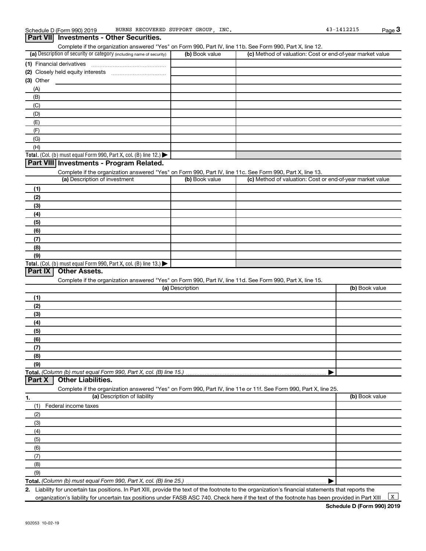#### (a) Description of security or category (including name of security)  $\vert$  (b) Book value  $\vert$  (c) **Total.** (Col. (b) must equal Form 990, Part X, col. (B) line 12.)  $\blacktriangleright$ **Total.** (Col. (b) must equal Form 990, Part X, col. (B) line  $13$ .) **(1)** Financial derivatives ~~~~~~~~~~~~~~~ **(2)** Closely held equity interests ~~~~~~~~~~~ **(3)** Other (a) Description of investment (b) Book value **(1) (2) (3) (4) (5) (6) (7) (8) (9)** (a) Description **(1)** Complete if the organization answered "Yes" on Form 990, Part IV, line 11b. See Form 990, Part X, line 12.  $(b)$  Book value  $\vert$  (c) Method of valuation: Cost or end-of-year market value (A) (B) (C) (D) (E) (F) (G) (H) Complete if the organization answered "Yes" on Form 990, Part IV, line 11c. See Form 990, Part X, line 13. (c) Method of valuation: Cost or end-of-year market value Complete if the organization answered "Yes" on Form 990, Part IV, line 11d. See Form 990, Part X, line 15. (b) Book value **Part VII Investments - Other Securities. Part VIII Investments - Program Related. Part IX Other Assets.**

| <b>17</b> |                                                                                                                   |                |
|-----------|-------------------------------------------------------------------------------------------------------------------|----------------|
| (2)       |                                                                                                                   |                |
| (3)       |                                                                                                                   |                |
| (4)       |                                                                                                                   |                |
| (5)       |                                                                                                                   |                |
| (6)       |                                                                                                                   |                |
| (7)       |                                                                                                                   |                |
| (8)       |                                                                                                                   |                |
| (9)       |                                                                                                                   |                |
|           |                                                                                                                   |                |
| Part X    | <b>Other Liabilities.</b>                                                                                         |                |
|           | Complete if the organization answered "Yes" on Form 990, Part IV, line 11e or 11f. See Form 990, Part X, line 25. |                |
| 1.        | (a) Description of liability                                                                                      | (b) Book value |
| (1)       | Federal income taxes                                                                                              |                |
| (2)       |                                                                                                                   |                |
| (3)       |                                                                                                                   |                |
| (4)       |                                                                                                                   |                |
| (5)       |                                                                                                                   |                |
| (6)       |                                                                                                                   |                |
| (7)       |                                                                                                                   |                |

**Total.**  *(Column (b) must equal Form 990, Part X, col. (B) line 25.)* (9)

**2.** | Liability for uncertain tax positions. In Part XIII, provide the text of the footnote to the organization's financial statements that reports the

organization's liability for uncertain tax positions under FASB ASC 740. Check here if the text of the footnote has been provided in Part XIII.

 $\boxed{\mathbf{x}}$ 

(8)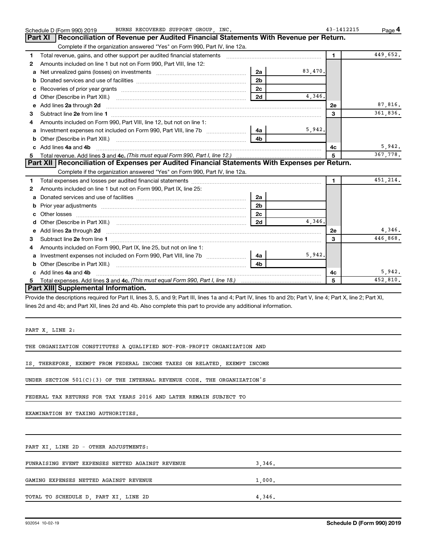|    | BURNS RECOVERED SUPPORT GROUP, INC.<br>Schedule D (Form 990) 2019                                                                                                                                                                  |          | 43-1412215   | Page 4   |
|----|------------------------------------------------------------------------------------------------------------------------------------------------------------------------------------------------------------------------------------|----------|--------------|----------|
|    | Reconciliation of Revenue per Audited Financial Statements With Revenue per Return.<br>Part XI                                                                                                                                     |          |              |          |
|    | Complete if the organization answered "Yes" on Form 990, Part IV, line 12a.                                                                                                                                                        |          |              |          |
| 1. | Total revenue, gains, and other support per audited financial statements                                                                                                                                                           |          | 1.           | 449,652. |
| 2  | Amounts included on line 1 but not on Form 990, Part VIII, line 12:                                                                                                                                                                |          |              |          |
| a  | Net unrealized gains (losses) on investments<br>2a                                                                                                                                                                                 | 83,470.  |              |          |
| b  | 2 <sub>b</sub>                                                                                                                                                                                                                     |          |              |          |
| c  | 2c                                                                                                                                                                                                                                 |          |              |          |
| d  | 2d                                                                                                                                                                                                                                 | 4,346.   |              |          |
|    | e Add lines 2a through 2d                                                                                                                                                                                                          |          | 2е           | 87,816.  |
| 3  |                                                                                                                                                                                                                                    |          | 3            | 361,836. |
| 4  | Amounts included on Form 990, Part VIII, line 12, but not on line 1:                                                                                                                                                               |          |              |          |
|    | Investment expenses not included on Form 990, Part VIII, line 7b [<br>4a                                                                                                                                                           | 5,942.   |              |          |
|    | 4 <sub>b</sub>                                                                                                                                                                                                                     |          |              |          |
|    | c Add lines 4a and 4b                                                                                                                                                                                                              |          | 4c           | 5,942.   |
| 5  |                                                                                                                                                                                                                                    |          | 5            | 367,778. |
|    | Part XII   Reconciliation of Expenses per Audited Financial Statements With Expenses per Return.                                                                                                                                   |          |              |          |
|    | Complete if the organization answered "Yes" on Form 990, Part IV, line 12a.                                                                                                                                                        |          |              |          |
| 1  |                                                                                                                                                                                                                                    |          | $\mathbf{1}$ | 451,214. |
| 2  | Amounts included on line 1 but not on Form 990, Part IX, line 25:                                                                                                                                                                  |          |              |          |
| a  | 2a                                                                                                                                                                                                                                 |          |              |          |
| b  | 2 <sub>b</sub>                                                                                                                                                                                                                     |          |              |          |
|    | 2 <sub>c</sub>                                                                                                                                                                                                                     |          |              |          |
|    | 2d                                                                                                                                                                                                                                 | 4 3 4 6. |              |          |
|    | e Add lines 2a through 2d <b>contained a control and a control and a</b> control and a control and a control and a control and a control and a control and a control and a control and a control and a control and a control and a |          | 2e           | 4,346.   |
| 3  |                                                                                                                                                                                                                                    |          | 3            | 446,868. |
|    | Amounts included on Form 990, Part IX, line 25, but not on line 1:                                                                                                                                                                 |          |              |          |
|    | a Investment expenses not included on Form 990, Part VIII, line 7b<br>4a                                                                                                                                                           | 5,942.   |              |          |
|    | 4 <sub>b</sub>                                                                                                                                                                                                                     |          |              |          |
|    | c Add lines 4a and 4b                                                                                                                                                                                                              |          | 4c           | 5,942.   |
| 5  |                                                                                                                                                                                                                                    |          | 5            | 452,810. |
|    | Part XIII Supplemental Information.                                                                                                                                                                                                |          |              |          |
|    | Provide the descriptions required for Part II, lines 3, 5, and 9; Part III, lines 1a and 4; Part IV, lines 1b and 2b; Part V, line 4; Part X, line 2; Part XI,                                                                     |          |              |          |
|    | lines 2d and 4b; and Part XII, lines 2d and 4b. Also complete this part to provide any additional information.                                                                                                                     |          |              |          |
|    |                                                                                                                                                                                                                                    |          |              |          |

PART X, LINE 2:

THE ORGANIZATION CONSTITUTES A QUALIFIED NOT-FOR-PROFIT ORGANIZATION AND

IS, THEREFORE, EXEMPT FROM FEDERAL INCOME TAXES ON RELATED, EXEMPT INCOME

UNDER SECTION 501(C)(3) OF THE INTERNAL REVENUE CODE. THE ORGANIZATION'S

FEDERAL TAX RETURNS FOR TAX YEARS 2016 AND LATER REMAIN SUBJECT TO

EXAMINATION BY TAXING AUTHORITIES.

PART XI, LINE 2D - OTHER ADJUSTMENTS:

| FUNRAISING EVENT EXPENSES NETTED AGAINST REVENUE | 3.346. |
|--------------------------------------------------|--------|
| GAMING EXPENSES NETTED AGAINST REVENUE           | 1,000. |
| TOTAL TO SCHEDULE D, PART XI, LINE 2D            | 4.346. |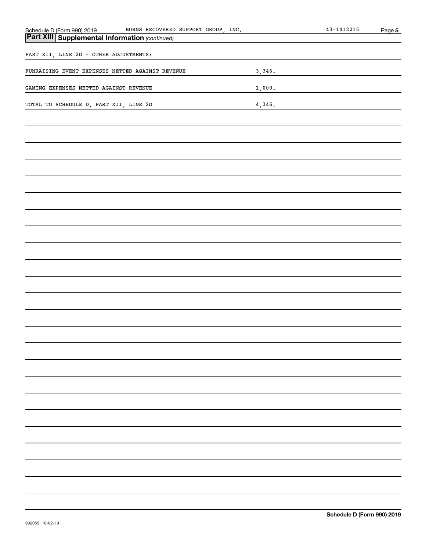| BURNS RECOVERED SUPPORT GROUP, INC.                                                                   |        | $43 - 1412215$ | Page 5 |
|-------------------------------------------------------------------------------------------------------|--------|----------------|--------|
| Schedule D (Form 990) 2019 BURNS RECOVERED<br><b>Part XIII   Supplemental Information</b> (continued) |        |                |        |
| PART XII, LINE 2D - OTHER ADJUSTMENTS:                                                                |        |                |        |
| FUNRAISING EVENT EXPENSES NETTED AGAINST REVENUE                                                      | 3,346. |                |        |
| GAMING EXPENSES NETTED AGAINST REVENUE                                                                | 1,000. |                |        |
| TOTAL TO SCHEDULE D, PART XII, LINE 2D                                                                | 4,346. |                |        |
|                                                                                                       |        |                |        |
|                                                                                                       |        |                |        |
|                                                                                                       |        |                |        |
|                                                                                                       |        |                |        |
|                                                                                                       |        |                |        |
|                                                                                                       |        |                |        |
|                                                                                                       |        |                |        |
|                                                                                                       |        |                |        |
|                                                                                                       |        |                |        |
|                                                                                                       |        |                |        |
|                                                                                                       |        |                |        |
|                                                                                                       |        |                |        |
|                                                                                                       |        |                |        |
|                                                                                                       |        |                |        |
|                                                                                                       |        |                |        |
|                                                                                                       |        |                |        |
|                                                                                                       |        |                |        |
|                                                                                                       |        |                |        |
|                                                                                                       |        |                |        |
|                                                                                                       |        |                |        |
|                                                                                                       |        |                |        |
|                                                                                                       |        |                |        |
|                                                                                                       |        |                |        |
|                                                                                                       |        |                |        |
|                                                                                                       |        |                |        |
|                                                                                                       |        |                |        |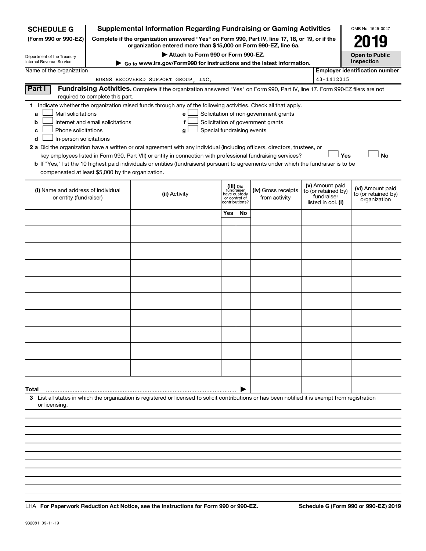| <b>SCHEDULE G</b>                                                                                                                                                          |                                    | <b>Supplemental Information Regarding Fundraising or Gaming Activities</b>                                                                                                                                                                                                                                                                                                                                                                                                                                                                         |                                                           |               |                                                                            |  |                                                                            | OMB No. 1545-0047                                       |  |
|----------------------------------------------------------------------------------------------------------------------------------------------------------------------------|------------------------------------|----------------------------------------------------------------------------------------------------------------------------------------------------------------------------------------------------------------------------------------------------------------------------------------------------------------------------------------------------------------------------------------------------------------------------------------------------------------------------------------------------------------------------------------------------|-----------------------------------------------------------|---------------|----------------------------------------------------------------------------|--|----------------------------------------------------------------------------|---------------------------------------------------------|--|
| (Form 990 or 990-EZ)                                                                                                                                                       |                                    | Complete if the organization answered "Yes" on Form 990, Part IV, line 17, 18, or 19, or if the<br>organization entered more than \$15,000 on Form 990-EZ, line 6a.                                                                                                                                                                                                                                                                                                                                                                                |                                                           |               |                                                                            |  |                                                                            |                                                         |  |
| Department of the Treasury<br>Internal Revenue Service                                                                                                                     | Attach to Form 990 or Form 990-EZ. |                                                                                                                                                                                                                                                                                                                                                                                                                                                                                                                                                    |                                                           |               |                                                                            |  |                                                                            |                                                         |  |
| Go to www.irs.gov/Form990 for instructions and the latest information.<br>Name of the organization                                                                         |                                    |                                                                                                                                                                                                                                                                                                                                                                                                                                                                                                                                                    |                                                           |               |                                                                            |  |                                                                            | Inspection<br><b>Employer identification number</b>     |  |
| 43-1412215<br>BURNS RECOVERED SUPPORT GROUP, INC.                                                                                                                          |                                    |                                                                                                                                                                                                                                                                                                                                                                                                                                                                                                                                                    |                                                           |               |                                                                            |  |                                                                            |                                                         |  |
| Part I<br>Fundraising Activities. Complete if the organization answered "Yes" on Form 990, Part IV, line 17. Form 990-EZ filers are not<br>required to complete this part. |                                    |                                                                                                                                                                                                                                                                                                                                                                                                                                                                                                                                                    |                                                           |               |                                                                            |  |                                                                            |                                                         |  |
| Mail solicitations<br>a<br>b<br>Phone solicitations<br>с<br>In-person solicitations<br>d<br>compensated at least \$5,000 by the organization.                              | Internet and email solicitations   | 1 Indicate whether the organization raised funds through any of the following activities. Check all that apply.<br>e<br>f<br>Special fundraising events<br>g<br>2 a Did the organization have a written or oral agreement with any individual (including officers, directors, trustees, or<br>key employees listed in Form 990, Part VII) or entity in connection with professional fundraising services?<br>b If "Yes," list the 10 highest paid individuals or entities (fundraisers) pursuant to agreements under which the fundraiser is to be |                                                           |               | Solicitation of non-government grants<br>Solicitation of government grants |  | Yes                                                                        | <b>No</b>                                               |  |
| (i) Name and address of individual<br>or entity (fundraiser)                                                                                                               |                                    | (ii) Activity                                                                                                                                                                                                                                                                                                                                                                                                                                                                                                                                      | (iii) Did<br>fundraiser<br>have custody<br>contributions? | or control of | (iv) Gross receipts<br>from activity                                       |  | (v) Amount paid<br>to (or retained by)<br>fundraiser<br>listed in col. (i) | (vi) Amount paid<br>to (or retained by)<br>organization |  |
|                                                                                                                                                                            |                                    |                                                                                                                                                                                                                                                                                                                                                                                                                                                                                                                                                    | Yes                                                       | No            |                                                                            |  |                                                                            |                                                         |  |
|                                                                                                                                                                            |                                    |                                                                                                                                                                                                                                                                                                                                                                                                                                                                                                                                                    |                                                           |               |                                                                            |  |                                                                            |                                                         |  |
|                                                                                                                                                                            |                                    |                                                                                                                                                                                                                                                                                                                                                                                                                                                                                                                                                    |                                                           |               |                                                                            |  |                                                                            |                                                         |  |
|                                                                                                                                                                            |                                    |                                                                                                                                                                                                                                                                                                                                                                                                                                                                                                                                                    |                                                           |               |                                                                            |  |                                                                            |                                                         |  |
|                                                                                                                                                                            |                                    |                                                                                                                                                                                                                                                                                                                                                                                                                                                                                                                                                    |                                                           |               |                                                                            |  |                                                                            |                                                         |  |
|                                                                                                                                                                            |                                    |                                                                                                                                                                                                                                                                                                                                                                                                                                                                                                                                                    |                                                           |               |                                                                            |  |                                                                            |                                                         |  |
|                                                                                                                                                                            |                                    |                                                                                                                                                                                                                                                                                                                                                                                                                                                                                                                                                    |                                                           |               |                                                                            |  |                                                                            |                                                         |  |
|                                                                                                                                                                            |                                    |                                                                                                                                                                                                                                                                                                                                                                                                                                                                                                                                                    |                                                           |               |                                                                            |  |                                                                            |                                                         |  |
|                                                                                                                                                                            |                                    |                                                                                                                                                                                                                                                                                                                                                                                                                                                                                                                                                    |                                                           |               |                                                                            |  |                                                                            |                                                         |  |
|                                                                                                                                                                            |                                    |                                                                                                                                                                                                                                                                                                                                                                                                                                                                                                                                                    |                                                           |               |                                                                            |  |                                                                            |                                                         |  |
|                                                                                                                                                                            |                                    |                                                                                                                                                                                                                                                                                                                                                                                                                                                                                                                                                    |                                                           |               |                                                                            |  |                                                                            |                                                         |  |
| Total<br>or licensing                                                                                                                                                      |                                    | 3 List all states in which the organization is registered or licensed to solicit contributions or has been notified it is exempt from registration                                                                                                                                                                                                                                                                                                                                                                                                 |                                                           |               |                                                                            |  |                                                                            |                                                         |  |
|                                                                                                                                                                            |                                    |                                                                                                                                                                                                                                                                                                                                                                                                                                                                                                                                                    |                                                           |               |                                                                            |  |                                                                            |                                                         |  |
|                                                                                                                                                                            |                                    |                                                                                                                                                                                                                                                                                                                                                                                                                                                                                                                                                    |                                                           |               |                                                                            |  |                                                                            |                                                         |  |

**For Paperwork Reduction Act Notice, see the Instructions for Form 990 or 990-EZ. Schedule G (Form 990 or 990-EZ) 2019** LHA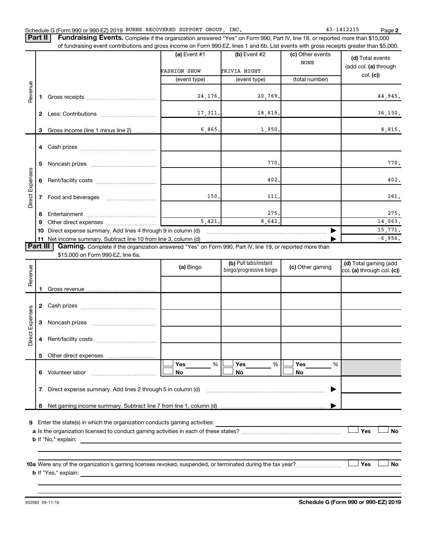**2**

Part II | Fundraising Events. Complete if the organization answered "Yes" on Form 990, Part IV, line 18, or reported more than \$15,000 of fundraising event contributions and gross income on Form 990-EZ, lines 1 and 6b. List events with gross receipts greater than \$5,000.

|                        |              |                                                                                                                                                      | (a) Event $#1$      | (b) Event #2                                     | (c) Other events<br><b>NONE</b> | (d) Total events                                    |
|------------------------|--------------|------------------------------------------------------------------------------------------------------------------------------------------------------|---------------------|--------------------------------------------------|---------------------------------|-----------------------------------------------------|
|                        |              |                                                                                                                                                      | <b>FASHION SHOW</b> | TRIVIA NIGHT                                     |                                 | (add col. (a) through<br>col. (c)                   |
|                        |              |                                                                                                                                                      | (event type)        | (event type)                                     | (total number)                  |                                                     |
| Revenue                |              |                                                                                                                                                      | 24,176.             | 20,769.                                          |                                 | 44,945.                                             |
|                        | $\mathbf{2}$ |                                                                                                                                                      | 17,311.             | 18,819.                                          |                                 | 36, 130.                                            |
|                        | 3            | Gross income (line 1 minus line 2)                                                                                                                   | 6,865.              | 1,950.                                           |                                 | 8,815.                                              |
|                        | 4            |                                                                                                                                                      |                     |                                                  |                                 |                                                     |
|                        | 5            |                                                                                                                                                      |                     | 770                                              |                                 | 770.                                                |
|                        | 6            |                                                                                                                                                      |                     | 402                                              |                                 | 402.                                                |
| <b>Direct Expenses</b> | 7            |                                                                                                                                                      | 150                 | 111                                              |                                 | 261.                                                |
|                        | 8            |                                                                                                                                                      |                     | 275.                                             |                                 | 275.                                                |
|                        | 9            |                                                                                                                                                      | 5,421.              | 8,642.                                           |                                 | 14,063.                                             |
|                        | 10           | Direct expense summary. Add lines 4 through 9 in column (d)                                                                                          |                     |                                                  | 15,771.                         |                                                     |
|                        |              | 11 Net income summary. Subtract line 10 from line 3, column (d)                                                                                      |                     |                                                  |                                 | $-6,956.$                                           |
| <b>Part III</b>        |              | <b>Gaming.</b> Complete if the organization answered "Yes" on Form 990, Part IV, line 19, or reported more than<br>\$15,000 on Form 990-EZ, line 6a. |                     |                                                  |                                 |                                                     |
| enu                    |              |                                                                                                                                                      | (a) Bingo           | (b) Pull tabs/instant<br>bingo/progressive bingo | (c) Other gaming                | (d) Total gaming (add<br>col. (a) through col. (c)) |

| Revenue         |   |                                                                                                        | (a) Bingo      | $\mathbf{w}$ is an tabor inplant<br>bingo/progressive bingo | (c) Other gaming      | la) Tutai yammiy lauu<br>col. (a) through col. (c)) |
|-----------------|---|--------------------------------------------------------------------------------------------------------|----------------|-------------------------------------------------------------|-----------------------|-----------------------------------------------------|
|                 |   |                                                                                                        |                |                                                             |                       |                                                     |
|                 | 2 |                                                                                                        |                |                                                             |                       |                                                     |
| Direct Expenses | З |                                                                                                        |                |                                                             |                       |                                                     |
|                 | 4 |                                                                                                        |                |                                                             |                       |                                                     |
|                 | 5 |                                                                                                        |                |                                                             |                       |                                                     |
|                 | 6 | Volunteer labor                                                                                        | Yes<br>%<br>No | Yes<br>%<br><b>No</b>                                       | <b>Yes</b><br>%<br>No |                                                     |
|                 |   |                                                                                                        |                |                                                             |                       |                                                     |
|                 | 8 |                                                                                                        |                |                                                             |                       |                                                     |
| 9               |   | Enter the state(s) in which the organization conducts gaming activities:<br><b>b</b> If "No," explain: |                |                                                             |                       | <b>No</b><br>Yes                                    |
|                 |   |                                                                                                        |                |                                                             |                       |                                                     |

**10 a Yes No** Were any of the organization's gaming licenses revoked, suspended, or terminated during the tax year? ~~~~~~~~~ † † **b** If "Yes," explain: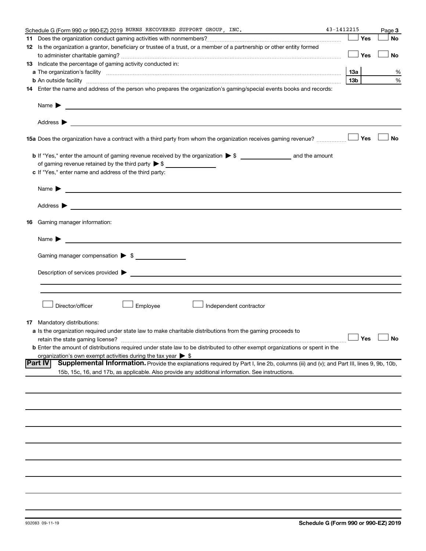|    | Schedule G (Form 990 or 990-EZ) 2019 BURNS RECOVERED SUPPORT GROUP, INC.                                                                                                                                                                                                                                                                                                                    | 43-1412215 |                     | Page 3    |
|----|---------------------------------------------------------------------------------------------------------------------------------------------------------------------------------------------------------------------------------------------------------------------------------------------------------------------------------------------------------------------------------------------|------------|---------------------|-----------|
|    |                                                                                                                                                                                                                                                                                                                                                                                             |            | Yes                 | <b>No</b> |
|    | 12 Is the organization a grantor, beneficiary or trustee of a trust, or a member of a partnership or other entity formed                                                                                                                                                                                                                                                                    |            |                     |           |
|    |                                                                                                                                                                                                                                                                                                                                                                                             |            | Yes                 | <b>No</b> |
|    | 13 Indicate the percentage of gaming activity conducted in:                                                                                                                                                                                                                                                                                                                                 |            |                     |           |
|    |                                                                                                                                                                                                                                                                                                                                                                                             |            | 1За                 | %         |
|    | <b>b</b> An outside facility <i>www.communicality www.communicality.communicality www.communicality www.communicality.communicality www.communicality.com</i>                                                                                                                                                                                                                               |            | 13b                 | %         |
|    | 14 Enter the name and address of the person who prepares the organization's gaming/special events books and records:                                                                                                                                                                                                                                                                        |            |                     |           |
|    | Name $\blacktriangleright$<br><u>and the control of the control of the control of the control of the control of the control of the control of</u>                                                                                                                                                                                                                                           |            |                     |           |
|    | <b>15a</b> Does the organization have a contract with a third party from whom the organization receives gaming revenue? $\ldots$                                                                                                                                                                                                                                                            |            |                     | <b>No</b> |
|    | c If "Yes," enter name and address of the third party:                                                                                                                                                                                                                                                                                                                                      |            |                     |           |
|    | Name $\blacktriangleright$<br><u>and the contract of the contract of the contract of the contract of the contract of the contract of the contract of</u>                                                                                                                                                                                                                                    |            |                     |           |
|    | Address $\blacktriangleright$<br><u>and the contract of the contract of the contract of the contract of the contract of the contract of the contract of</u>                                                                                                                                                                                                                                 |            |                     |           |
| 16 | Gaming manager information:                                                                                                                                                                                                                                                                                                                                                                 |            |                     |           |
|    | <u> 1989 - Johann Barbara, martin amerikan basal dan berasal dan berasal dalam basal dalam basal dalam basal dala</u><br>Name $\blacktriangleright$                                                                                                                                                                                                                                         |            |                     |           |
|    | Gaming manager compensation > \$                                                                                                                                                                                                                                                                                                                                                            |            |                     |           |
|    |                                                                                                                                                                                                                                                                                                                                                                                             |            |                     |           |
|    | Director/officer<br>Employee<br>Independent contractor                                                                                                                                                                                                                                                                                                                                      |            |                     |           |
| 17 | Mandatory distributions:<br>a Is the organization required under state law to make charitable distributions from the gaming proceeds to<br>retain the state gaming license?<br>b Enter the amount of distributions required under state law to be distributed to other exempt organizations or spent in the<br>organization's own exempt activities during the tax year $\triangleright$ \$ |            | $\Box$ Yes $\ \bot$ |           |
|    | Part IV<br>Supplemental Information. Provide the explanations required by Part I, line 2b, columns (iii) and (v); and Part III, lines 9, 9b, 10b,<br>15b, 15c, 16, and 17b, as applicable. Also provide any additional information. See instructions.                                                                                                                                       |            |                     |           |
|    |                                                                                                                                                                                                                                                                                                                                                                                             |            |                     |           |
|    |                                                                                                                                                                                                                                                                                                                                                                                             |            |                     |           |
|    |                                                                                                                                                                                                                                                                                                                                                                                             |            |                     |           |
|    |                                                                                                                                                                                                                                                                                                                                                                                             |            |                     |           |
|    |                                                                                                                                                                                                                                                                                                                                                                                             |            |                     |           |
|    |                                                                                                                                                                                                                                                                                                                                                                                             |            |                     |           |
|    |                                                                                                                                                                                                                                                                                                                                                                                             |            |                     |           |
|    |                                                                                                                                                                                                                                                                                                                                                                                             |            |                     |           |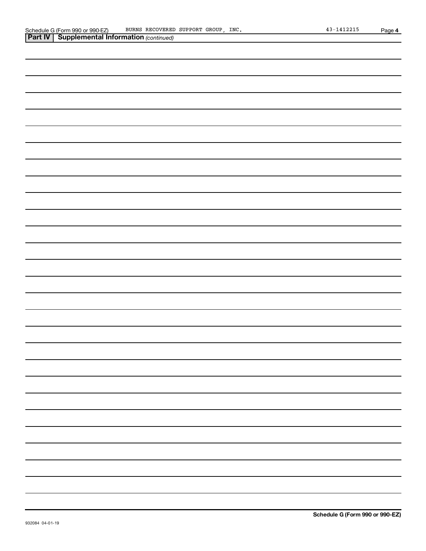| <b>Part IV   Supplemental Information (continued)</b> |
|-------------------------------------------------------|
|                                                       |
|                                                       |
|                                                       |
|                                                       |
|                                                       |
|                                                       |
|                                                       |
|                                                       |
|                                                       |
|                                                       |
|                                                       |
|                                                       |
|                                                       |
|                                                       |
|                                                       |
|                                                       |
|                                                       |
|                                                       |
|                                                       |
|                                                       |
|                                                       |
|                                                       |
|                                                       |
|                                                       |
|                                                       |
|                                                       |
|                                                       |
|                                                       |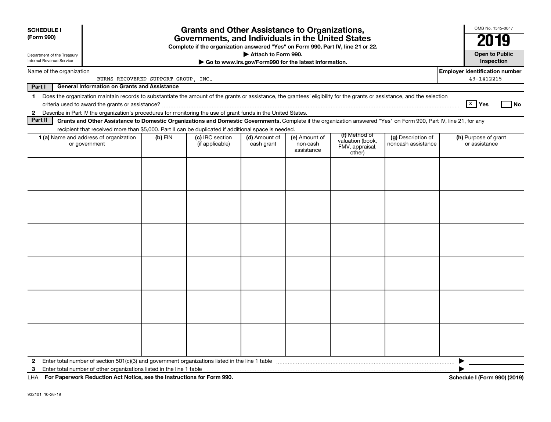| <b>SCHEDULE I</b><br>(Form 990)                        |                                                                                                                                                                                                                                                                                           |                                     | <b>Grants and Other Assistance to Organizations,</b><br>Governments, and Individuals in the United States<br>Complete if the organization answered "Yes" on Form 990, Part IV, line 21 or 22. | Attach to Form 990.         |                                                       |                                               |                                          | OMB No. 1545-0047<br>20*<br>19<br><b>Open to Public</b> |
|--------------------------------------------------------|-------------------------------------------------------------------------------------------------------------------------------------------------------------------------------------------------------------------------------------------------------------------------------------------|-------------------------------------|-----------------------------------------------------------------------------------------------------------------------------------------------------------------------------------------------|-----------------------------|-------------------------------------------------------|-----------------------------------------------|------------------------------------------|---------------------------------------------------------|
| Department of the Treasury<br>Internal Revenue Service |                                                                                                                                                                                                                                                                                           |                                     |                                                                                                                                                                                               |                             | Go to www.irs.gov/Form990 for the latest information. |                                               |                                          | Inspection                                              |
| Name of the organization                               |                                                                                                                                                                                                                                                                                           | BURNS RECOVERED SUPPORT GROUP, INC. |                                                                                                                                                                                               |                             |                                                       |                                               |                                          | <b>Employer identification number</b><br>43-1412215     |
| Part I                                                 | <b>General Information on Grants and Assistance</b>                                                                                                                                                                                                                                       |                                     |                                                                                                                                                                                               |                             |                                                       |                                               |                                          |                                                         |
| $\mathbf{1}$<br>$\mathbf{2}$                           | Does the organization maintain records to substantiate the amount of the grants or assistance, the grantees' eligibility for the grants or assistance, and the selection<br>Describe in Part IV the organization's procedures for monitoring the use of grant funds in the United States. |                                     |                                                                                                                                                                                               |                             |                                                       |                                               |                                          | $\sqrt{X}$ Yes<br>_l No                                 |
| Part II                                                | Grants and Other Assistance to Domestic Organizations and Domestic Governments. Complete if the organization answered "Yes" on Form 990, Part IV, line 21, for any                                                                                                                        |                                     |                                                                                                                                                                                               |                             |                                                       |                                               |                                          |                                                         |
|                                                        | recipient that received more than \$5,000. Part II can be duplicated if additional space is needed.                                                                                                                                                                                       |                                     |                                                                                                                                                                                               |                             |                                                       | (f) Method of                                 |                                          |                                                         |
|                                                        | 1 (a) Name and address of organization<br>or government                                                                                                                                                                                                                                   | $(b)$ EIN                           | (c) IRC section<br>(if applicable)                                                                                                                                                            | (d) Amount of<br>cash grant | (e) Amount of<br>non-cash<br>assistance               | valuation (book,<br>FMV, appraisal,<br>other) | (g) Description of<br>noncash assistance | (h) Purpose of grant<br>or assistance                   |
|                                                        |                                                                                                                                                                                                                                                                                           |                                     |                                                                                                                                                                                               |                             |                                                       |                                               |                                          |                                                         |
|                                                        |                                                                                                                                                                                                                                                                                           |                                     |                                                                                                                                                                                               |                             |                                                       |                                               |                                          |                                                         |
|                                                        |                                                                                                                                                                                                                                                                                           |                                     |                                                                                                                                                                                               |                             |                                                       |                                               |                                          |                                                         |
|                                                        |                                                                                                                                                                                                                                                                                           |                                     |                                                                                                                                                                                               |                             |                                                       |                                               |                                          |                                                         |
|                                                        |                                                                                                                                                                                                                                                                                           |                                     |                                                                                                                                                                                               |                             |                                                       |                                               |                                          |                                                         |
|                                                        |                                                                                                                                                                                                                                                                                           |                                     |                                                                                                                                                                                               |                             |                                                       |                                               |                                          |                                                         |
| $\mathbf{2}$<br>3                                      |                                                                                                                                                                                                                                                                                           |                                     |                                                                                                                                                                                               |                             |                                                       |                                               |                                          | ▶                                                       |
|                                                        | LHA For Paperwork Reduction Act Notice, see the Instructions for Form 990.                                                                                                                                                                                                                |                                     |                                                                                                                                                                                               |                             |                                                       |                                               |                                          | Schedule I (Form 990) (2019)                            |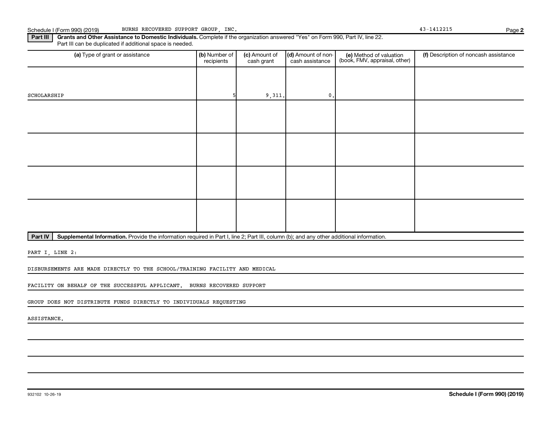Part III can be duplicated if additional space is needed.

Part IV | Supplemental Information. Provide the information required in Part I, line 2; Part III, column (b); and any other additional information.

Part III | Grants and Other Assistance to Domestic Individuals. Complete if the organization answered "Yes" on Form 990, Part IV, line 22.

PART I, LINE 2:

DISBURSEMENTS ARE MADE DIRECTLY TO THE SCHOOL/TRAINING FACILITY AND MEDICAL

FACILITY ON BEHALF OF THE SUCCESSFUL APPLICANT. BURNS RECOVERED SUPPORT

GROUP DOES NOT DISTRIBUTE FUNDS DIRECTLY TO INDIVIDUALS REQUESTING

ASSISTANCE.

| (a) Type of grant or assistance | (b) Number of<br>recipients | (c) Amount of<br>cash grant | (d) Amount of non-<br>cash assistance | (e) Method of valuation<br>(book, FMV, appraisal, other) | (f) Description of noncash assistance |
|---------------------------------|-----------------------------|-----------------------------|---------------------------------------|----------------------------------------------------------|---------------------------------------|
|                                 |                             |                             |                                       |                                                          |                                       |
| SCHOLARSHIP                     |                             | 9,311.                      | 0.                                    |                                                          |                                       |
|                                 |                             |                             |                                       |                                                          |                                       |
|                                 |                             |                             |                                       |                                                          |                                       |
|                                 |                             |                             |                                       |                                                          |                                       |
|                                 |                             |                             |                                       |                                                          |                                       |
|                                 |                             |                             |                                       |                                                          |                                       |
|                                 |                             |                             |                                       |                                                          |                                       |
|                                 |                             |                             |                                       |                                                          |                                       |
|                                 |                             |                             |                                       |                                                          |                                       |

**2**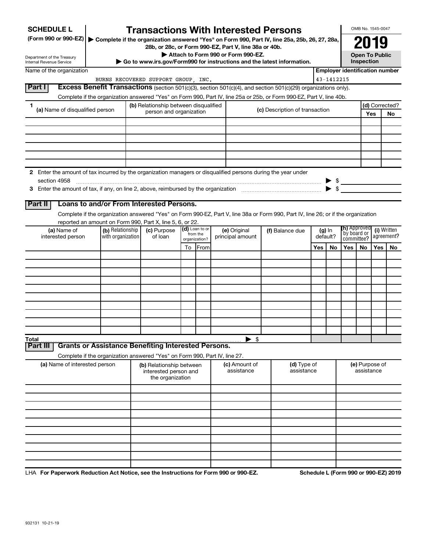| <b>SCHEDULE L</b>                                                                                                                  |                                       | <b>Transactions With Interested Persons</b>           |    |                               |                                    |                                                                                           |     |            |                                                 | OMB No. 1545-0047            |     |                                       |
|------------------------------------------------------------------------------------------------------------------------------------|---------------------------------------|-------------------------------------------------------|----|-------------------------------|------------------------------------|-------------------------------------------------------------------------------------------|-----|------------|-------------------------------------------------|------------------------------|-----|---------------------------------------|
| (Form 990 or 990-EZ)   Complete if the organization answered "Yes" on Form 990, Part IV, line 25a, 25b, 26, 27, 28a,               |                                       |                                                       |    |                               |                                    |                                                                                           |     |            |                                                 | 2019                         |     |                                       |
| Department of the Treasury                                                                                                         |                                       | 28b, or 28c, or Form 990-EZ, Part V, line 38a or 40b. |    |                               | Attach to Form 990 or Form 990-EZ. |                                                                                           |     |            |                                                 | <b>Open To Public</b>        |     |                                       |
| Internal Revenue Service                                                                                                           |                                       |                                                       |    |                               |                                    | Go to www.irs.gov/Form990 for instructions and the latest information.                    |     |            |                                                 | Inspection                   |     |                                       |
| Name of the organization                                                                                                           |                                       |                                                       |    |                               |                                    |                                                                                           |     |            |                                                 |                              |     | <b>Employer identification number</b> |
| Part I<br><b>Excess Benefit Transactions</b> (section 501(c)(3), section 501(c)(4), and section 501(c)(29) organizations only).    |                                       | BURNS RECOVERED SUPPORT GROUP, INC.                   |    |                               |                                    |                                                                                           |     | 43-1412215 |                                                 |                              |     |                                       |
| Complete if the organization answered "Yes" on Form 990, Part IV, line 25a or 25b, or Form 990-EZ, Part V, line 40b.               |                                       |                                                       |    |                               |                                    |                                                                                           |     |            |                                                 |                              |     |                                       |
| 1                                                                                                                                  |                                       | (b) Relationship between disqualified                 |    |                               |                                    |                                                                                           |     |            |                                                 |                              |     | (d) Corrected?                        |
| (a) Name of disqualified person                                                                                                    |                                       | person and organization                               |    |                               |                                    | (c) Description of transaction                                                            |     |            |                                                 |                              | Yes | No                                    |
|                                                                                                                                    |                                       |                                                       |    |                               |                                    |                                                                                           |     |            |                                                 |                              |     |                                       |
|                                                                                                                                    |                                       |                                                       |    |                               |                                    |                                                                                           |     |            |                                                 |                              |     |                                       |
|                                                                                                                                    |                                       |                                                       |    |                               |                                    |                                                                                           |     |            |                                                 |                              |     |                                       |
|                                                                                                                                    |                                       |                                                       |    |                               |                                    |                                                                                           |     |            |                                                 |                              |     |                                       |
|                                                                                                                                    |                                       |                                                       |    |                               |                                    |                                                                                           |     |            |                                                 |                              |     |                                       |
| 2 Enter the amount of tax incurred by the organization managers or disqualified persons during the year under                      |                                       |                                                       |    |                               |                                    |                                                                                           |     |            |                                                 |                              |     |                                       |
| section 4958                                                                                                                       |                                       |                                                       |    |                               |                                    |                                                                                           |     |            | $\triangleright$ \$<br>$\blacktriangleright$ \$ |                              |     |                                       |
|                                                                                                                                    |                                       |                                                       |    |                               |                                    |                                                                                           |     |            |                                                 |                              |     |                                       |
| Loans to and/or From Interested Persons.<br>Part II                                                                                |                                       |                                                       |    |                               |                                    |                                                                                           |     |            |                                                 |                              |     |                                       |
| Complete if the organization answered "Yes" on Form 990-EZ, Part V, line 38a or Form 990, Part IV, line 26; or if the organization |                                       |                                                       |    |                               |                                    |                                                                                           |     |            |                                                 |                              |     |                                       |
| reported an amount on Form 990, Part X, line 5, 6, or 22.                                                                          |                                       |                                                       |    |                               |                                    |                                                                                           |     |            |                                                 |                              |     |                                       |
| (a) Name of<br>interested person                                                                                                   | (b) Relationship<br>with organization | (c) Purpose<br>of loan                                |    | (d) Loan to or<br>from the    | (e) Original<br>principal amount   | <b>(h)</b> Approved<br>(f) Balance due<br>(g) In<br>by board or<br>default?<br>committee? |     |            | (i) Written<br>agreement?                       |                              |     |                                       |
|                                                                                                                                    |                                       |                                                       | To | organization?<br><b>IFrom</b> |                                    |                                                                                           | Yes | <b>No</b>  | Yes                                             | No.                          | Yes | No.                                   |
|                                                                                                                                    |                                       |                                                       |    |                               |                                    |                                                                                           |     |            |                                                 |                              |     |                                       |
|                                                                                                                                    |                                       |                                                       |    |                               |                                    |                                                                                           |     |            |                                                 |                              |     |                                       |
|                                                                                                                                    |                                       |                                                       |    |                               |                                    |                                                                                           |     |            |                                                 |                              |     |                                       |
|                                                                                                                                    |                                       |                                                       |    |                               |                                    |                                                                                           |     |            |                                                 |                              |     |                                       |
|                                                                                                                                    |                                       |                                                       |    |                               |                                    |                                                                                           |     |            |                                                 |                              |     |                                       |
|                                                                                                                                    |                                       |                                                       |    |                               |                                    |                                                                                           |     |            |                                                 |                              |     |                                       |
|                                                                                                                                    |                                       |                                                       |    |                               |                                    |                                                                                           |     |            |                                                 |                              |     |                                       |
|                                                                                                                                    |                                       |                                                       |    |                               |                                    |                                                                                           |     |            |                                                 |                              |     |                                       |
|                                                                                                                                    |                                       |                                                       |    |                               |                                    |                                                                                           |     |            |                                                 |                              |     |                                       |
| Total<br><b>Grants or Assistance Benefiting Interested Persons.</b><br>Part II                                                     |                                       |                                                       |    |                               | $\blacktriangleright$ \$           |                                                                                           |     |            |                                                 |                              |     |                                       |
| Complete if the organization answered "Yes" on Form 990, Part IV, line 27.                                                         |                                       |                                                       |    |                               |                                    |                                                                                           |     |            |                                                 |                              |     |                                       |
| (a) Name of interested person                                                                                                      |                                       | (b) Relationship between<br>interested person and     |    |                               | (c) Amount of<br>assistance        | (d) Type of<br>assistance                                                                 |     |            |                                                 | (e) Purpose of<br>assistance |     |                                       |
|                                                                                                                                    |                                       | the organization                                      |    |                               |                                    |                                                                                           |     |            |                                                 |                              |     |                                       |
|                                                                                                                                    |                                       |                                                       |    |                               |                                    |                                                                                           |     |            |                                                 |                              |     |                                       |
|                                                                                                                                    |                                       |                                                       |    |                               |                                    |                                                                                           |     |            |                                                 |                              |     |                                       |
|                                                                                                                                    |                                       |                                                       |    |                               |                                    |                                                                                           |     |            |                                                 |                              |     |                                       |
|                                                                                                                                    |                                       |                                                       |    |                               |                                    |                                                                                           |     |            |                                                 |                              |     |                                       |
|                                                                                                                                    |                                       |                                                       |    |                               |                                    |                                                                                           |     |            |                                                 |                              |     |                                       |
|                                                                                                                                    |                                       |                                                       |    |                               |                                    |                                                                                           |     |            |                                                 |                              |     |                                       |
|                                                                                                                                    |                                       |                                                       |    |                               |                                    |                                                                                           |     |            |                                                 |                              |     |                                       |
|                                                                                                                                    |                                       |                                                       |    |                               |                                    |                                                                                           |     |            |                                                 |                              |     |                                       |

LHA For Paperwork Reduction Act Notice, see the Instructions for Form 990 or 990-EZ. Schedule L (Form 990 or 990-EZ) 2019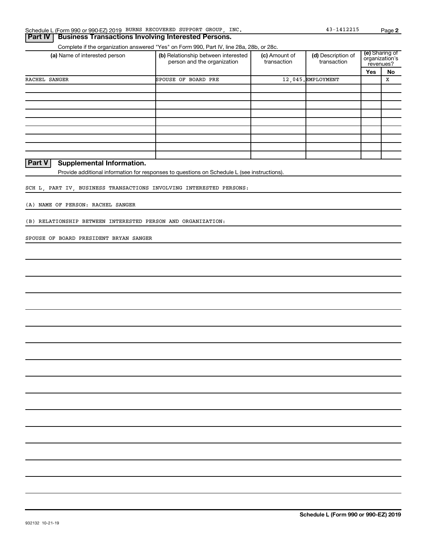|  | Schedule L (Form 990 or 990-EZ) 2019 BURNS RECOVERED SUPPORT GROUP, |  |  |  |  | INC. | $-141221!$ | Page |
|--|---------------------------------------------------------------------|--|--|--|--|------|------------|------|
|--|---------------------------------------------------------------------|--|--|--|--|------|------------|------|

## (a) Name of interested person (b) Relationship between interested (c) Amount of (d) Description of  $\binom{e}{r}$ Complete if the organization answered "Yes" on Form 990, Part IV, line 28a, 28b, or 28c. **Part IV | Business Transactions Involving Interested Persons.**

| (a) Name of interested person | (b) Relationship between interested<br>person and the organization | (c) Amount of<br>transaction | (d) Description of<br>transaction | (e) Sharing of<br>organization's<br>revenues? |    |
|-------------------------------|--------------------------------------------------------------------|------------------------------|-----------------------------------|-----------------------------------------------|----|
|                               |                                                                    |                              |                                   | Yes                                           | No |
| RACHEL SANGER                 | SPOUSE OF BOARD PRE                                                |                              | 12,045. EMPLOYMENT                |                                               | X  |
|                               |                                                                    |                              |                                   |                                               |    |
|                               |                                                                    |                              |                                   |                                               |    |
|                               |                                                                    |                              |                                   |                                               |    |
|                               |                                                                    |                              |                                   |                                               |    |
|                               |                                                                    |                              |                                   |                                               |    |
|                               |                                                                    |                              |                                   |                                               |    |
|                               |                                                                    |                              |                                   |                                               |    |
|                               |                                                                    |                              |                                   |                                               |    |
|                               |                                                                    |                              |                                   |                                               |    |

**Part V** Supplemental Information.

Provide additional information for responses to questions on Schedule L (see instructions).

SCH L, PART IV, BUSINESS TRANSACTIONS INVOLVING INTERESTED PERSONS:

(A) NAME OF PERSON: RACHEL SANGER

(B) RELATIONSHIP BETWEEN INTERESTED PERSON AND ORGANIZATION:

SPOUSE OF BOARD PRESIDENT BRYAN SANGER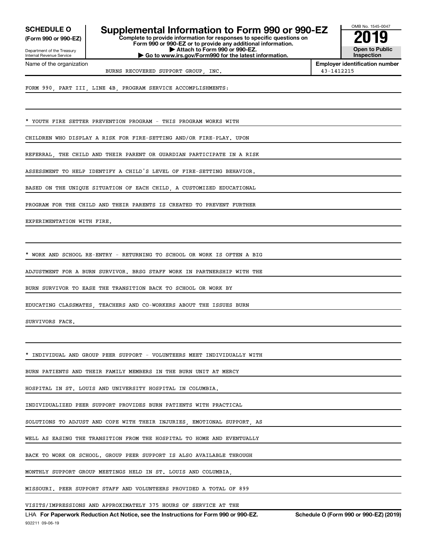**(Form 990 or 990-EZ)**

Department of the Treasury Internal Revenue Service

Name of the organization

**Complete to provide information for responses to specific questions on SCHEDULE O Supplemental Information to Form 990 or 990-EZ 2019**

**Form 990 or 990-EZ or to provide any additional information. | Attach to Form 990 or 990-EZ. | Go to www.irs.gov/Form990 for the latest information.**



**Employer identification number** BURNS RECOVERED SUPPORT GROUP, INC. 43-1412215

FORM 990, PART III, LINE 4B, PROGRAM SERVICE ACCOMPLISHMENTS:

YOUTH FIRE SETTER PREVENTION PROGRAM - THIS PROGRAM WORKS WITH

CHILDREN WHO DISPLAY A RISK FOR FIRE-SETTING AND/OR FIRE-PLAY. UPON

REFERRAL, THE CHILD AND THEIR PARENT OR GUARDIAN PARTICIPATE IN A RISK

ASSESSMENT TO HELP IDENTIFY A CHILD'S LEVEL OF FIRE-SETTING BEHAVIOR.

BASED ON THE UNIQUE SITUATION OF EACH CHILD, A CUSTOMIZED EDUCATIONAL

PROGRAM FOR THE CHILD AND THEIR PARENTS IS CREATED TO PREVENT FURTHER

EXPERIMENTATION WITH FIRE.

\* WORK AND SCHOOL RE-ENTRY - RETURNING TO SCHOOL OR WORK IS OFTEN A BIG

ADJUSTMENT FOR A BURN SURVIVOR. BRSG STAFF WORK IN PARTNERSHIP WITH THE

BURN SURVIVOR TO EASE THE TRANSITION BACK TO SCHOOL OR WORK BY

EDUCATING CLASSMATES, TEACHERS AND CO-WORKERS ABOUT THE ISSUES BURN

SURVIVORS FACE.

INDIVIDUAL AND GROUP PEER SUPPORT - VOLUNTEERS MEET INDIVIDUALLY WITH

BURN PATIENTS AND THEIR FAMILY MEMBERS IN THE BURN UNIT AT MERCY

HOSPITAL IN ST. LOUIS AND UNIVERSITY HOSPITAL IN COLUMBIA.

INDIVIDUALIZED PEER SUPPORT PROVIDES BURN PATIENTS WITH PRACTICAL

SOLUTIONS TO ADJUST AND COPE WITH THEIR INJURIES, EMOTIONAL SUPPORT, AS

WELL AS EASING THE TRANSITION FROM THE HOSPITAL TO HOME AND EVENTUALLY

BACK TO WORK OR SCHOOL. GROUP PEER SUPPORT IS ALSO AVAILABLE THROUGH

MONTHLY SUPPORT GROUP MEETINGS HELD IN ST. LOUIS AND COLUMBIA,

MISSOURI. PEER SUPPORT STAFF AND VOLUNTEERS PROVIDED A TOTAL OF 899

VISITS/IMPRESSIONS AND APPROXIMATELY 375 HOURS OF SERVICE AT THE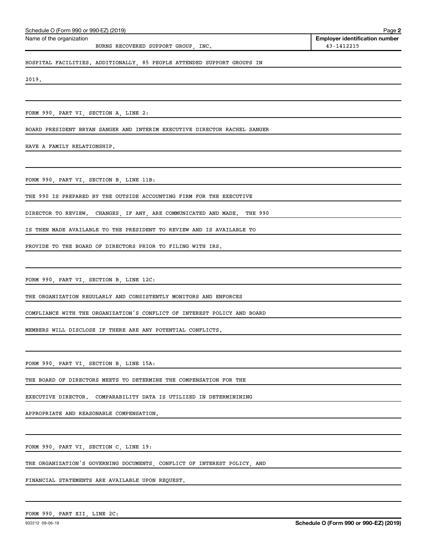| Schedule O (Form 990 or 990-EZ) (2019) | Page 2                                |
|----------------------------------------|---------------------------------------|
| Name of the organization               | <b>Employer identification number</b> |
| BURNS RECOVERED SUPPORT GROUP INC.     | 43-1412215                            |
|                                        |                                       |

HOSPITAL FACILITIES. ADDITIONALLY, 85 PEOPLE ATTENDED SUPPORT GROUPS IN

2019.

FORM 990, PART VI, SECTION A, LINE 2:

BOARD PRESIDENT BRYAN SANGER AND INTERIM EXECUTIVE DIRECTOR RACHEL SANGER

HAVE A FAMILY RELATIONSHIP.

FORM 990, PART VI, SECTION B, LINE 11B:

THE 990 IS PREPARED BY THE OUTSIDE ACCOUNTING FIRM FOR THE EXECUTIVE

DIRECTOR TO REVIEW. CHANGES, IF ANY, ARE COMMUNICATED AND MADE. THE 990

IS THEN MADE AVAILABLE TO THE PRESIDENT TO REVIEW AND IS AVAILABLE TO

PROVIDE TO THE BOARD OF DIRECTORS PRIOR TO FILING WITH IRS.

FORM 990, PART VI, SECTION B, LINE 12C:

THE ORGANIZATION REGULARLY AND CONSISTENTLY MONITORS AND ENFORCES

COMPLIANCE WITH THE ORGANIZATION'S CONFLICT OF INTEREST POLICY AND BOARD

MEMBERS WILL DISCLOSE IF THERE ARE ANY POTENTIAL CONFLICTS.

FORM 990, PART VI, SECTION B, LINE 15A:

THE BOARD OF DIRECTORS MEETS TO DETERMINE THE COMPENSATION FOR THE

EXECUTIVE DIRECTOR. COMPARABILITY DATA IS UTILIZED IN DETERMININING

APPROPRIATE AND REASONABLE COMPENSATION.

FORM 990, PART VI, SECTION C, LINE 19:

THE ORGANIZATION'S GOVERNING DOCUMENTS, CONFLICT OF INTEREST POLICY, AND

FINANCIAL STATEMENTS ARE AVAILABLE UPON REQUEST.

FORM 990, PART XII, LINE 2C: